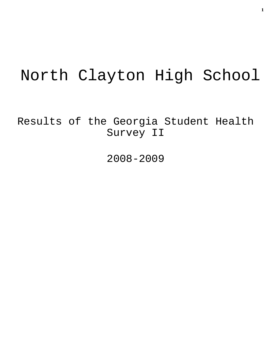# North Clayton High School

Results of the Georgia Student Health Survey II

2008-2009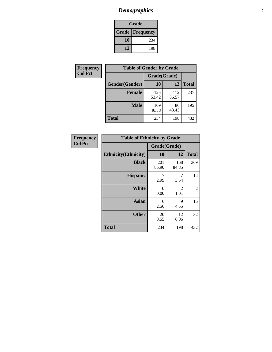# *Demographics* **2**

| Grade                  |     |  |  |  |
|------------------------|-----|--|--|--|
| <b>Grade Frequency</b> |     |  |  |  |
| 10                     | 234 |  |  |  |
| 12                     | 198 |  |  |  |

| <b>Frequency</b> | <b>Table of Gender by Grade</b> |              |              |              |  |
|------------------|---------------------------------|--------------|--------------|--------------|--|
| <b>Col Pct</b>   |                                 | Grade(Grade) |              |              |  |
|                  | Gender(Gender)                  | 10           | 12           | <b>Total</b> |  |
|                  | <b>Female</b>                   | 125<br>53.42 | 112<br>56.57 | 237          |  |
|                  | <b>Male</b>                     | 109<br>46.58 | 86<br>43.43  | 195          |  |
|                  | <b>Total</b>                    | 234          | 198          | 432          |  |

| <b>Frequency</b><br>Col Pct |
|-----------------------------|

| <b>Table of Ethnicity by Grade</b> |              |                        |              |  |  |  |
|------------------------------------|--------------|------------------------|--------------|--|--|--|
|                                    | Grade(Grade) |                        |              |  |  |  |
| <b>Ethnicity</b> (Ethnicity)       | 10           | 12                     | <b>Total</b> |  |  |  |
| <b>Black</b>                       | 201<br>85.90 | 168<br>84.85           | 369          |  |  |  |
| <b>Hispanic</b>                    | 7<br>2.99    | 7<br>3.54              | 14           |  |  |  |
| White                              | 0<br>0.00    | $\mathfrak{D}$<br>1.01 | 2            |  |  |  |
| <b>Asian</b>                       | 6<br>2.56    | 9<br>4.55              | 15           |  |  |  |
| <b>Other</b>                       | 20<br>8.55   | 12<br>6.06             | 32           |  |  |  |
| <b>Total</b>                       | 234          | 198                    | 432          |  |  |  |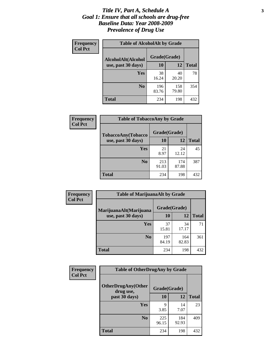#### *Title IV, Part A, Schedule A* **3** *Goal 1: Ensure that all schools are drug-free Baseline Data: Year 2008-2009 Prevalence of Drug Use*

| Frequency<br><b>Col Pct</b> | <b>Table of AlcoholAlt by Grade</b> |              |              |              |  |
|-----------------------------|-------------------------------------|--------------|--------------|--------------|--|
|                             | AlcoholAlt(Alcohol                  | Grade(Grade) |              |              |  |
|                             | use, past 30 days)                  | <b>10</b>    | 12           | <b>Total</b> |  |
|                             | <b>Yes</b>                          | 38<br>16.24  | 40<br>20.20  | 78           |  |
|                             | N <sub>0</sub>                      | 196<br>83.76 | 158<br>79.80 | 354          |  |
|                             | Total                               | 234          | 198          | 432          |  |

| Frequency<br><b>Col Pct</b> | <b>Table of TobaccoAny by Grade</b> |              |              |              |  |
|-----------------------------|-------------------------------------|--------------|--------------|--------------|--|
|                             | <b>TobaccoAny(Tobacco</b>           | Grade(Grade) |              |              |  |
|                             | use, past 30 days)                  | 10           | 12           | <b>Total</b> |  |
|                             | Yes                                 | 21<br>8.97   | 24<br>12.12  | 45           |  |
|                             | N <sub>0</sub>                      | 213<br>91.03 | 174<br>87.88 | 387          |  |
|                             | Total                               | 234          | 198          | 432          |  |

| Frequency      | <b>Table of MarijuanaAlt by Grade</b>        |              |              |              |  |
|----------------|----------------------------------------------|--------------|--------------|--------------|--|
| <b>Col Pct</b> | MarijuanaAlt(Marijuana<br>use, past 30 days) | Grade(Grade) |              |              |  |
|                |                                              | 10           | 12           | <b>Total</b> |  |
|                | <b>Yes</b>                                   | 37<br>15.81  | 34<br>17.17  | 71           |  |
|                | N <sub>0</sub>                               | 197<br>84.19 | 164<br>82.83 | 361          |  |
|                | <b>Total</b>                                 | 234          | 198          | 432          |  |

| <b>Frequency</b> | <b>Table of OtherDrugAny by Grade</b>                  |              |              |              |
|------------------|--------------------------------------------------------|--------------|--------------|--------------|
| <b>Col Pct</b>   | <b>OtherDrugAny(Other</b><br>Grade(Grade)<br>drug use, |              |              |              |
|                  | past 30 days)                                          | 10           | <b>12</b>    | <b>Total</b> |
|                  | Yes                                                    | q<br>3.85    | 14<br>7.07   | 23           |
|                  | N <sub>0</sub>                                         | 225<br>96.15 | 184<br>92.93 | 409          |
|                  | <b>Total</b>                                           | 234          | 198          | 432          |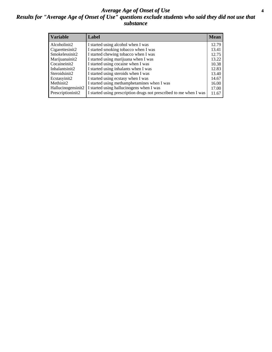#### *Average Age of Onset of Use* **4** *Results for "Average Age of Onset of Use" questions exclude students who said they did not use that substance*

| <b>Variable</b>    | Label                                                              | <b>Mean</b> |
|--------------------|--------------------------------------------------------------------|-------------|
| Alcoholinit2       | I started using alcohol when I was                                 | 12.79       |
| Cigarettesinit2    | I started smoking tobacco when I was                               | 13.41       |
| Smokelessinit2     | I started chewing tobacco when I was                               | 12.75       |
| Marijuanainit2     | I started using marijuana when I was                               | 13.22       |
| Cocaineinit2       | I started using cocaine when I was                                 | 10.38       |
| Inhalantsinit2     | I started using inhalants when I was                               | 12.83       |
| Steroidsinit2      | I started using steroids when I was                                | 13.40       |
| Ecstasyinit2       | I started using ecstasy when I was                                 | 14.67       |
| Methinit2          | I started using methamphetamines when I was                        | 16.00       |
| Hallucinogensinit2 | I started using hallucinogens when I was                           | 17.00       |
| Prescriptioninit2  | I started using prescription drugs not prescribed to me when I was | 11.67       |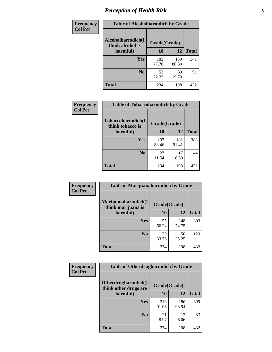# *Perception of Health Risk* **5**

| Frequency      | <b>Table of Alcoholharmdich by Grade</b> |              |              |              |
|----------------|------------------------------------------|--------------|--------------|--------------|
| <b>Col Pct</b> | Alcoholharmdich(I<br>think alcohol is    | Grade(Grade) |              |              |
|                | harmful)                                 | 10           | 12           | <b>Total</b> |
|                | <b>Yes</b>                               | 182<br>77.78 | 159<br>80.30 | 341          |
|                | N <sub>0</sub>                           | 52<br>22.22  | 39<br>19.70  | 91           |
|                | <b>Total</b>                             | 234          | 198          | 432          |

| Frequency      | <b>Table of Tobaccoharmdich by Grade</b> |              |              |              |  |
|----------------|------------------------------------------|--------------|--------------|--------------|--|
| <b>Col Pct</b> | Tobaccoharmdich(I<br>think tobacco is    | Grade(Grade) |              |              |  |
|                | harmful)                                 | 10           | 12           | <b>Total</b> |  |
|                | Yes                                      | 207<br>88.46 | 181<br>91.41 | 388          |  |
|                | N <sub>0</sub>                           | 27<br>11.54  | 17<br>8.59   | 44           |  |
|                | <b>Total</b>                             | 234          | 198          | 432          |  |

| Frequency      | <b>Table of Marijuanaharmdich by Grade</b> |              |              |              |  |
|----------------|--------------------------------------------|--------------|--------------|--------------|--|
| <b>Col Pct</b> | Marijuanaharmdich(I<br>think marijuana is  | Grade(Grade) |              |              |  |
|                | harmful)                                   | 10           | <b>12</b>    | <b>Total</b> |  |
|                | Yes                                        | 155<br>66.24 | 148<br>74.75 | 303          |  |
|                | N <sub>0</sub>                             | 79<br>33.76  | 50<br>25.25  | 129          |  |
|                | <b>Total</b>                               | 234          | 198          | 432          |  |

| Frequency      | <b>Table of Otherdrugharmdich by Grade</b>   |              |              |              |  |
|----------------|----------------------------------------------|--------------|--------------|--------------|--|
| <b>Col Pct</b> | Otherdrugharmdich(I<br>think other drugs are | Grade(Grade) |              |              |  |
|                | harmful)                                     | 10           | <b>12</b>    | <b>Total</b> |  |
|                | <b>Yes</b>                                   | 213<br>91.03 | 186<br>93.94 | 399          |  |
|                | N <sub>0</sub>                               | 21<br>8.97   | 12<br>6.06   | 33           |  |
|                | <b>Total</b>                                 | 234          | 198          | 432          |  |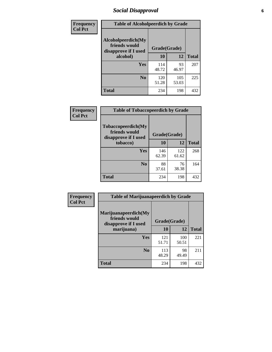# *Social Disapproval* **6**

| <b>Frequency</b> | <b>Table of Alcoholpeerdich by Grade</b>                    |              |              |              |
|------------------|-------------------------------------------------------------|--------------|--------------|--------------|
| <b>Col Pct</b>   | Alcoholpeerdich(My<br>friends would<br>disapprove if I used | Grade(Grade) |              |              |
|                  | alcohol)                                                    | 10           | 12           | <b>Total</b> |
|                  | <b>Yes</b>                                                  | 114<br>48.72 | 93<br>46.97  | 207          |
|                  | N <sub>0</sub>                                              | 120<br>51.28 | 105<br>53.03 | 225          |
|                  | <b>Total</b>                                                | 234          | 198          | 432          |

| <b>Frequency</b> |
|------------------|
| <b>Col Pct</b>   |

| <b>Table of Tobaccopeerdich by Grade</b>                            |              |              |              |  |
|---------------------------------------------------------------------|--------------|--------------|--------------|--|
| <b>Tobaccopeerdich</b> (My<br>friends would<br>disapprove if I used | Grade(Grade) |              |              |  |
| tobacco)                                                            | 10           | 12           | <b>Total</b> |  |
| Yes                                                                 | 146<br>62.39 | 122<br>61.62 | 268          |  |
| N <sub>0</sub>                                                      | 88<br>37.61  | 76<br>38.38  | 164          |  |
| <b>Total</b>                                                        | 234          | 198          | 432          |  |

| Frequency      | <b>Table of Marijuanapeerdich by Grade</b>                    |              |              |              |  |
|----------------|---------------------------------------------------------------|--------------|--------------|--------------|--|
| <b>Col Pct</b> | Marijuanapeerdich(My<br>friends would<br>disapprove if I used | Grade(Grade) |              |              |  |
|                | marijuana)                                                    | 10           | 12           | <b>Total</b> |  |
|                | <b>Yes</b>                                                    | 121<br>51.71 | 100<br>50.51 | 221          |  |
|                | N <sub>0</sub>                                                | 113<br>48.29 | 98<br>49.49  | 211          |  |
|                | <b>Total</b>                                                  | 234          | 198          | 432          |  |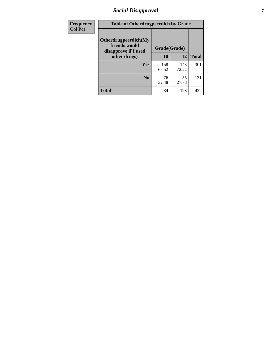# *Social Disapproval* **7**

| Frequency      | <b>Table of Otherdrugpeerdich by Grade</b>                    |              |              |              |  |
|----------------|---------------------------------------------------------------|--------------|--------------|--------------|--|
| <b>Col Pct</b> | Otherdrugpeerdich(My<br>friends would<br>disapprove if I used | Grade(Grade) |              |              |  |
|                | other drugs)                                                  | 10           | 12           | <b>Total</b> |  |
|                | Yes                                                           | 158<br>67.52 | 143<br>72.22 | 301          |  |
|                | N <sub>0</sub>                                                | 76<br>32.48  | 55<br>27.78  | 131          |  |
|                | <b>Total</b>                                                  | 234          | 198          | 432          |  |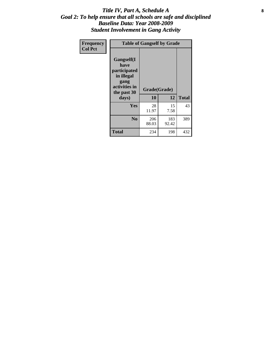#### Title IV, Part A, Schedule A **8** *Goal 2: To help ensure that all schools are safe and disciplined Baseline Data: Year 2008-2009 Student Involvement in Gang Activity*

| Frequency      | <b>Table of Gangself by Grade</b>                                                                 |                    |              |              |
|----------------|---------------------------------------------------------------------------------------------------|--------------------|--------------|--------------|
| <b>Col Pct</b> | Gangself(I<br>have<br>participated<br>in illegal<br>gang<br>activities in<br>the past 30<br>days) | Grade(Grade)<br>10 | 12           | <b>Total</b> |
|                | Yes                                                                                               | 28<br>11.97        | 15<br>7.58   | 43           |
|                | N <sub>0</sub>                                                                                    | 206<br>88.03       | 183<br>92.42 | 389          |
|                | <b>Total</b>                                                                                      | 234                | 198          | 432          |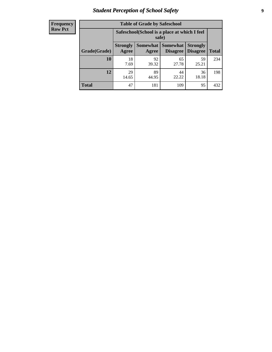# *Student Perception of School Safety* **9**

| <b>Frequency</b><br>Row Pct |
|-----------------------------|
|                             |

| <b>Table of Grade by Safeschool</b> |                                                                                                                          |                                                        |             |             |     |  |  |
|-------------------------------------|--------------------------------------------------------------------------------------------------------------------------|--------------------------------------------------------|-------------|-------------|-----|--|--|
|                                     |                                                                                                                          | Safeschool (School is a place at which I feel<br>safe) |             |             |     |  |  |
| Grade(Grade)                        | Somewhat Somewhat<br><b>Strongly</b><br><b>Strongly</b><br><b>Disagree</b><br>Agree<br>Disagree<br><b>Total</b><br>Agree |                                                        |             |             |     |  |  |
| 10                                  | 18<br>7.69                                                                                                               | 92<br>39.32                                            | 65<br>27.78 | 59<br>25.21 | 234 |  |  |
| 12                                  | 29<br>14.65                                                                                                              | 89<br>44.95                                            | 44<br>22.22 | 36<br>18.18 | 198 |  |  |
| <b>Total</b>                        | 47                                                                                                                       | 181                                                    | 109         | 95          | 432 |  |  |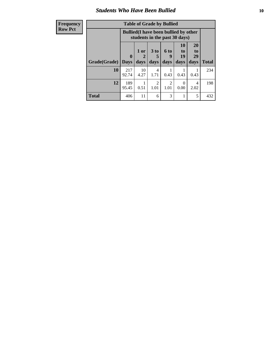#### *Students Who Have Been Bullied* **10**

| <b>Frequency</b> | <b>Table of Grade by Bullied</b> |                                                                               |                   |                                     |                       |                        |                               |              |
|------------------|----------------------------------|-------------------------------------------------------------------------------|-------------------|-------------------------------------|-----------------------|------------------------|-------------------------------|--------------|
| <b>Row Pct</b>   |                                  | <b>Bullied</b> (I have been bullied by other<br>students in the past 30 days) |                   |                                     |                       |                        |                               |              |
|                  | Grade(Grade)                     | $\mathbf{0}$<br><b>Days</b>                                                   | 1 or<br>2<br>days | 3 <sub>to</sub><br>days             | 6 to<br>9<br>days     | 10<br>to<br>19<br>days | <b>20</b><br>to<br>29<br>days | <b>Total</b> |
|                  | 10                               | 217<br>92.74                                                                  | 10<br>4.27        | 4<br>1.71                           | 0.43                  | 0.43                   | 0.43                          | 234          |
|                  | 12                               | 189<br>95.45                                                                  | 0.51              | $\mathcal{D}_{\mathcal{A}}$<br>1.01 | $\mathcal{D}$<br>1.01 | 0<br>0.00              | 4<br>2.02                     | 198          |
|                  | <b>Total</b>                     | 406                                                                           | 11                | 6                                   | 3                     |                        | 5                             | 432          |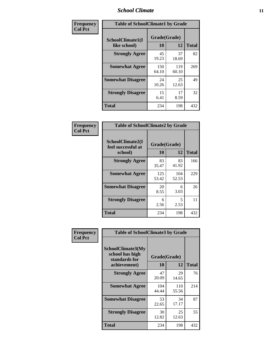### *School Climate* **11**

| Frequency      | <b>Table of SchoolClimate1 by Grade</b> |                    |              |              |  |  |
|----------------|-----------------------------------------|--------------------|--------------|--------------|--|--|
| <b>Col Pct</b> | SchoolClimate1(I<br>like school)        | Grade(Grade)<br>10 | 12           | <b>Total</b> |  |  |
|                | <b>Strongly Agree</b>                   | 45<br>19.23        | 37<br>18.69  | 82           |  |  |
|                | <b>Somewhat Agree</b>                   | 150<br>64.10       | 119<br>60.10 | 269          |  |  |
|                | <b>Somewhat Disagree</b>                | 24<br>10.26        | 25<br>12.63  | 49           |  |  |
|                | <b>Strongly Disagree</b>                | 15<br>6.41         | 17<br>8.59   | 32           |  |  |
|                | Total                                   | 234                | 198          | 432          |  |  |

| Frequency      | <b>Table of SchoolClimate2 by Grade</b>           |                           |              |              |  |  |
|----------------|---------------------------------------------------|---------------------------|--------------|--------------|--|--|
| <b>Col Pct</b> | SchoolClimate2(I<br>feel successful at<br>school) | Grade(Grade)<br><b>10</b> | 12           | <b>Total</b> |  |  |
|                | <b>Strongly Agree</b>                             | 83<br>35.47               | 83<br>41.92  | 166          |  |  |
|                | <b>Somewhat Agree</b>                             | 125<br>53.42              | 104<br>52.53 | 229          |  |  |
|                | <b>Somewhat Disagree</b>                          | 20<br>8.55                | 6<br>3.03    | 26           |  |  |
|                | <b>Strongly Disagree</b>                          | 6<br>2.56                 | 5<br>2.53    | 11           |  |  |
|                | <b>Total</b>                                      | 234                       | 198          | 432          |  |  |

| Frequency | <b>Table of SchoolClimate3 by Grade</b>               |              |              |              |  |
|-----------|-------------------------------------------------------|--------------|--------------|--------------|--|
| Col Pct   | SchoolClimate3(My<br>school has high<br>standards for |              | Grade(Grade) |              |  |
|           | achievement)                                          | 10           | 12           | <b>Total</b> |  |
|           | <b>Strongly Agree</b>                                 | 47<br>20.09  | 29<br>14.65  | 76           |  |
|           | <b>Somewhat Agree</b>                                 | 104<br>44.44 | 110<br>55.56 | 214          |  |
|           | <b>Somewhat Disagree</b>                              | 53<br>22.65  | 34<br>17.17  | 87           |  |
|           | <b>Strongly Disagree</b>                              | 30<br>12.82  | 25<br>12.63  | 55           |  |
|           | Total                                                 | 234          | 198          | 432          |  |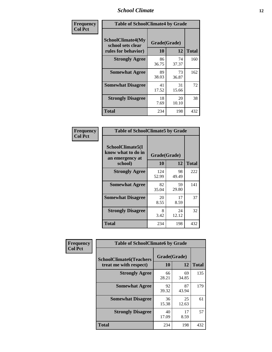### *School Climate* **12**

| Frequency      | <b>Table of SchoolClimate4 by Grade</b>                       |                    |             |              |
|----------------|---------------------------------------------------------------|--------------------|-------------|--------------|
| <b>Col Pct</b> | SchoolClimate4(My<br>school sets clear<br>rules for behavior) | Grade(Grade)<br>10 | 12          | <b>Total</b> |
|                | <b>Strongly Agree</b>                                         | 86<br>36.75        | 74<br>37.37 | 160          |
|                | <b>Somewhat Agree</b>                                         | 89<br>38.03        | 73<br>36.87 | 162          |
|                | <b>Somewhat Disagree</b>                                      | 41<br>17.52        | 31<br>15.66 | 72           |
|                | <b>Strongly Disagree</b>                                      | 18<br>7.69         | 20<br>10.10 | 38           |
|                | <b>Total</b>                                                  | 234                | 198         | 432          |

| <b>Table of SchoolClimate5 by Grade</b>                              |                    |             |              |  |
|----------------------------------------------------------------------|--------------------|-------------|--------------|--|
| SchoolClimate5(I<br>know what to do in<br>an emergency at<br>school) | Grade(Grade)<br>10 | 12          | <b>Total</b> |  |
| <b>Strongly Agree</b>                                                | 124<br>52.99       | 98<br>49.49 | 222          |  |
| <b>Somewhat Agree</b>                                                | 82<br>35.04        | 59<br>29.80 | 141          |  |
| <b>Somewhat Disagree</b>                                             | 20<br>8.55         | 17<br>8.59  | 37           |  |
| <b>Strongly Disagree</b>                                             | 8<br>3.42          | 24<br>12.12 | 32           |  |
| <b>Total</b>                                                         | 234                | 198         | 432          |  |

| Frequency      | <b>Table of SchoolClimate6 by Grade</b>                  |                           |             |              |  |
|----------------|----------------------------------------------------------|---------------------------|-------------|--------------|--|
| <b>Col Pct</b> | <b>SchoolClimate6(Teachers</b><br>treat me with respect) | Grade(Grade)<br><b>10</b> | 12          | <b>Total</b> |  |
|                | <b>Strongly Agree</b>                                    | 66<br>28.21               | 69<br>34.85 | 135          |  |
|                | <b>Somewhat Agree</b>                                    | 92<br>39.32               | 87<br>43.94 | 179          |  |
|                | <b>Somewhat Disagree</b>                                 | 36<br>15.38               | 25<br>12.63 | 61           |  |
|                | <b>Strongly Disagree</b>                                 | 40<br>17.09               | 17<br>8.59  | 57           |  |
|                | <b>Total</b>                                             | 234                       | 198         | 432          |  |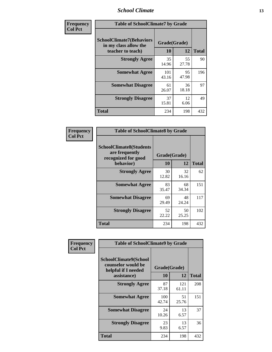### *School Climate* **13**

| Frequency      | <b>Table of SchoolClimate7 by Grade</b>                                       |                    |             |              |
|----------------|-------------------------------------------------------------------------------|--------------------|-------------|--------------|
| <b>Col Pct</b> | <b>SchoolClimate7(Behaviors</b><br>in my class allow the<br>teacher to teach) | Grade(Grade)<br>10 | 12          | <b>Total</b> |
|                | <b>Strongly Agree</b>                                                         | 35<br>14.96        | 55<br>27.78 | 90           |
|                | <b>Somewhat Agree</b>                                                         | 101<br>43.16       | 95<br>47.98 | 196          |
|                | <b>Somewhat Disagree</b>                                                      | 61<br>26.07        | 36<br>18.18 | 97           |
|                | <b>Strongly Disagree</b>                                                      | 37<br>15.81        | 12<br>6.06  | 49           |
|                | <b>Total</b>                                                                  | 234                | 198         | 432          |

| Frequency             | <b>Table of SchoolClimate8 by Grade</b>                                 |              |             |                    |
|-----------------------|-------------------------------------------------------------------------|--------------|-------------|--------------------|
| <b>Col Pct</b>        | <b>SchoolClimate8(Students</b><br>are frequently<br>recognized for good | Grade(Grade) |             |                    |
| <b>Strongly Agree</b> | behavior)                                                               | 10<br>30     | 12<br>32    | <b>Total</b><br>62 |
|                       |                                                                         | 12.82        | 16.16       |                    |
|                       | <b>Somewhat Agree</b>                                                   | 83<br>35.47  | 68<br>34.34 | 151                |
|                       | <b>Somewhat Disagree</b>                                                | 69<br>29.49  | 48<br>24.24 | 117                |
|                       | <b>Strongly Disagree</b>                                                | 52<br>22.22  | 50<br>25.25 | 102                |
|                       | <b>Total</b>                                                            | 234          | 198         | 432                |

| Frequency      | <b>Table of SchoolClimate9 by Grade</b>                                           |                    |              |              |
|----------------|-----------------------------------------------------------------------------------|--------------------|--------------|--------------|
| <b>Col Pct</b> | SchoolClimate9(School<br>counselor would be<br>helpful if I needed<br>assistance) | Grade(Grade)<br>10 | 12           | <b>Total</b> |
|                | <b>Strongly Agree</b>                                                             | 87<br>37.18        | 121<br>61.11 | 208          |
|                | <b>Somewhat Agree</b>                                                             | 100<br>42.74       | 51<br>25.76  | 151          |
|                | <b>Somewhat Disagree</b>                                                          | 24<br>10.26        | 13<br>6.57   | 37           |
|                | <b>Strongly Disagree</b>                                                          | 23<br>9.83         | 13<br>6.57   | 36           |
|                | Total                                                                             | 234                | 198          | 432          |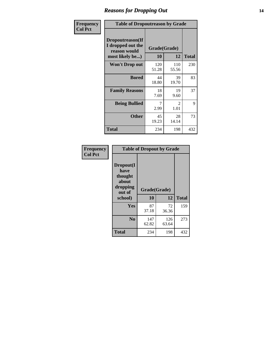### *Reasons for Dropping Out* **14**

| Frequency      | <b>Table of Dropoutreason by Grade</b>                                   |                    |                        |              |
|----------------|--------------------------------------------------------------------------|--------------------|------------------------|--------------|
| <b>Col Pct</b> | Dropoutreason(If<br>I dropped out the<br>reason would<br>most likely be) | Grade(Grade)<br>10 | 12                     | <b>Total</b> |
|                | <b>Won't Drop out</b>                                                    | 120<br>51.28       | 110<br>55.56           | 230          |
|                | <b>Bored</b>                                                             | 44<br>18.80        | 39<br>19.70            | 83           |
|                | <b>Family Reasons</b>                                                    | 18<br>7.69         | 19<br>9.60             | 37           |
|                | <b>Being Bullied</b>                                                     | 7<br>2.99          | $\mathfrak{D}$<br>1.01 | 9            |
|                | <b>Other</b>                                                             | 45<br>19.23        | 28<br>14.14            | 73           |
|                | <b>Total</b>                                                             | 234                | 198                    | 432          |

| Frequency<br><b>Col Pct</b> | <b>Table of Dropout by Grade</b>                            |              |              |              |  |
|-----------------------------|-------------------------------------------------------------|--------------|--------------|--------------|--|
|                             | Dropout(I<br>have<br>thought<br>about<br>dropping<br>out of | Grade(Grade) |              |              |  |
|                             | school)                                                     | 10           | 12           | <b>Total</b> |  |
|                             | <b>Yes</b>                                                  | 87<br>37.18  | 72<br>36.36  | 159          |  |
|                             | N <sub>0</sub>                                              | 147<br>62.82 | 126<br>63.64 | 273          |  |
|                             | <b>Total</b>                                                | 234          | 198          | 432          |  |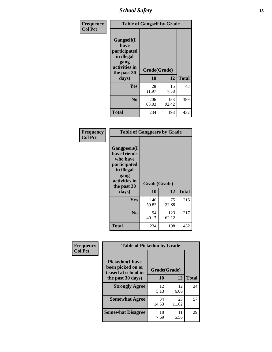*School Safety* **15**

| Frequency      | <b>Table of Gangself by Grade</b>                                                                 |                    |              |              |
|----------------|---------------------------------------------------------------------------------------------------|--------------------|--------------|--------------|
| <b>Col Pct</b> | Gangself(I<br>have<br>participated<br>in illegal<br>gang<br>activities in<br>the past 30<br>days) | Grade(Grade)<br>10 | 12           | <b>Total</b> |
|                | Yes                                                                                               | 28<br>11.97        | 15<br>7.58   | 43           |
|                | N <sub>0</sub>                                                                                    | 206<br>88.03       | 183<br>92.42 | 389          |
|                | <b>Total</b>                                                                                      | 234                | 198          | 432          |

| Frequency<br><b>Col Pct</b> | <b>Table of Gangpeers by Grade</b>                                                                                             |                    |              |              |
|-----------------------------|--------------------------------------------------------------------------------------------------------------------------------|--------------------|--------------|--------------|
|                             | <b>Gangpeers</b> (I<br>have friends<br>who have<br>participated<br>in illegal<br>gang<br>activities in<br>the past 30<br>days) | Grade(Grade)<br>10 | 12           | <b>Total</b> |
|                             |                                                                                                                                |                    |              |              |
|                             | <b>Yes</b>                                                                                                                     | 140<br>59.83       | 75<br>37.88  | 215          |
|                             | N <sub>0</sub>                                                                                                                 | 94<br>40.17        | 123<br>62.12 | 217          |
|                             | Total                                                                                                                          | 234                | 198          | 432          |

| Frequency      | <b>Table of Pickedon by Grade</b>                                   |              |             |              |
|----------------|---------------------------------------------------------------------|--------------|-------------|--------------|
| <b>Col Pct</b> | <b>Pickedon</b> (I have<br>been picked on or<br>teased at school in | Grade(Grade) |             |              |
|                | the past 30 days)                                                   | 10           | 12          | <b>Total</b> |
|                | <b>Strongly Agree</b>                                               | 12<br>5.13   | 12<br>6.06  | 24           |
|                | <b>Somewhat Agree</b>                                               | 34<br>14.53  | 23<br>11.62 | 57           |
|                | <b>Somewhat Disagree</b>                                            | 18<br>7.69   | 11<br>5.56  | 29           |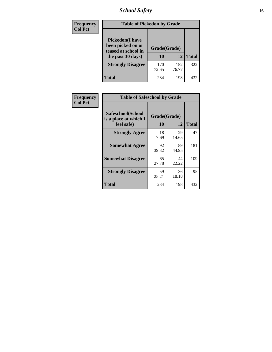# *School Safety* **16**

| <b>Frequency</b> |                                                                                         | <b>Table of Pickedon by Grade</b> |              |              |  |  |  |  |  |  |
|------------------|-----------------------------------------------------------------------------------------|-----------------------------------|--------------|--------------|--|--|--|--|--|--|
| <b>Col Pct</b>   | <b>Pickedon(I have</b><br>been picked on or<br>teased at school in<br>the past 30 days) | Grade(Grade)<br>10                | 12           | <b>Total</b> |  |  |  |  |  |  |
|                  | <b>Strongly Disagree</b>                                                                | 170<br>72.65                      | 152<br>76.77 | 322          |  |  |  |  |  |  |
|                  | Total                                                                                   | 234                               | 198          | 432          |  |  |  |  |  |  |

| Frequency      | <b>Table of Safeschool by Grade</b>                      |                    |             |              |
|----------------|----------------------------------------------------------|--------------------|-------------|--------------|
| <b>Col Pct</b> | Safeschool(School<br>is a place at which I<br>feel safe) | Grade(Grade)<br>10 | 12          | <b>Total</b> |
|                | <b>Strongly Agree</b>                                    | 18<br>7.69         | 29<br>14.65 | 47           |
|                | <b>Somewhat Agree</b>                                    | 92<br>39.32        | 89<br>44.95 | 181          |
|                | <b>Somewhat Disagree</b>                                 | 65<br>27.78        | 44<br>22.22 | 109          |
|                | <b>Strongly Disagree</b>                                 | 59<br>25.21        | 36<br>18.18 | 95           |
|                | Total                                                    | 234                | 198         | 432          |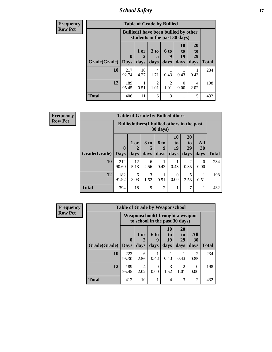*School Safety* **17**

| <b>Frequency</b> | <b>Table of Grade by Bullied</b> |                            |                                                                               |                              |                   |                               |                               |              |  |  |  |
|------------------|----------------------------------|----------------------------|-------------------------------------------------------------------------------|------------------------------|-------------------|-------------------------------|-------------------------------|--------------|--|--|--|
| <b>Row Pct</b>   |                                  |                            | <b>Bullied</b> (I have been bullied by other<br>students in the past 30 days) |                              |                   |                               |                               |              |  |  |  |
|                  | Grade(Grade)                     | $\mathbf 0$<br><b>Days</b> | 1 or<br>days                                                                  | 3 <sub>to</sub><br>5<br>days | 6 to<br>9<br>days | <b>10</b><br>to<br>19<br>days | <b>20</b><br>to<br>29<br>days | <b>Total</b> |  |  |  |
|                  | 10                               | 217<br>92.74               | 10<br>4.27                                                                    | 4<br>1.71                    | 0.43              | 0.43                          | 0.43                          | 234          |  |  |  |
|                  | 12                               | 189<br>95.45               | 0.51                                                                          | $\overline{2}$<br>1.01       | 2<br>1.01         | $\Omega$<br>0.00              | 4<br>2.02                     | 198          |  |  |  |
|                  | <b>Total</b>                     | 406                        | 11                                                                            | 6                            | 3                 |                               | 5                             | 432          |  |  |  |

| Frequency      | <b>Table of Grade by Bulliedothers</b>                         |                             |                |                   |                   |                               |                               |                   |              |  |  |
|----------------|----------------------------------------------------------------|-----------------------------|----------------|-------------------|-------------------|-------------------------------|-------------------------------|-------------------|--------------|--|--|
| <b>Row Pct</b> | <b>Bulliedothers</b> (I bullied others in the past<br>30 days) |                             |                |                   |                   |                               |                               |                   |              |  |  |
|                | Grade(Grade)                                                   | $\mathbf{0}$<br><b>Days</b> | $1$ or<br>days | 3 to<br>5<br>days | 6 to<br>9<br>days | <b>10</b><br>to<br>19<br>days | <b>20</b><br>to<br>29<br>days | All<br>30<br>days | <b>Total</b> |  |  |
|                | 10                                                             | 212<br>90.60                | 12<br>5.13     | 6<br>2.56         | 0.43              | 0.43                          | 2<br>0.85                     | $\Omega$<br>0.00  | 234          |  |  |
|                | 12                                                             | 182<br>91.92                | 6<br>3.03      | 3<br>1.52         | 0.51              | $\Omega$<br>0.00              | 5<br>2.53                     | 0.51              | 198          |  |  |
|                | <b>Total</b>                                                   | 394                         | 18             | 9                 | $\mathfrak{D}$    |                               | $\mathcal{I}$                 |                   | 432          |  |  |

| <b>Frequency</b> | <b>Table of Grade by Weaponschool</b> |                                                                    |              |                          |                        |                               |                        |              |  |  |  |
|------------------|---------------------------------------|--------------------------------------------------------------------|--------------|--------------------------|------------------------|-------------------------------|------------------------|--------------|--|--|--|
| <b>Row Pct</b>   |                                       | Weaponschool (I brought a weapon<br>to school in the past 30 days) |              |                          |                        |                               |                        |              |  |  |  |
|                  | Grade(Grade)                          | $\mathbf{0}$<br><b>Days</b>                                        | 1 or<br>days | <b>6 to</b><br>9<br>days | 10<br>to<br>19<br>days | <b>20</b><br>to<br>29<br>days | All<br>30<br>days      | <b>Total</b> |  |  |  |
|                  |                                       |                                                                    |              |                          |                        |                               |                        |              |  |  |  |
|                  | 10                                    | 223<br>95.30                                                       | 6<br>2.56    | 0.43                     | 0.43                   | 0.43                          | $\overline{2}$<br>0.85 | 234          |  |  |  |
|                  | 12                                    | 189<br>95.45                                                       | 4<br>2.02    | $\Omega$<br>0.00         | 3<br>1.52              | $\mathfrak{D}$<br>1.01        | 0<br>0.00              | 198          |  |  |  |
|                  | <b>Total</b>                          | 412                                                                | 10           |                          | 4                      | 3                             | $\overline{2}$         | 432          |  |  |  |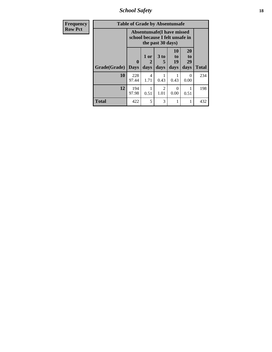*School Safety* **18**

| Frequency      | <b>Table of Grade by Absentunsafe</b> |                                                                      |                   |                                     |                        |                        |              |  |
|----------------|---------------------------------------|----------------------------------------------------------------------|-------------------|-------------------------------------|------------------------|------------------------|--------------|--|
| <b>Row Pct</b> |                                       | <b>Absentunsafe(I have missed</b><br>school because I felt unsafe in |                   |                                     |                        |                        |              |  |
|                | Grade(Grade)                          | $\mathbf{0}$<br><b>Days</b>                                          | 1 or<br>2<br>days | 3 to<br>days                        | 10<br>to<br>19<br>days | 20<br>to<br>29<br>days | <b>Total</b> |  |
|                | 10                                    | 228<br>97.44                                                         | 4<br>1.71         | 0.43                                | 0.43                   | $\Omega$<br>0.00       | 234          |  |
|                | 12                                    | 194<br>97.98                                                         | 0.51              | $\mathcal{D}_{\mathcal{L}}$<br>1.01 | 0.00                   | 0.51                   | 198          |  |
|                | <b>Total</b>                          | 422                                                                  | 5                 | 3                                   | 1                      |                        | 432          |  |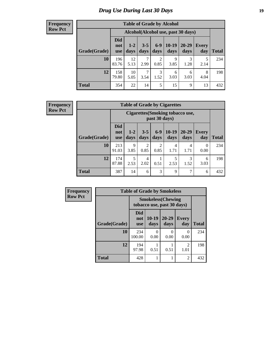# *Drug Use During Last 30 Days* **19**

#### **Frequency Row Pct**

| <b>Table of Grade by Alcohol</b> |                                 |                                                                                                               |           |           |           |           |           |     |  |  |  |
|----------------------------------|---------------------------------|---------------------------------------------------------------------------------------------------------------|-----------|-----------|-----------|-----------|-----------|-----|--|--|--|
|                                  |                                 | Alcohol(Alcohol use, past 30 days)                                                                            |           |           |           |           |           |     |  |  |  |
| Grade(Grade)                     | <b>Did</b><br>not<br><b>use</b> | $10-19$<br>$6 - 9$<br>$20 - 29$<br>$3 - 5$<br>$1 - 2$<br>Every<br>days<br>day<br>days<br>days<br>days<br>days |           |           |           |           |           |     |  |  |  |
| 10                               | 196<br>83.76                    | 12<br>5.13                                                                                                    | 7<br>2.99 | 2<br>0.85 | 9<br>3.85 | 3<br>1.28 | 5<br>2.14 | 234 |  |  |  |
| 12                               | 158<br>79.80                    | 3<br>10<br>7<br>8<br>6<br>6<br>4.04<br>1.52<br>3.03<br>3.03<br>5.05<br>3.54                                   |           |           |           |           |           |     |  |  |  |
| <b>Total</b>                     | 354                             | 22                                                                                                            | 14        | 5         | 15        | 9         | 13        | 432 |  |  |  |

#### **Frequency Row Pct**

| <b>Table of Grade by Cigarettes</b> |                                 |                                                                                                                             |           |                        |           |           |           |     |  |  |  |  |
|-------------------------------------|---------------------------------|-----------------------------------------------------------------------------------------------------------------------------|-----------|------------------------|-----------|-----------|-----------|-----|--|--|--|--|
|                                     |                                 | <b>Cigarettes(Smoking tobacco use,</b><br>past 30 days)                                                                     |           |                        |           |           |           |     |  |  |  |  |
| Grade(Grade)                        | <b>Did</b><br>not<br><b>use</b> | $10-19$<br>$6-9$<br>$20 - 29$<br>$3 - 5$<br>$1 - 2$<br>Every<br>days<br><b>Total</b><br>days<br>days<br>days<br>day<br>days |           |                        |           |           |           |     |  |  |  |  |
| 10                                  | 213<br>91.03                    | 9<br>3.85                                                                                                                   | 2<br>0.85 | $\overline{2}$<br>0.85 | 4<br>1.71 | 4<br>1.71 | 0<br>0.00 | 234 |  |  |  |  |
| 12                                  | 174<br>87.88                    | 5<br>5<br>3<br>4<br>6<br>2.02<br>2.53<br>2.53<br>0.51<br>1.52<br>3.03                                                       |           |                        |           |           |           |     |  |  |  |  |
| <b>Total</b>                        | 387                             | 14                                                                                                                          | 6         | 3                      | 9         | 7         | 6         | 432 |  |  |  |  |

| Frequency      | <b>Table of Grade by Smokeless</b> |                                 |                 |                                                         |                        |              |  |  |  |  |
|----------------|------------------------------------|---------------------------------|-----------------|---------------------------------------------------------|------------------------|--------------|--|--|--|--|
| <b>Row Pct</b> |                                    |                                 |                 | <b>Smokeless</b> (Chewing<br>tobacco use, past 30 days) |                        |              |  |  |  |  |
|                | Grade(Grade)                       | <b>Did</b><br>not<br><b>use</b> | $10-19$<br>days | 20-29<br>days                                           | <b>Every</b><br>day    | <b>Total</b> |  |  |  |  |
|                | 10                                 | 234<br>100.00                   | 0<br>0.00       | $\mathbf{0}$<br>0.00                                    | $\Omega$<br>0.00       | 234          |  |  |  |  |
|                | 12                                 | 194<br>97.98                    | 0.51            | 0.51                                                    | $\overline{2}$<br>1.01 | 198          |  |  |  |  |
|                | <b>Total</b>                       | 428                             |                 |                                                         | $\overline{2}$         | 432          |  |  |  |  |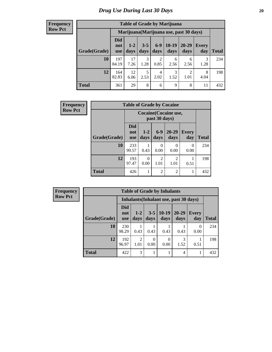#### **Frequency Row Pct**

| <b>Table of Grade by Marijuana</b> |                          |                                                                                                                  |           |           |           |                                         |           |     |  |  |  |  |
|------------------------------------|--------------------------|------------------------------------------------------------------------------------------------------------------|-----------|-----------|-----------|-----------------------------------------|-----------|-----|--|--|--|--|
|                                    |                          |                                                                                                                  |           |           |           | Marijuana (Marijuana use, past 30 days) |           |     |  |  |  |  |
| Grade(Grade)                       | Did<br>not<br><b>use</b> | $10-19$<br>$6-9$<br>20-29<br>$3 - 5$<br>$1 - 2$<br>Every<br>days<br>days<br>days<br>days<br>day<br>Total<br>days |           |           |           |                                         |           |     |  |  |  |  |
| 10                                 | 197<br>84.19             | 17<br>7.26                                                                                                       | 3<br>1.28 | 2<br>0.85 | 6<br>2.56 | 6<br>2.56                               | 3<br>1.28 | 234 |  |  |  |  |
| 12                                 | 164<br>82.83             | 12<br>$\mathcal{D}$<br>3<br>5<br>8<br>4<br>2.02<br>1.52<br>4.04<br>1.01<br>2.53<br>6.06                          |           |           |           |                                         |           |     |  |  |  |  |
| <b>Total</b>                       | 361                      | 29                                                                                                               | 8         | 6         | 9         | 8                                       | 11        | 432 |  |  |  |  |

| <b>Frequency</b> |              |                                 |                                        |                        | <b>Table of Grade by Cocaine</b> |                     |              |  |  |  |
|------------------|--------------|---------------------------------|----------------------------------------|------------------------|----------------------------------|---------------------|--------------|--|--|--|
| <b>Row Pct</b>   |              |                                 | Cocaine (Cocaine use,<br>past 30 days) |                        |                                  |                     |              |  |  |  |
|                  | Grade(Grade) | <b>Did</b><br>not<br><b>use</b> | $1-2$<br>days                          | $6-9$<br>days          | 20-29<br>days                    | <b>Every</b><br>day | <b>Total</b> |  |  |  |
|                  | 10           | 233<br>99.57                    | 0.43                                   | 0<br>0.00              | $\theta$<br>0.00                 | $\Omega$<br>0.00    | 234          |  |  |  |
|                  | 12           | 193<br>97.47                    | 0<br>0.00                              | $\mathfrak{D}$<br>1.01 | $\mathfrak{D}$<br>1.01           | 0.51                | 198          |  |  |  |
|                  | Total        | 426                             |                                        | $\overline{2}$         | $\overline{2}$                   |                     | 432          |  |  |  |

| Frequency      | <b>Table of Grade by Inhalants</b> |                                 |                        |                       |                 |                                        |                     |              |  |  |
|----------------|------------------------------------|---------------------------------|------------------------|-----------------------|-----------------|----------------------------------------|---------------------|--------------|--|--|
| <b>Row Pct</b> |                                    |                                 |                        |                       |                 | Inhalants (Inhalant use, past 30 days) |                     |              |  |  |
|                | Grade(Grade)                       | <b>Did</b><br>not<br><b>use</b> | $1 - 2$<br>days        | $3 - 5$<br>days       | $10-19$<br>days | $20-29$<br>days                        | <b>Every</b><br>day | <b>Total</b> |  |  |
|                | 10                                 | 230<br>98.29                    | 0.43                   | 0.43                  | 0.43            | 0.43                                   | $\Omega$<br>0.00    | 234          |  |  |
|                | 12                                 | 192<br>96.97                    | $\mathfrak{D}$<br>1.01 | $\mathcal{O}$<br>0.00 | 0<br>0.00       | 3<br>1.52                              | 0.51                | 198          |  |  |
|                | <b>Total</b>                       | 422                             | 3                      |                       |                 | 4                                      |                     | 432          |  |  |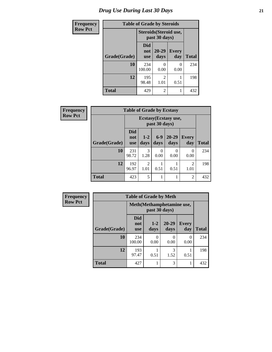# *Drug Use During Last 30 Days* **21**

| <b>Frequency</b> | <b>Table of Grade by Steroids</b> |                                         |                           |                     |              |
|------------------|-----------------------------------|-----------------------------------------|---------------------------|---------------------|--------------|
| Row Pct          |                                   | Steroids (Steroid use,<br>past 30 days) |                           |                     |              |
|                  | Grade(Grade)                      | Did<br>not<br><b>use</b>                | $20 - 29$<br>days         | <b>Every</b><br>day | <b>Total</b> |
|                  | 10                                | 234<br>100.00                           | $\mathbf{\Omega}$<br>0.00 | 0<br>0.00           | 234          |
|                  | 12                                | 195<br>98.48                            | 2<br>1.01                 | 0.51                | 198          |
|                  | <b>Total</b>                      | 429                                     | $\overline{c}$            |                     | 432          |

| Frequency      |              | <b>Table of Grade by Ecstasy</b> |                        |               |                       |                        |              |
|----------------|--------------|----------------------------------|------------------------|---------------|-----------------------|------------------------|--------------|
| <b>Row Pct</b> |              |                                  |                        | past 30 days) | Ecstasy (Ecstasy use, |                        |              |
|                | Grade(Grade) | <b>Did</b><br>not<br><b>use</b>  | $1-2$<br>days          | $6-9$<br>days | $20 - 29$<br>days     | Every<br>day           | <b>Total</b> |
|                | 10           | 231<br>98.72                     | 3<br>1.28              | 0<br>0.00     | $\mathcal{O}$<br>0.00 | $\Omega$<br>0.00       | 234          |
|                | 12           | 192<br>96.97                     | $\mathfrak{D}$<br>1.01 | 0.51          | 0.51                  | $\overline{2}$<br>1.01 | 198          |
|                | <b>Total</b> | 423                              | 5                      |               |                       | 2                      | 432          |

| <b>Frequency</b> | <b>Table of Grade by Meth</b> |                                 |                                             |               |                     |              |
|------------------|-------------------------------|---------------------------------|---------------------------------------------|---------------|---------------------|--------------|
| <b>Row Pct</b>   |                               |                                 | Meth (Methamphetamine use,<br>past 30 days) |               |                     |              |
|                  | Grade(Grade)                  | <b>Did</b><br>not<br><b>use</b> | $1-2$<br>days                               | 20-29<br>days | <b>Every</b><br>day | <b>Total</b> |
|                  | 10                            | 234<br>100.00                   | 0<br>0.00                                   | 0<br>0.00     | 0<br>0.00           | 234          |
|                  | 12                            | 193<br>97.47                    | 0.51                                        | 3<br>1.52     | 0.51                | 198          |
|                  | <b>Total</b>                  | 427                             |                                             | 3             |                     | 432          |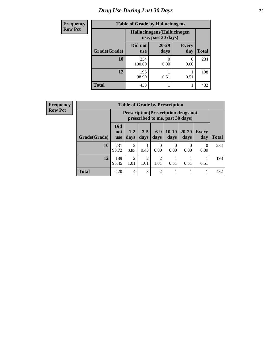# *Drug Use During Last 30 Days* **22**

| <b>Frequency</b> | <b>Table of Grade by Hallucinogens</b>            |                       |                   |                     |              |
|------------------|---------------------------------------------------|-----------------------|-------------------|---------------------|--------------|
| <b>Row Pct</b>   | Hallucinogens (Hallucinogen<br>use, past 30 days) |                       |                   |                     |              |
|                  | Grade(Grade)                                      | Did not<br><b>use</b> | $20 - 29$<br>days | <b>Every</b><br>day | <b>Total</b> |
|                  | 10                                                | 234<br>100.00         | 0.00              | 0<br>0.00           | 234          |
|                  | 12                                                | 196<br>98.99          | 0.51              | 0.51                | 198          |
|                  | <b>Total</b>                                      | 430                   |                   |                     | 432          |

| Frequency      |              | <b>Table of Grade by Prescription</b> |                          |                                                                                |                        |                        |                  |                   |                     |              |
|----------------|--------------|---------------------------------------|--------------------------|--------------------------------------------------------------------------------|------------------------|------------------------|------------------|-------------------|---------------------|--------------|
| <b>Row Pct</b> |              |                                       |                          | <b>Prescription</b> (Prescription drugs not<br>prescribed to me, past 30 days) |                        |                        |                  |                   |                     |              |
|                |              | Grade(Grade)                          | <b>Did</b><br>not<br>use | $1 - 2$<br>days                                                                | $3 - 5$<br>days        | $6-9$<br>days          | $10-19$<br>days  | $20 - 29$<br>days | <b>Every</b><br>day | <b>Total</b> |
|                |              | 10                                    | 231<br>98.72             | 0.85                                                                           | 0.43                   | $\Omega$<br>0.00       | $\theta$<br>0.00 | 0<br>0.00         | 0<br>0.00           | 234          |
|                |              | 12                                    | 189<br>95.45             | 2<br>1.01                                                                      | $\overline{2}$<br>1.01 | $\mathfrak{D}$<br>1.01 | 0.51             | 0.51              | 0.51                | 198          |
|                | <b>Total</b> |                                       | 420                      | $\overline{4}$                                                                 | 3                      | 2                      |                  |                   |                     | 432          |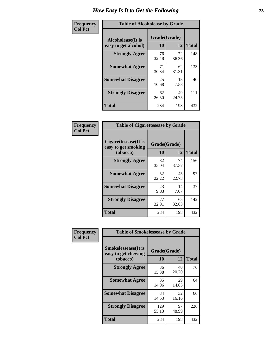| Frequency      | <b>Table of Alcoholease by Grade</b>              |                    |             |              |  |
|----------------|---------------------------------------------------|--------------------|-------------|--------------|--|
| <b>Col Pct</b> | <b>Alcoholease</b> (It is<br>easy to get alcohol) | Grade(Grade)<br>10 | 12          | <b>Total</b> |  |
|                | <b>Strongly Agree</b>                             | 76<br>32.48        | 72<br>36.36 | 148          |  |
|                | <b>Somewhat Agree</b>                             | 71<br>30.34        | 62<br>31.31 | 133          |  |
|                | <b>Somewhat Disagree</b>                          | 25<br>10.68        | 15<br>7.58  | 40           |  |
|                | <b>Strongly Disagree</b>                          | 62<br>26.50        | 49<br>24.75 | 111          |  |
|                | <b>Total</b>                                      | 234                | 198         | 432          |  |

| Frequency      | <b>Table of Cigarettesease by Grade</b>                 |                    |             |              |  |
|----------------|---------------------------------------------------------|--------------------|-------------|--------------|--|
| <b>Col Pct</b> | Cigarettesease(It is<br>easy to get smoking<br>tobacco) | Grade(Grade)<br>10 | 12          | <b>Total</b> |  |
|                | <b>Strongly Agree</b>                                   | 82<br>35.04        | 74<br>37.37 | 156          |  |
|                | <b>Somewhat Agree</b>                                   | 52<br>22.22        | 45<br>22.73 | 97           |  |
|                | <b>Somewhat Disagree</b>                                | 23<br>9.83         | 14<br>7.07  | 37           |  |
|                | <b>Strongly Disagree</b>                                | 77<br>32.91        | 65<br>32.83 | 142          |  |
|                | <b>Total</b>                                            | 234                | 198         | 432          |  |

| Frequency      | <b>Table of Smokelessease by Grade</b>                         |                    |             |              |
|----------------|----------------------------------------------------------------|--------------------|-------------|--------------|
| <b>Col Pct</b> | <b>Smokelessease</b> (It is<br>easy to get chewing<br>tobacco) | Grade(Grade)<br>10 | 12          | <b>Total</b> |
|                | <b>Strongly Agree</b>                                          | 36<br>15.38        | 40<br>20.20 | 76           |
|                | <b>Somewhat Agree</b>                                          | 35<br>14.96        | 29<br>14.65 | 64           |
|                | <b>Somewhat Disagree</b>                                       | 34<br>14.53        | 32<br>16.16 | 66           |
|                | <b>Strongly Disagree</b>                                       | 129<br>55.13       | 97<br>48.99 | 226          |
|                | Total                                                          | 234                | 198         | 432          |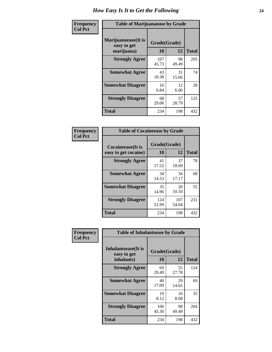| Frequency      | <b>Table of Marijuanaease by Grade</b>           |                    |             |              |  |  |
|----------------|--------------------------------------------------|--------------------|-------------|--------------|--|--|
| <b>Col Pct</b> | Marijuanaease(It is<br>easy to get<br>marijuana) | Grade(Grade)<br>10 | 12          | <b>Total</b> |  |  |
|                | <b>Strongly Agree</b>                            | 107<br>45.73       | 98<br>49.49 | 205          |  |  |
|                | <b>Somewhat Agree</b>                            | 43<br>18.38        | 31<br>15.66 | 74           |  |  |
|                | <b>Somewhat Disagree</b>                         | 16<br>6.84         | 12<br>6.06  | 28           |  |  |
|                | <b>Strongly Disagree</b>                         | 68<br>29.06        | 57<br>28.79 | 125          |  |  |
|                | Total                                            | 234                | 198         | 432          |  |  |

| <b>Table of Cocaineease by Grade</b>      |                    |              |              |  |  |  |  |
|-------------------------------------------|--------------------|--------------|--------------|--|--|--|--|
| Cocaineease(It is<br>easy to get cocaine) | Grade(Grade)<br>10 | 12           | <b>Total</b> |  |  |  |  |
| <b>Strongly Agree</b>                     | 41<br>17.52        | 37<br>18.69  | 78           |  |  |  |  |
| <b>Somewhat Agree</b>                     | 34<br>14.53        | 34<br>17.17  | 68           |  |  |  |  |
| <b>Somewhat Disagree</b>                  | 35<br>14.96        | 20<br>10.10  | 55           |  |  |  |  |
| <b>Strongly Disagree</b>                  | 124<br>52.99       | 107<br>54.04 | 231          |  |  |  |  |
| <b>Total</b>                              | 234                | 198          | 432          |  |  |  |  |

| Frequency      | <b>Table of Inhalantsease by Grade</b>                   |                    |             |              |  |
|----------------|----------------------------------------------------------|--------------------|-------------|--------------|--|
| <b>Col Pct</b> | <b>Inhalantsease</b> (It is<br>easy to get<br>inhalants) | Grade(Grade)<br>10 | 12          | <b>Total</b> |  |
|                | <b>Strongly Agree</b>                                    | 69<br>29.49        | 55<br>27.78 | 124          |  |
|                | <b>Somewhat Agree</b>                                    | 40<br>17.09        | 29<br>14.65 | 69           |  |
|                | <b>Somewhat Disagree</b>                                 | 19<br>8.12         | 16<br>8.08  | 35           |  |
|                | <b>Strongly Disagree</b>                                 | 106<br>45.30       | 98<br>49.49 | 204          |  |
|                | <b>Total</b>                                             | 234                | 198         | 432          |  |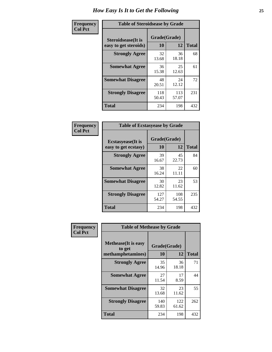| Frequency      | <b>Table of Steroidsease by Grade</b>               |                    |              |              |  |
|----------------|-----------------------------------------------------|--------------------|--------------|--------------|--|
| <b>Col Pct</b> | <b>Steroidsease</b> (It is<br>easy to get steroids) | Grade(Grade)<br>10 | 12           | <b>Total</b> |  |
|                | <b>Strongly Agree</b>                               | 32<br>13.68        | 36<br>18.18  | 68           |  |
|                | <b>Somewhat Agree</b>                               | 36<br>15.38        | 25<br>12.63  | 61           |  |
|                | <b>Somewhat Disagree</b>                            | 48<br>20.51        | 24<br>12.12  | 72           |  |
|                | <b>Strongly Disagree</b>                            | 118<br>50.43       | 113<br>57.07 | 231          |  |
|                | Total                                               | 234                | 198          | 432          |  |

| Frequency      |                                                   |                    | <b>Table of Ecstasyease by Grade</b> |              |  |  |  |  |  |  |  |
|----------------|---------------------------------------------------|--------------------|--------------------------------------|--------------|--|--|--|--|--|--|--|
| <b>Col Pct</b> | <b>Ecstasyease</b> (It is<br>easy to get ecstasy) | Grade(Grade)<br>10 | 12                                   | <b>Total</b> |  |  |  |  |  |  |  |
|                | <b>Strongly Agree</b>                             | 39<br>16.67        | 45<br>22.73                          | 84           |  |  |  |  |  |  |  |
|                | <b>Somewhat Agree</b>                             | 38<br>16.24        | 22<br>11.11                          | 60           |  |  |  |  |  |  |  |
|                | <b>Somewhat Disagree</b>                          | 30<br>12.82        | 23<br>11.62                          | 53           |  |  |  |  |  |  |  |
|                | <b>Strongly Disagree</b>                          | 127<br>54.27       | 108<br>54.55                         | 235          |  |  |  |  |  |  |  |
|                | <b>Total</b>                                      | 234                | 198                                  | 432          |  |  |  |  |  |  |  |

| Frequency      | <b>Table of Methease by Grade</b>                          |                    |              |              |
|----------------|------------------------------------------------------------|--------------------|--------------|--------------|
| <b>Col Pct</b> | <b>Methease</b> (It is easy<br>to get<br>methamphetamines) | Grade(Grade)<br>10 | 12           | <b>Total</b> |
|                | <b>Strongly Agree</b>                                      | 35<br>14.96        | 36<br>18.18  | 71           |
|                | <b>Somewhat Agree</b>                                      | 27<br>11.54        | 17<br>8.59   | 44           |
|                | <b>Somewhat Disagree</b>                                   | 32<br>13.68        | 23<br>11.62  | 55           |
|                | <b>Strongly Disagree</b>                                   | 140<br>59.83       | 122<br>61.62 | 262          |
|                | <b>Total</b>                                               | 234                | 198          | 432          |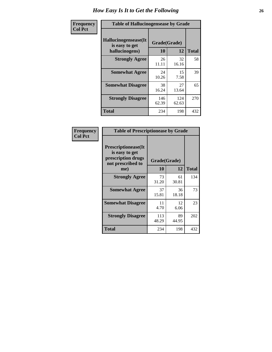| <b>Frequency</b> | <b>Table of Hallucinogensease by Grade</b>               |                    |              |              |  |  |  |  |  |
|------------------|----------------------------------------------------------|--------------------|--------------|--------------|--|--|--|--|--|
| <b>Col Pct</b>   | Hallucinogensease(It<br>is easy to get<br>hallucinogens) | Grade(Grade)<br>10 | 12           | <b>Total</b> |  |  |  |  |  |
|                  | <b>Strongly Agree</b>                                    | 26<br>11.11        | 32<br>16.16  | 58           |  |  |  |  |  |
|                  | <b>Somewhat Agree</b>                                    | 24<br>10.26        | 15<br>7.58   | 39           |  |  |  |  |  |
|                  | <b>Somewhat Disagree</b>                                 | 38<br>16.24        | 27<br>13.64  | 65           |  |  |  |  |  |
|                  | <b>Strongly Disagree</b>                                 | 146<br>62.39       | 124<br>62.63 | 270          |  |  |  |  |  |
|                  | <b>Total</b>                                             | 234                | 198          | 432          |  |  |  |  |  |

| Frequency<br>Col Pct |
|----------------------|
|                      |

| <b>Table of Prescriptionease by Grade</b>                                                |              |             |              |
|------------------------------------------------------------------------------------------|--------------|-------------|--------------|
| <b>Prescriptionease</b> (It<br>is easy to get<br>prescription drugs<br>not prescribed to | Grade(Grade) |             |              |
| me)                                                                                      | 10           | 12          | <b>Total</b> |
| <b>Strongly Agree</b>                                                                    | 73<br>31.20  | 61<br>30.81 | 134          |
| <b>Somewhat Agree</b>                                                                    | 37<br>15.81  | 36<br>18.18 | 73           |
| <b>Somewhat Disagree</b>                                                                 | 11<br>4.70   | 12<br>6.06  | 23           |
| <b>Strongly Disagree</b>                                                                 | 113<br>48.29 | 89<br>44.95 | 202          |
| <b>Total</b>                                                                             | 234          | 198         | 432          |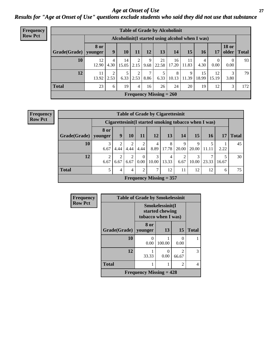#### *Age at Onset of Use* **27** *Results for "Age at Onset of Use" questions exclude students who said they did not use that substance*

| Frequency      |                                                  | <b>Table of Grade by Alcoholinit</b> |           |             |                |           |                           |             |             |             |             |                       |              |
|----------------|--------------------------------------------------|--------------------------------------|-----------|-------------|----------------|-----------|---------------------------|-------------|-------------|-------------|-------------|-----------------------|--------------|
| <b>Row Pct</b> | Alcoholinit (I started using alcohol when I was) |                                      |           |             |                |           |                           |             |             |             |             |                       |              |
|                | Grade(Grade)                                     | 8 or<br>younger                      | 9         | <b>10</b>   | 11             | 12        | 13                        | 14          | 15          | <b>16</b>   | 17          | <b>18 or</b><br>older | <b>Total</b> |
|                | 10                                               | 12<br>12.90                          | 4<br>4.30 | 14<br>15.05 | 2.15           | 9<br>9.68 | 21<br>22.58               | 16<br>17.20 | 11<br>11.83 | 4<br>4.30   | 0<br>0.00   | 0.00                  | 93           |
|                | 12                                               | 11<br>13.92                          | ◠<br>2.53 | 5<br>6.33   | 2<br>2.53      | 7<br>8.86 | 5<br>6.33                 | 8<br>10.13  | 9<br>11.39  | 15<br>18.99 | 12<br>15.19 | 3<br>3.80             | 79           |
|                | <b>Total</b>                                     | 23                                   | 6         | 19          | $\overline{4}$ | 16        | 26                        | 24          | 20          | 19          | 12          | 3                     | 172          |
|                |                                                  |                                      |           |             |                |           | Frequency Missing $= 260$ |             |             |             |             |                       |              |

**Frequency Row Pct**

|              |                        |                                                       |                        |                        | <b>Table of Grade by Cigarettesinit</b> |            |            |            |            |       |              |
|--------------|------------------------|-------------------------------------------------------|------------------------|------------------------|-----------------------------------------|------------|------------|------------|------------|-------|--------------|
|              |                        | Cigarettesinit (I started smoking tobacco when I was) |                        |                        |                                         |            |            |            |            |       |              |
| Grade(Grade) | 8 or<br>younger        | 9                                                     | 10                     | 11                     | <b>12</b>                               | 13         | 14         | 15         | 16         | 17    | <b>Total</b> |
| 10           | 3<br>6.67              | ↑<br>4.44                                             | 2<br>4.44              | $\overline{2}$<br>4.44 | 4<br>8.89                               | 8<br>17.78 | 9<br>20.00 | 9<br>20.00 | 5<br>11.11 | 2.22  | 45           |
| 12           | $\overline{2}$<br>6.67 | $\overline{2}$<br>6.67                                | $\overline{2}$<br>6.67 | $\theta$<br>0.00       | 3<br>10.00                              | 4<br>13.33 | 2<br>6.67  | 3<br>10.00 | ⇁<br>23.33 | 16.67 | 30           |
| <b>Total</b> | 5                      | 4                                                     | 4                      | $\overline{2}$         | 7                                       | 12         | 11         | 12         | 12         | 6     | 75           |
|              |                        |                                                       |                        |                        | Frequency Missing $= 357$               |            |            |            |            |       |              |

| Frequency      |              | <b>Table of Grade by Smokelessinit</b> |                                    |            |              |
|----------------|--------------|----------------------------------------|------------------------------------|------------|--------------|
| <b>Row Pct</b> |              | tobacco when I was)                    | Smokelessinit(I<br>started chewing |            |              |
|                | Grade(Grade) | 8 or<br>younger                        | 13                                 | 15         | <b>Total</b> |
|                | 10           | O<br>0.00                              | 100.00                             | 0<br>0.00  |              |
|                | 12           | 1<br>33.33                             | $\mathbf{\Omega}$<br>0.00          | 2<br>66.67 | 3            |
|                | <b>Total</b> | 1                                      |                                    | 2          | 4            |
|                |              | <b>Frequency Missing = 428</b>         |                                    |            |              |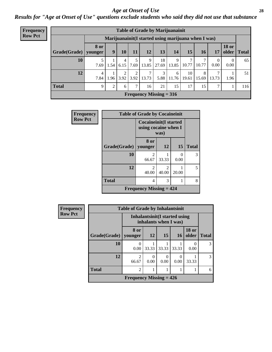#### *Age at Onset of Use* **28**

*Results for "Age at Onset of Use" questions exclude students who said they did not use that substance*

| <b>Frequency</b> |                                                      |                        |                |           |                        |       |                                | <b>Table of Grade by Marijuanainit</b> |             |            |                  |                  |             |
|------------------|------------------------------------------------------|------------------------|----------------|-----------|------------------------|-------|--------------------------------|----------------------------------------|-------------|------------|------------------|------------------|-------------|
| <b>Row Pct</b>   | Marijuanainit (I started using marijuana when I was) |                        |                |           |                        |       |                                |                                        |             |            |                  |                  |             |
|                  | Grade(Grade)                                         | <b>8 or</b><br>younger | 9 <sup>1</sup> | 10        | 11                     | 12    | 13                             | 14                                     | 15          | 16         | 17               | <b>18 or</b>     | older Total |
|                  | 10                                                   | 7.69                   | 1.54           | 4<br>6.15 | 7.69                   | 13.85 | 18<br>27.69                    | 9<br>13.85                             | 10.77       | 10.77      | $\Omega$<br>0.00 | $\theta$<br>0.00 | 65          |
|                  | 12                                                   | 4<br>7.84              | 1.96           | ↑<br>3.92 | $\overline{2}$<br>3.92 | 13.73 | 3<br>5.88                      | 6<br>11.76                             | 10<br>19.61 | 8<br>15.69 | 7<br>13.73       | 1.96             | 51          |
|                  | <b>Total</b>                                         | 9                      | 2              | 6         | 7                      | 16    | 21                             | 15                                     | 17          | 15         | 7                |                  | 116         |
|                  |                                                      |                        |                |           |                        |       | <b>Frequency Missing = 316</b> |                                        |             |            |                  |                  |             |

| Frequency      | <b>Table of Grade by Cocaineinit</b> |                                             |                                                              |                  |              |  |  |  |  |
|----------------|--------------------------------------|---------------------------------------------|--------------------------------------------------------------|------------------|--------------|--|--|--|--|
| <b>Row Pct</b> |                                      |                                             | <b>Cocaineinit(I started</b><br>using cocaine when I<br>was) |                  |              |  |  |  |  |
|                | Grade(Grade)   younger               | <b>8 or</b>                                 | 12                                                           | 15               | <b>Total</b> |  |  |  |  |
|                | 10                                   | $\mathfrak{D}$<br>66.67                     | 33.33                                                        | $\Omega$<br>0.00 | 3            |  |  |  |  |
|                | 12                                   | $\overline{2}$<br>40.00                     | $\mathfrak{D}$<br>40.00                                      | 20.00            | 5            |  |  |  |  |
|                | <b>Total</b>                         | 4                                           | 3                                                            |                  | 8            |  |  |  |  |
|                |                                      | <b>Frequency Missing <math>= 424</math></b> |                                                              |                  |              |  |  |  |  |

| <b>Frequency</b> | <b>Table of Grade by Inhalantsinit</b> |                           |           |                                                         |       |                       |              |  |
|------------------|----------------------------------------|---------------------------|-----------|---------------------------------------------------------|-------|-----------------------|--------------|--|
| <b>Row Pct</b>   |                                        |                           |           | Inhalantsinit (I started using<br>inhalants when I was) |       |                       |              |  |
|                  | Grade(Grade)                           | 8 or<br>younger           | <b>12</b> | 15                                                      | 16    | <b>18 or</b><br>older | <b>Total</b> |  |
|                  | 10                                     | 0<br>0.00                 | 33.33     | 33.33                                                   | 33.33 | 0.00                  | 3            |  |
|                  | 12                                     | $\overline{c}$<br>66.67   | 0.00      | $\theta$<br>0.00                                        | 0.00  | 33.33                 | 3            |  |
|                  | <b>Total</b>                           | $\overline{c}$            |           |                                                         |       |                       | 6            |  |
|                  |                                        | Frequency Missing $= 426$ |           |                                                         |       |                       |              |  |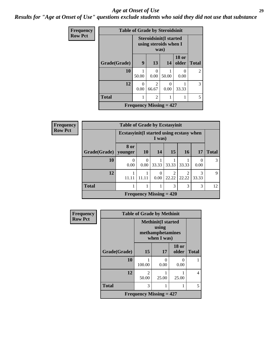#### *Age at Onset of Use* **29**

*Results for "Age at Onset of Use" questions exclude students who said they did not use that substance*

| Frequency      | <b>Table of Grade by Steroidsinit</b> |                  |                                                        |                  |                       |                |
|----------------|---------------------------------------|------------------|--------------------------------------------------------|------------------|-----------------------|----------------|
| <b>Row Pct</b> |                                       |                  | <b>Steroidsinit(I started</b><br>using steroids when I |                  |                       |                |
|                | Grade(Grade)                          | 9                | 13                                                     | 14 <sup>1</sup>  | <b>18 or</b><br>older | <b>Total</b>   |
|                | 10                                    | 50.00            | 0<br>0.00                                              | 50.00            | 0<br>0.00             | $\overline{c}$ |
|                | 12                                    | $\Omega$<br>0.00 | $\mathfrak{D}$<br>66.67                                | $\theta$<br>0.00 | 33.33                 | 3              |
|                | <b>Total</b>                          | 1                | $\overline{c}$                                         |                  | 1                     | 5              |
|                |                                       |                  | Frequency Missing $= 427$                              |                  |                       |                |

| <b>Frequency</b> | <b>Table of Grade by Ecstasyinit</b> |                                                     |      |       |       |       |          |  |  |
|------------------|--------------------------------------|-----------------------------------------------------|------|-------|-------|-------|----------|--|--|
| <b>Row Pct</b>   |                                      | Ecstasyinit (I started using ecstasy when<br>I was) |      |       |       |       |          |  |  |
|                  |                                      | 8 or                                                |      |       |       |       |          |  |  |
|                  | Grade(Grade)   younger               |                                                     | 10   | 14    | 15    | 16    | 17       |  |  |
|                  | <b>10</b>                            |                                                     |      |       |       |       | $\Omega$ |  |  |
|                  |                                      | 0.00                                                | 0.00 | 33.33 | 33.33 | 33.33 | 0.00     |  |  |
|                  |                                      |                                                     |      |       | ↑     |       | 3        |  |  |

| Frequency Missing $= 420$ |      |  |      |                                |       |       |    |
|---------------------------|------|--|------|--------------------------------|-------|-------|----|
| <b>Total</b>              |      |  |      |                                |       |       | 12 |
| 12                        |      |  | 0.00 | 22.22                          | 22.22 | 33.33 | 9  |
| 10                        | 0.00 |  |      | $0.00$   33.33   33.33   33.33 |       | 0.00  |    |

**Total**

| Frequency      | <b>Table of Grade by Methinit</b> |                                                                       |                  |                       |              |  |  |
|----------------|-----------------------------------|-----------------------------------------------------------------------|------------------|-----------------------|--------------|--|--|
| <b>Row Pct</b> |                                   | <b>Methinit(I started</b><br>using<br>methamphetamines<br>when I was) |                  |                       |              |  |  |
|                | Grade(Grade)                      | 15                                                                    | 17               | <b>18 or</b><br>older | <b>Total</b> |  |  |
|                | 10                                | 100.00                                                                | $\Omega$<br>0.00 | 0<br>0.00             |              |  |  |
|                | 12                                | $\overline{c}$<br>50.00                                               | 25.00            | 25.00                 | 4            |  |  |
|                | <b>Total</b>                      | 3                                                                     | 1                | 1                     | 5            |  |  |
|                | Frequency Missing $= 427$         |                                                                       |                  |                       |              |  |  |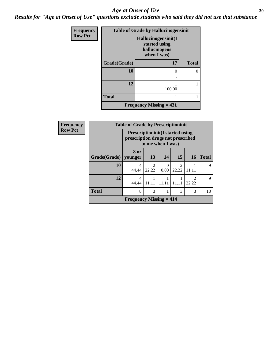#### Age at Onset of Use **30**

*Results for "Age at Onset of Use" questions exclude students who said they did not use that substance*

| Frequency      | <b>Table of Grade by Hallucinogensinit</b> |                                                                      |              |  |
|----------------|--------------------------------------------|----------------------------------------------------------------------|--------------|--|
| <b>Row Pct</b> |                                            | Hallucinogensinit(I<br>started using<br>hallucinogens<br>when I was) |              |  |
|                | Grade(Grade)                               | 17                                                                   | <b>Total</b> |  |
|                | 10                                         | 0<br>٠                                                               | 0            |  |
|                | 12                                         | 100.00                                                               |              |  |
|                | <b>Total</b>                               |                                                                      |              |  |
|                |                                            | <b>Frequency Missing = 431</b>                                       |              |  |

| Frequency      |                        | <b>Table of Grade by Prescriptioninit</b>                                                          |                        |           |                                      |                         |              |
|----------------|------------------------|----------------------------------------------------------------------------------------------------|------------------------|-----------|--------------------------------------|-------------------------|--------------|
| <b>Row Pct</b> |                        | <b>Prescriptioninit (I started using</b><br>prescription drugs not prescribed<br>to me when I was) |                        |           |                                      |                         |              |
|                | Grade(Grade)   younger | 8 or                                                                                               | 13                     | 14        | 15                                   | <b>16</b>               | <b>Total</b> |
|                | 10                     | 4<br>44.44                                                                                         | $\mathcal{D}$<br>22.22 | 0<br>0.00 | $\mathcal{D}_{\mathcal{L}}$<br>22.22 | 11.11                   | Q            |
|                | 12                     | $\overline{\mathcal{A}}$<br>44.44                                                                  |                        |           |                                      | $\mathfrak{D}$<br>22.22 | 9            |
|                | <b>Total</b>           | 8                                                                                                  | 3                      |           | 3                                    | 3                       | 18           |
|                |                        | <b>Frequency Missing <math>= 414</math></b>                                                        |                        |           |                                      |                         |              |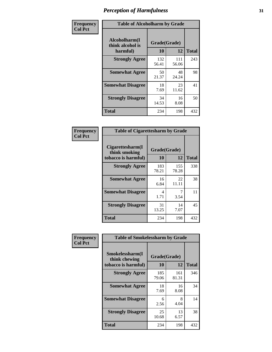| Frequency      | <b>Table of Alcoholharm by Grade</b>          |                    |              |              |  |
|----------------|-----------------------------------------------|--------------------|--------------|--------------|--|
| <b>Col Pct</b> | Alcoholharm(I<br>think alcohol is<br>harmful) | Grade(Grade)<br>10 | 12           | <b>Total</b> |  |
|                | <b>Strongly Agree</b>                         | 132<br>56.41       | 111<br>56.06 | 243          |  |
|                | <b>Somewhat Agree</b>                         | 50<br>21.37        | 48<br>24.24  | 98           |  |
|                | <b>Somewhat Disagree</b>                      | 18<br>7.69         | 23<br>11.62  | 41           |  |
|                | <b>Strongly Disagree</b>                      | 34<br>14.53        | 16<br>8.08   | 50           |  |
|                | <b>Total</b>                                  | 234                | 198          | 432          |  |

| <b>Table of Cigarettesharm by Grade</b>                  |                    |              |              |  |  |  |  |
|----------------------------------------------------------|--------------------|--------------|--------------|--|--|--|--|
| Cigarettesharm(I<br>think smoking<br>tobacco is harmful) | Grade(Grade)<br>10 | 12           | <b>Total</b> |  |  |  |  |
| <b>Strongly Agree</b>                                    | 183<br>78.21       | 155<br>78.28 | 338          |  |  |  |  |
| <b>Somewhat Agree</b>                                    | 16<br>6.84         | 22<br>11.11  | 38           |  |  |  |  |
| <b>Somewhat Disagree</b>                                 | 4<br>1.71          | 7<br>3.54    | 11           |  |  |  |  |
| <b>Strongly Disagree</b>                                 | 31<br>13.25        | 14<br>7.07   | 45           |  |  |  |  |
| <b>Total</b>                                             | 234                | 198          | 432          |  |  |  |  |

| Frequency      | <b>Table of Smokelessharm by Grade</b>                  |                           |              |              |  |  |
|----------------|---------------------------------------------------------|---------------------------|--------------|--------------|--|--|
| <b>Col Pct</b> | Smokelessharm(I<br>think chewing<br>tobacco is harmful) | Grade(Grade)<br><b>10</b> | 12           | <b>Total</b> |  |  |
|                | <b>Strongly Agree</b>                                   | 185<br>79.06              | 161<br>81.31 | 346          |  |  |
|                | <b>Somewhat Agree</b>                                   | 18<br>7.69                | 16<br>8.08   | 34           |  |  |
|                | <b>Somewhat Disagree</b>                                | 6<br>2.56                 | 8<br>4.04    | 14           |  |  |
|                | <b>Strongly Disagree</b>                                | 25<br>10.68               | 13<br>6.57   | 38           |  |  |
|                | <b>Total</b>                                            | 234                       | 198          | 432          |  |  |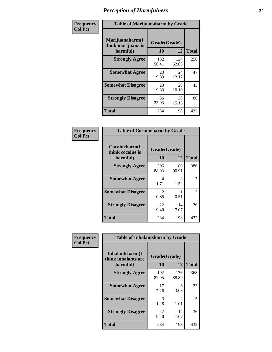| Frequency      | <b>Table of Marijuanaharm by Grade</b>            |                    |              |              |
|----------------|---------------------------------------------------|--------------------|--------------|--------------|
| <b>Col Pct</b> | Marijuanaharm(I<br>think marijuana is<br>harmful) | Grade(Grade)<br>10 | 12           | <b>Total</b> |
|                | <b>Strongly Agree</b>                             | 132<br>56.41       | 124<br>62.63 | 256          |
|                | <b>Somewhat Agree</b>                             | 23<br>9.83         | 24<br>12.12  | 47           |
|                | <b>Somewhat Disagree</b>                          | 23<br>9.83         | 20<br>10.10  | 43           |
|                | <b>Strongly Disagree</b>                          | 56<br>23.93        | 30<br>15.15  | 86           |
|                | <b>Total</b>                                      | 234                | 198          | 432          |

| <b>Table of Cocaineharm by Grade</b>          |                        |              |     |  |  |  |
|-----------------------------------------------|------------------------|--------------|-----|--|--|--|
| Cocaineharm(I<br>think cocaine is<br>harmful) | Grade(Grade)<br>10     | <b>Total</b> |     |  |  |  |
| <b>Strongly Agree</b>                         | 206<br>88.03           | 180<br>90.91 | 386 |  |  |  |
| <b>Somewhat Agree</b>                         | 4<br>1.71              | 3<br>1.52    | 7   |  |  |  |
| <b>Somewhat Disagree</b>                      | $\mathfrak{D}$<br>0.85 | 0.51         | 3   |  |  |  |
| <b>Strongly Disagree</b>                      | 22<br>9.40             | 14<br>7.07   | 36  |  |  |  |
| <b>Total</b>                                  | 234                    | 198          | 432 |  |  |  |

| Frequency      | <b>Table of Inhalantsharm by Grade</b>  |              |                       |              |  |  |
|----------------|-----------------------------------------|--------------|-----------------------|--------------|--|--|
| <b>Col Pct</b> | Inhalantsharm(I)<br>think inhalants are | Grade(Grade) |                       |              |  |  |
|                | harmful)                                | <b>10</b>    | 12                    | <b>Total</b> |  |  |
|                | <b>Strongly Agree</b>                   | 192<br>82.05 | 176<br>88.89          | 368          |  |  |
|                | <b>Somewhat Agree</b>                   | 17<br>7.26   | 6<br>3.03             | 23           |  |  |
|                | <b>Somewhat Disagree</b>                | 3<br>1.28    | $\mathcal{L}$<br>1.01 | 5            |  |  |
|                | <b>Strongly Disagree</b>                | 22<br>9.40   | 14<br>7.07            | 36           |  |  |
|                | <b>Total</b>                            | 234          | 198                   | 432          |  |  |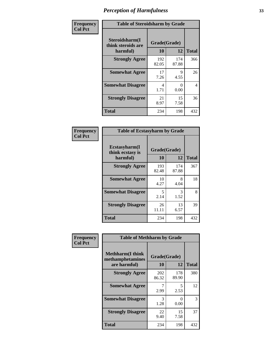| Frequency      | <b>Table of Steroidsharm by Grade</b>            |                    |              |              |  |
|----------------|--------------------------------------------------|--------------------|--------------|--------------|--|
| <b>Col Pct</b> | Steroidsharm(I<br>think steroids are<br>harmful) | Grade(Grade)<br>10 | 12           | <b>Total</b> |  |
|                | <b>Strongly Agree</b>                            | 192<br>82.05       | 174<br>87.88 | 366          |  |
|                | <b>Somewhat Agree</b>                            | 17<br>7.26         | 9<br>4.55    | 26           |  |
|                | <b>Somewhat Disagree</b>                         | 4<br>1.71          | 0<br>0.00    | 4            |  |
|                | <b>Strongly Disagree</b>                         | 21<br>8.97         | 15<br>7.58   | 36           |  |
|                | <b>Total</b>                                     | 234                | 198          | 432          |  |

| <b>Table of Ecstasyharm by Grade</b>                |                    |              |     |  |  |
|-----------------------------------------------------|--------------------|--------------|-----|--|--|
| $E$ cstasyharm $(I$<br>think ecstasy is<br>harmful) | Grade(Grade)<br>10 | <b>Total</b> |     |  |  |
| <b>Strongly Agree</b>                               | 193<br>82.48       | 174<br>87.88 | 367 |  |  |
| <b>Somewhat Agree</b>                               | 10<br>4.27         | 8<br>4.04    | 18  |  |  |
| <b>Somewhat Disagree</b>                            | 5<br>2.14          | 3<br>1.52    | 8   |  |  |
| <b>Strongly Disagree</b>                            | 26<br>11.11        | 13<br>6.57   | 39  |  |  |
| Total                                               | 234                | 198          | 432 |  |  |

| Frequency      | <b>Table of Methharm by Grade</b>                            |                           |              |              |
|----------------|--------------------------------------------------------------|---------------------------|--------------|--------------|
| <b>Col Pct</b> | <b>Methharm</b> (I think<br>methamphetamines<br>are harmful) | Grade(Grade)<br><b>10</b> | 12           | <b>Total</b> |
|                | <b>Strongly Agree</b>                                        | 202<br>86.32              | 178<br>89.90 | 380          |
|                | <b>Somewhat Agree</b>                                        | 2.99                      | 5<br>2.53    | 12           |
|                | <b>Somewhat Disagree</b>                                     | 3<br>1.28                 | 0<br>0.00    | 3            |
|                | <b>Strongly Disagree</b>                                     | 22<br>9.40                | 15<br>7.58   | 37           |
|                | Total                                                        | 234                       | 198          | 432          |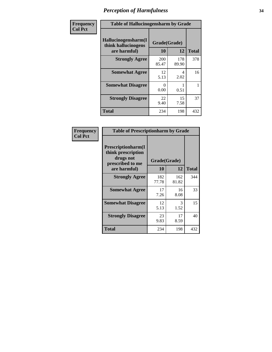| Frequency      | <b>Table of Hallucinogensharm by Grade</b>                 |                     |              |              |
|----------------|------------------------------------------------------------|---------------------|--------------|--------------|
| <b>Col Pct</b> | Hallucinogensharm(I<br>think hallucinogens<br>are harmful) | Grade(Grade)<br>10  | 12           | <b>Total</b> |
|                | <b>Strongly Agree</b>                                      | <b>200</b><br>85.47 | 178<br>89.90 | 378          |
|                | <b>Somewhat Agree</b>                                      | 12<br>5.13          | 4<br>2.02    | 16           |
|                | <b>Somewhat Disagree</b>                                   | 0<br>0.00           | 0.51         | 1            |
|                | <b>Strongly Disagree</b>                                   | 22<br>9.40          | 15<br>7.58   | 37           |
|                | <b>Total</b>                                               | 234                 | 198          | 432          |

| <b>Table of Prescriptionharm by Grade</b>                                 |              |              |              |  |
|---------------------------------------------------------------------------|--------------|--------------|--------------|--|
| Prescriptionharm(I<br>think prescription<br>drugs not<br>prescribed to me | Grade(Grade) |              |              |  |
| are harmful)                                                              | 10           | 12           | <b>Total</b> |  |
| <b>Strongly Agree</b>                                                     | 182<br>77.78 | 162<br>81.82 | 344          |  |
| <b>Somewhat Agree</b>                                                     | 17<br>7.26   | 16<br>8.08   | 33           |  |
| <b>Somewhat Disagree</b>                                                  | 12<br>5.13   | 3<br>1.52    | 15           |  |
| <b>Strongly Disagree</b>                                                  | 23<br>9.83   | 17<br>8.59   | 40           |  |
| Total                                                                     | 234          | 198          | 432          |  |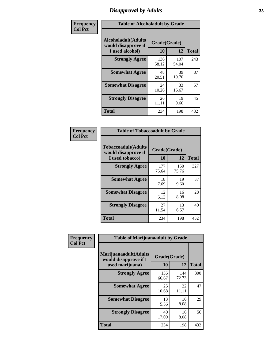# *Disapproval by Adults* **35**

| Frequency      | <b>Table of Alcoholadult by Grade</b>                                 |                    |              |              |
|----------------|-----------------------------------------------------------------------|--------------------|--------------|--------------|
| <b>Col Pct</b> | <b>Alcoholadult</b> (Adults<br>would disapprove if<br>I used alcohol) | Grade(Grade)<br>10 | 12           | <b>Total</b> |
|                | <b>Strongly Agree</b>                                                 | 136<br>58.12       | 107<br>54.04 | 243          |
|                | <b>Somewhat Agree</b>                                                 | 48<br>20.51        | 39<br>19.70  | 87           |
|                | <b>Somewhat Disagree</b>                                              | 24<br>10.26        | 33<br>16.67  | 57           |
|                | <b>Strongly Disagree</b>                                              | 26<br>11.11        | 19<br>9.60   | 45           |
|                | <b>Total</b>                                                          | 234                | 198          | 432          |

| <b>Table of Tobaccoadult by Grade</b>                                |                    |              |              |  |  |
|----------------------------------------------------------------------|--------------------|--------------|--------------|--|--|
| <b>Tobaccoadult(Adults</b><br>would disapprove if<br>I used tobacco) | Grade(Grade)<br>10 | 12           | <b>Total</b> |  |  |
| <b>Strongly Agree</b>                                                | 177<br>75.64       | 150<br>75.76 | 327          |  |  |
| <b>Somewhat Agree</b>                                                | 18<br>7.69         | 19<br>9.60   | 37           |  |  |
| <b>Somewhat Disagree</b>                                             | 12<br>5.13         | 16<br>8.08   | 28           |  |  |
| <b>Strongly Disagree</b>                                             | 27<br>11.54        | 13<br>6.57   | 40           |  |  |
| <b>Total</b>                                                         | 234                | 198          | 432          |  |  |

| Frequency<br><b>Col Pct</b> | <b>Table of Marijuanaadult by Grade</b>                           |                    |              |              |
|-----------------------------|-------------------------------------------------------------------|--------------------|--------------|--------------|
|                             | Marijuanaadult(Adults<br>would disapprove if I<br>used marijuana) | Grade(Grade)<br>10 | 12           | <b>Total</b> |
|                             | <b>Strongly Agree</b>                                             | 156<br>66.67       | 144<br>72.73 | 300          |
|                             | <b>Somewhat Agree</b>                                             | 25<br>10.68        | 22<br>11.11  | 47           |
|                             | <b>Somewhat Disagree</b>                                          | 13<br>5.56         | 16<br>8.08   | 29           |
|                             | <b>Strongly Disagree</b>                                          | 40<br>17.09        | 16<br>8.08   | 56           |
|                             | <b>Total</b>                                                      | 234                | 198          | 432          |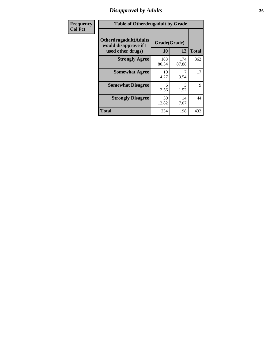### *Disapproval by Adults* **36**

| Frequency      | <b>Table of Otherdrugadult by Grade</b>                                     |                    |              |              |
|----------------|-----------------------------------------------------------------------------|--------------------|--------------|--------------|
| <b>Col Pct</b> | <b>Otherdrugadult</b> (Adults<br>would disapprove if I<br>used other drugs) | Grade(Grade)<br>10 | 12           | <b>Total</b> |
|                | <b>Strongly Agree</b>                                                       | 188<br>80.34       | 174<br>87.88 | 362          |
|                | <b>Somewhat Agree</b>                                                       | 10<br>4.27         | 3.54         | 17           |
|                | <b>Somewhat Disagree</b>                                                    | 6<br>2.56          | 3<br>1.52    | 9            |
|                | <b>Strongly Disagree</b>                                                    | 30<br>12.82        | 14<br>7.07   | 44           |
|                | <b>Total</b>                                                                | 234                | 198          | 432          |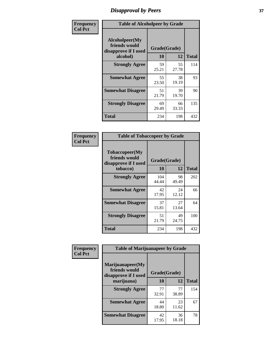# *Disapproval by Peers* **37**

| Frequency      | <b>Table of Alcoholpeer by Grade</b>                    |              |             |              |  |
|----------------|---------------------------------------------------------|--------------|-------------|--------------|--|
| <b>Col Pct</b> | Alcoholpeer(My<br>friends would<br>disapprove if I used | Grade(Grade) |             |              |  |
|                | alcohol)                                                | 10           | 12          | <b>Total</b> |  |
|                | <b>Strongly Agree</b>                                   | 59<br>25.21  | 55<br>27.78 | 114          |  |
|                | <b>Somewhat Agree</b>                                   | 55<br>23.50  | 38<br>19.19 | 93           |  |
|                | <b>Somewhat Disagree</b>                                | 51<br>21.79  | 39<br>19.70 | 90           |  |
|                | <b>Strongly Disagree</b>                                | 69<br>29.49  | 66<br>33.33 | 135          |  |
|                | Total                                                   | 234          | 198         | 432          |  |

| Frequency      | <b>Table of Tobaccopeer by Grade</b>                                |                    |             |              |
|----------------|---------------------------------------------------------------------|--------------------|-------------|--------------|
| <b>Col Pct</b> | Tobaccopeer(My<br>friends would<br>disapprove if I used<br>tobacco) | Grade(Grade)<br>10 | 12          | <b>Total</b> |
|                | <b>Strongly Agree</b>                                               | 104<br>44.44       | 98<br>49.49 | 202          |
|                | <b>Somewhat Agree</b>                                               | 42<br>17.95        | 24<br>12.12 | 66           |
|                | <b>Somewhat Disagree</b>                                            | 37<br>15.81        | 27<br>13.64 | 64           |
|                | <b>Strongly Disagree</b>                                            | 51<br>21.79        | 49<br>24.75 | 100          |
|                | Total                                                               | 234                | 198         | 432          |

| Frequency<br><b>Col Pct</b> | <b>Table of Marijuanapeer by Grade</b>                    |              |             |              |
|-----------------------------|-----------------------------------------------------------|--------------|-------------|--------------|
|                             | Marijuanapeer(My<br>friends would<br>disapprove if I used | Grade(Grade) |             |              |
|                             | marijuana)                                                | 10           | 12          | <b>Total</b> |
|                             | <b>Strongly Agree</b>                                     | 77<br>32.91  | 77<br>38.89 | 154          |
|                             | <b>Somewhat Agree</b>                                     | 44<br>18.80  | 23<br>11.62 | 67           |
|                             | <b>Somewhat Disagree</b>                                  | 42<br>17.95  | 36<br>18.18 | 78           |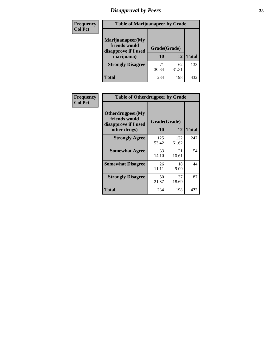# *Disapproval by Peers* **38**

| Frequency<br><b>Col Pct</b> | <b>Table of Marijuanapeer by Grade</b>                                  |                    |             |              |
|-----------------------------|-------------------------------------------------------------------------|--------------------|-------------|--------------|
|                             | Marijuanapeer(My<br>friends would<br>disapprove if I used<br>marijuana) | Grade(Grade)<br>10 | 12          | <b>Total</b> |
|                             | <b>Strongly Disagree</b>                                                | 71<br>30.34        | 62<br>31.31 | 133          |
|                             | Total                                                                   | 234                | 198         | 432          |

| Frequency      | <b>Table of Otherdrugpeer by Grade</b>                                    |                    |              |              |
|----------------|---------------------------------------------------------------------------|--------------------|--------------|--------------|
| <b>Col Pct</b> | Otherdrugpeer(My<br>friends would<br>disapprove if I used<br>other drugs) | Grade(Grade)<br>10 | 12           | <b>Total</b> |
|                | <b>Strongly Agree</b>                                                     | 125<br>53.42       | 122<br>61.62 | 247          |
|                | <b>Somewhat Agree</b>                                                     | 33<br>14.10        | 21<br>10.61  | 54           |
|                | <b>Somewhat Disagree</b>                                                  | 26<br>11.11        | 18<br>9.09   | 44           |
|                | <b>Strongly Disagree</b>                                                  | 50<br>21.37        | 37<br>18.69  | 87           |
|                | Total                                                                     | 234                | 198          | 432          |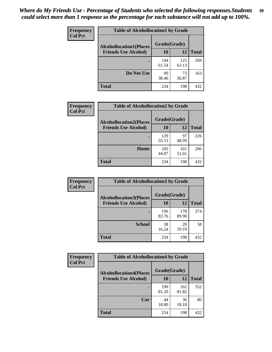| Frequency      | <b>Table of Alcohollocation1 by Grade</b> |              |              |              |
|----------------|-------------------------------------------|--------------|--------------|--------------|
| <b>Col Pct</b> | <b>Alcohollocation1(Places</b>            | Grade(Grade) |              |              |
|                | <b>Friends Use Alcohol)</b>               | 10           | 12           | <b>Total</b> |
|                |                                           | 144<br>61.54 | 125<br>63.13 | 269          |
|                | Do Not Use                                | 90<br>38.46  | 73<br>36.87  | 163          |
|                | <b>Total</b>                              | 234          | 198          | 432          |

| <b>Frequency</b> | <b>Table of Alcohollocation2 by Grade</b>                     |                           |              |              |
|------------------|---------------------------------------------------------------|---------------------------|--------------|--------------|
| <b>Col Pct</b>   | <b>Alcohollocation2(Places</b><br><b>Friends Use Alcohol)</b> | Grade(Grade)<br><b>10</b> | 12           | <b>Total</b> |
|                  |                                                               | 129<br>55.13              | 97<br>48.99  | 226          |
|                  | Home                                                          | 105<br>44.87              | 101<br>51.01 | 206          |
|                  | <b>Total</b>                                                  | 234                       | 198          | 432          |

| Frequency<br><b>Col Pct</b> | <b>Table of Alcohollocation 3 by Grade</b>                    |                    |              |              |
|-----------------------------|---------------------------------------------------------------|--------------------|--------------|--------------|
|                             | <b>Alcohollocation3(Places</b><br><b>Friends Use Alcohol)</b> | Grade(Grade)<br>10 | 12           | <b>Total</b> |
|                             |                                                               | 196<br>83.76       | 178<br>89.90 | 374          |
|                             | <b>School</b>                                                 | 38<br>16.24        | 20<br>10.10  | 58           |
|                             | <b>Total</b>                                                  | 234                | 198          | 432          |

| <b>Frequency</b> | <b>Table of Alcohollocation4 by Grade</b> |              |              |              |  |
|------------------|-------------------------------------------|--------------|--------------|--------------|--|
| <b>Col Pct</b>   | <b>Alcohollocation4(Places</b>            | Grade(Grade) |              |              |  |
|                  | <b>Friends Use Alcohol)</b>               | 10           | 12           | <b>Total</b> |  |
|                  |                                           | 190<br>81.20 | 162<br>81.82 | 352          |  |
|                  | Car                                       | 44<br>18.80  | 36<br>18.18  | 80           |  |
|                  | <b>Total</b>                              | 234          | 198          | 432          |  |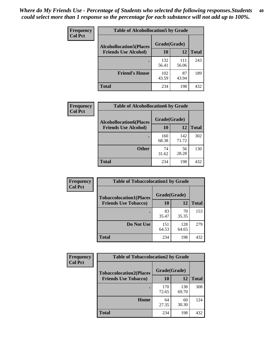| Frequency<br><b>Col Pct</b> | <b>Table of Alcohollocation5 by Grade</b> |              |              |              |  |
|-----------------------------|-------------------------------------------|--------------|--------------|--------------|--|
|                             | <b>Alcohollocation5(Places</b>            | Grade(Grade) |              |              |  |
|                             | <b>Friends Use Alcohol)</b>               | 10           | 12           | <b>Total</b> |  |
|                             |                                           | 132<br>56.41 | 111<br>56.06 | 243          |  |
|                             | <b>Friend's House</b>                     | 102<br>43.59 | 87<br>43.94  | 189          |  |
|                             | Total                                     | 234          | 198          | 432          |  |

| <b>Frequency</b> | <b>Table of Alcohollocation6 by Grade</b> |              |              |              |
|------------------|-------------------------------------------|--------------|--------------|--------------|
| <b>Col Pct</b>   | <b>Alcohollocation6(Places</b>            | Grade(Grade) |              |              |
|                  | <b>Friends Use Alcohol)</b>               | 10           | 12           | <b>Total</b> |
|                  |                                           | 160<br>68.38 | 142<br>71.72 | 302          |
|                  | <b>Other</b>                              | 74<br>31.62  | 56<br>28.28  | 130          |
|                  | <b>Total</b>                              | 234          | 198          | 432          |

| Frequency      | <b>Table of Tobaccolocation1 by Grade</b> |              |              |              |
|----------------|-------------------------------------------|--------------|--------------|--------------|
| <b>Col Pct</b> | <b>Tobaccolocation1(Places</b>            | Grade(Grade) |              |              |
|                | <b>Friends Use Tobacco)</b>               | 10           | <b>12</b>    | <b>Total</b> |
|                |                                           | 83<br>35.47  | 70<br>35.35  | 153          |
|                | <b>Do Not Use</b>                         | 151<br>64.53 | 128<br>64.65 | 279          |
|                | <b>Total</b>                              | 234          | 198          | 432          |

| <b>Frequency</b> | <b>Table of Tobaccolocation2 by Grade</b> |              |              |              |  |
|------------------|-------------------------------------------|--------------|--------------|--------------|--|
| <b>Col Pct</b>   | <b>Tobaccolocation2(Places</b>            | Grade(Grade) |              |              |  |
|                  | <b>Friends Use Tobacco)</b>               | 10           | 12           | <b>Total</b> |  |
|                  |                                           | 170<br>72.65 | 138<br>69.70 | 308          |  |
|                  | Home                                      | 64<br>27.35  | 60<br>30.30  | 124          |  |
|                  | <b>Total</b>                              | 234          | 198          | 432          |  |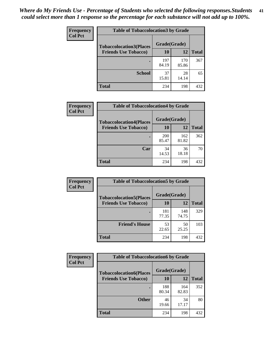| Frequency      | <b>Table of Tobaccolocation3 by Grade</b> |              |              |              |  |
|----------------|-------------------------------------------|--------------|--------------|--------------|--|
| <b>Col Pct</b> | <b>Tobaccolocation3(Places</b>            | Grade(Grade) |              |              |  |
|                | <b>Friends Use Tobacco)</b>               | 10           | 12           | <b>Total</b> |  |
|                |                                           | 197<br>84.19 | 170<br>85.86 | 367          |  |
|                | <b>School</b>                             | 37<br>15.81  | 28<br>14.14  | 65           |  |
|                | <b>Total</b>                              | 234          | 198          | 432          |  |

| Frequency      | <b>Table of Tobaccolocation4 by Grade</b>                     |                    |              |              |  |  |
|----------------|---------------------------------------------------------------|--------------------|--------------|--------------|--|--|
| <b>Col Pct</b> | <b>Tobaccolocation4(Places</b><br><b>Friends Use Tobacco)</b> | Grade(Grade)<br>10 | 12           | <b>Total</b> |  |  |
|                |                                                               |                    |              |              |  |  |
|                |                                                               | 200<br>85.47       | 162<br>81.82 | 362          |  |  |
|                | Car                                                           | 34<br>14.53        | 36<br>18.18  | 70           |  |  |
|                | <b>Total</b>                                                  | 234                | 198          | 432          |  |  |

| Frequency      | <b>Table of Tobaccolocation5 by Grade</b>                     |                    |              |              |
|----------------|---------------------------------------------------------------|--------------------|--------------|--------------|
| <b>Col Pct</b> | <b>Tobaccolocation5(Places</b><br><b>Friends Use Tobacco)</b> | Grade(Grade)<br>10 | 12           | <b>Total</b> |
|                |                                                               | 181<br>77.35       | 148<br>74.75 | 329          |
|                | <b>Friend's House</b>                                         | 53<br>22.65        | 50<br>25.25  | 103          |
|                | <b>Total</b>                                                  | 234                | 198          | 432          |

| <b>Frequency</b> | <b>Table of Tobaccolocation6 by Grade</b> |              |              |              |  |
|------------------|-------------------------------------------|--------------|--------------|--------------|--|
| <b>Col Pct</b>   | <b>Tobaccolocation6(Places</b>            | Grade(Grade) |              |              |  |
|                  | <b>Friends Use Tobacco)</b>               | 10           | 12           | <b>Total</b> |  |
|                  |                                           | 188<br>80.34 | 164<br>82.83 | 352          |  |
|                  | <b>Other</b>                              | 46<br>19.66  | 34<br>17.17  | 80           |  |
|                  | <b>Total</b>                              | 234          | 198          | 432          |  |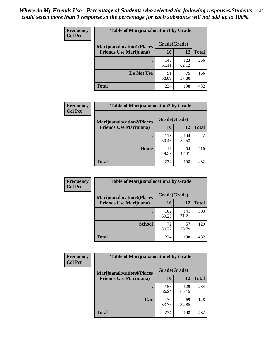| <b>Frequency</b> | <b>Table of Marijuanalocation1 by Grade</b> |              |              |              |
|------------------|---------------------------------------------|--------------|--------------|--------------|
| <b>Col Pct</b>   | <b>Marijuanalocation1(Places</b>            | Grade(Grade) |              |              |
|                  | <b>Friends Use Marijuana</b> )              | <b>10</b>    | 12           | <b>Total</b> |
|                  |                                             | 143<br>61.11 | 123<br>62.12 | 266          |
|                  | Do Not Use                                  | 91<br>38.89  | 75<br>37.88  | 166          |
|                  | <b>Total</b>                                | 234          | 198          | 432          |

| <b>Frequency</b> | <b>Table of Marijuanalocation2 by Grade</b> |              |              |              |
|------------------|---------------------------------------------|--------------|--------------|--------------|
| <b>Col Pct</b>   | <b>Marijuanalocation2(Places</b>            | Grade(Grade) |              |              |
|                  | <b>Friends Use Marijuana</b> )              | 10           | 12           | <b>Total</b> |
|                  |                                             | 118<br>50.43 | 104<br>52.53 | 222          |
|                  | Home                                        | 116<br>49.57 | 94<br>47.47  | 210          |
|                  | <b>Total</b>                                | 234          | 198          | 432          |

| Frequency<br><b>Col Pct</b> | <b>Table of Marijuanalocation3 by Grade</b> |              |              |              |
|-----------------------------|---------------------------------------------|--------------|--------------|--------------|
|                             | <b>Marijuanalocation3(Places</b>            | Grade(Grade) |              |              |
|                             | <b>Friends Use Marijuana</b> )              | 10           | 12           | <b>Total</b> |
|                             |                                             | 162<br>69.23 | 141<br>71.21 | 303          |
|                             | <b>School</b>                               | 72<br>30.77  | 57<br>28.79  | 129          |
|                             | <b>Total</b>                                | 234          | 198          | 432          |

| <b>Frequency</b> | <b>Table of Marijuanalocation4 by Grade</b> |              |              |              |  |
|------------------|---------------------------------------------|--------------|--------------|--------------|--|
| <b>Col Pct</b>   | <b>Marijuanalocation4(Places</b>            | Grade(Grade) |              |              |  |
|                  | <b>Friends Use Marijuana</b> )              | <b>10</b>    | 12           | <b>Total</b> |  |
|                  |                                             | 155<br>66.24 | 129<br>65.15 | 284          |  |
|                  | Car                                         | 79<br>33.76  | 69<br>34.85  | 148          |  |
|                  | <b>Total</b>                                | 234          | 198          | 432          |  |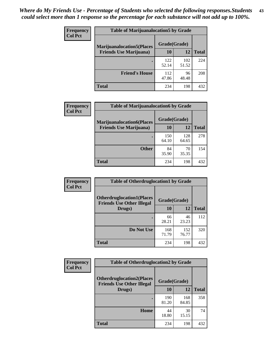| <b>Frequency</b> | <b>Table of Marijuanalocation5 by Grade</b> |              |              |              |
|------------------|---------------------------------------------|--------------|--------------|--------------|
| <b>Col Pct</b>   | <b>Marijuanalocation5</b> (Places           | Grade(Grade) |              |              |
|                  | <b>Friends Use Marijuana</b> )              | 10           | 12           | <b>Total</b> |
|                  |                                             | 122<br>52.14 | 102<br>51.52 | 224          |
|                  | <b>Friend's House</b>                       | 112<br>47.86 | 96<br>48.48  | 208          |
|                  | <b>Total</b>                                | 234          | 198          | 432          |

| <b>Frequency</b> | <b>Table of Marijuanalocation6 by Grade</b>                        |                    |              |              |
|------------------|--------------------------------------------------------------------|--------------------|--------------|--------------|
| <b>Col Pct</b>   | <b>Marijuanalocation6(Places</b><br><b>Friends Use Marijuana</b> ) | Grade(Grade)<br>10 | 12           | <b>Total</b> |
|                  |                                                                    | 150<br>64.10       | 128<br>64.65 | 278          |
|                  | <b>Other</b>                                                       | 84<br>35.90        | 70<br>35.35  | 154          |
|                  | <b>Total</b>                                                       | 234                | 198          | 432          |

| Frequency      | <b>Table of Otherdruglocation1 by Grade</b>                          |              |              |              |
|----------------|----------------------------------------------------------------------|--------------|--------------|--------------|
| <b>Col Pct</b> | <b>Otherdruglocation1(Places</b><br><b>Friends Use Other Illegal</b> | Grade(Grade) |              |              |
|                | Drugs)                                                               | 10           | 12           | <b>Total</b> |
|                |                                                                      | 66<br>28.21  | 46<br>23.23  | 112          |
|                | Do Not Use                                                           | 168<br>71.79 | 152<br>76.77 | 320          |
|                | <b>Total</b>                                                         | 234          | 198          | 432          |

| Frequency      | <b>Table of Otherdruglocation2 by Grade</b>                           |              |              |              |
|----------------|-----------------------------------------------------------------------|--------------|--------------|--------------|
| <b>Col Pct</b> | <b>Otherdruglocation2(Places)</b><br><b>Friends Use Other Illegal</b> | Grade(Grade) |              |              |
|                | Drugs)                                                                | 10           | 12           | <b>Total</b> |
|                |                                                                       | 190<br>81.20 | 168<br>84.85 | 358          |
|                | <b>Home</b>                                                           | 44<br>18.80  | 30<br>15.15  | 74           |
|                | <b>Total</b>                                                          | 234          | 198          | 432          |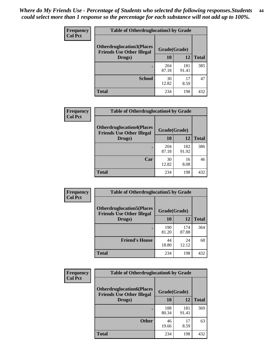| <b>Frequency</b> | <b>Table of Otherdruglocation3 by Grade</b>                          |              |              |              |
|------------------|----------------------------------------------------------------------|--------------|--------------|--------------|
| <b>Col Pct</b>   | <b>Otherdruglocation3(Places</b><br><b>Friends Use Other Illegal</b> | Grade(Grade) |              |              |
|                  | Drugs)                                                               | <b>10</b>    | 12           | <b>Total</b> |
|                  |                                                                      | 204<br>87.18 | 181<br>91.41 | 385          |
|                  | <b>School</b>                                                        | 30<br>12.82  | 17<br>8.59   | 47           |
|                  | <b>Total</b>                                                         | 234          | 198          | 432          |

| <b>Frequency</b> | <b>Table of Otherdruglocation4 by Grade</b>                          |              |              |              |
|------------------|----------------------------------------------------------------------|--------------|--------------|--------------|
| <b>Col Pct</b>   | <b>Otherdruglocation4(Places</b><br><b>Friends Use Other Illegal</b> | Grade(Grade) |              |              |
|                  | Drugs)                                                               | 10           | 12           | <b>Total</b> |
|                  |                                                                      | 204<br>87.18 | 182<br>91.92 | 386          |
|                  | Car                                                                  | 30<br>12.82  | 16<br>8.08   | 46           |
|                  | <b>Total</b>                                                         | 234          | 198          | 432          |

| Frequency      | <b>Table of Otherdruglocation5 by Grade</b>                          |              |              |              |
|----------------|----------------------------------------------------------------------|--------------|--------------|--------------|
| <b>Col Pct</b> | <b>Otherdruglocation5(Places</b><br><b>Friends Use Other Illegal</b> | Grade(Grade) |              |              |
|                | Drugs)                                                               | 10           | 12           | <b>Total</b> |
|                |                                                                      | 190<br>81.20 | 174<br>87.88 | 364          |
|                | <b>Friend's House</b>                                                | 44<br>18.80  | 24<br>12.12  | 68           |
|                | <b>Total</b>                                                         | 234          | 198          | 432          |

| <b>Frequency</b> | <b>Table of Otherdruglocation6 by Grade</b>                          |              |              |              |
|------------------|----------------------------------------------------------------------|--------------|--------------|--------------|
| <b>Col Pct</b>   | <b>Otherdruglocation6(Places</b><br><b>Friends Use Other Illegal</b> | Grade(Grade) |              |              |
|                  | Drugs)                                                               | 10           | 12           | <b>Total</b> |
|                  |                                                                      | 188<br>80.34 | 181<br>91.41 | 369          |
|                  | <b>Other</b>                                                         | 46<br>19.66  | 17<br>8.59   | 63           |
|                  | <b>Total</b>                                                         | 234          | 198          | 432          |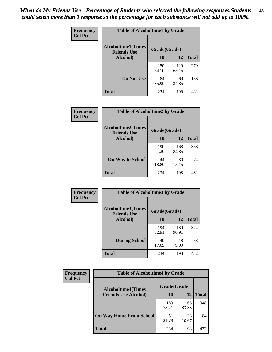| Frequency      | <b>Table of Alcoholtime1 by Grade</b>           |              |              |              |
|----------------|-------------------------------------------------|--------------|--------------|--------------|
| <b>Col Pct</b> | <b>Alcoholtime1(Times</b><br><b>Friends Use</b> | Grade(Grade) |              |              |
|                | Alcohol)                                        | 10           | 12           | <b>Total</b> |
|                |                                                 | 150<br>64.10 | 129<br>65.15 | 279          |
|                | Do Not Use                                      | 84<br>35.90  | 69<br>34.85  | 153          |
|                | <b>Total</b>                                    | 234          | 198          | 432          |

| Frequency      | <b>Table of Alcoholtime2 by Grade</b>           |              |              |              |
|----------------|-------------------------------------------------|--------------|--------------|--------------|
| <b>Col Pct</b> | <b>Alcoholtime2(Times</b><br><b>Friends Use</b> | Grade(Grade) |              |              |
|                | Alcohol)                                        | 10           | 12           | <b>Total</b> |
|                |                                                 | 190<br>81.20 | 168<br>84.85 | 358          |
|                | <b>On Way to School</b>                         | 44<br>18.80  | 30<br>15.15  | 74           |
|                | <b>Total</b>                                    | 234          | 198          | 432          |

| Frequency<br><b>Col Pct</b> | <b>Table of Alcoholtime3 by Grade</b>                           |              |              |              |
|-----------------------------|-----------------------------------------------------------------|--------------|--------------|--------------|
|                             | <b>Alcoholtime3(Times</b><br>Grade(Grade)<br><b>Friends Use</b> |              |              |              |
|                             | Alcohol)                                                        | 10           | 12           | <b>Total</b> |
|                             |                                                                 | 194<br>82.91 | 180<br>90.91 | 374          |
|                             | <b>During School</b>                                            | 40<br>17.09  | 18<br>9.09   | 58           |
|                             | <b>Total</b>                                                    | 234          | 198          | 432          |

| <b>Frequency</b> | <b>Table of Alcoholtime4 by Grade</b> |              |              |              |  |
|------------------|---------------------------------------|--------------|--------------|--------------|--|
| <b>Col Pct</b>   | <b>Alcoholtime4(Times</b>             | Grade(Grade) |              |              |  |
|                  | <b>Friends Use Alcohol)</b>           | 10           | 12           | <b>Total</b> |  |
|                  | $\bullet$                             | 183<br>78.21 | 165<br>83.33 | 348          |  |
|                  | <b>On Way Home From School</b>        | 51<br>21.79  | 33<br>16.67  | 84           |  |
|                  | <b>Total</b>                          | 234          | 198          | 432          |  |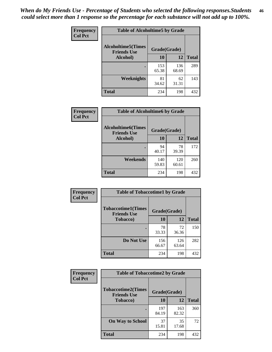*When do My Friends Use - Percentage of Students who selected the following responses.Students could select more than 1 response so the percentage for each substance will not add up to 100%.* **46**

| Frequency      | <b>Table of Alcoholtime5 by Grade</b>           |              |              |              |
|----------------|-------------------------------------------------|--------------|--------------|--------------|
| <b>Col Pct</b> | <b>Alcoholtime5(Times</b><br><b>Friends Use</b> | Grade(Grade) |              |              |
|                | Alcohol)                                        | 10           | 12           | <b>Total</b> |
|                |                                                 | 153<br>65.38 | 136<br>68.69 | 289          |
|                | Weeknights                                      | 81<br>34.62  | 62<br>31.31  | 143          |
|                | <b>Total</b>                                    | 234          | 198          | 432          |

| Frequency      | <b>Table of Alcoholtime6 by Grade</b>           |              |              |              |
|----------------|-------------------------------------------------|--------------|--------------|--------------|
| <b>Col Pct</b> | <b>Alcoholtime6(Times</b><br><b>Friends Use</b> | Grade(Grade) |              |              |
|                | Alcohol)                                        | 10           | 12           | <b>Total</b> |
|                | ٠                                               | 94<br>40.17  | 78<br>39.39  | 172          |
|                | Weekends                                        | 140<br>59.83 | 120<br>60.61 | 260          |
|                | <b>Total</b>                                    | 234          | 198          | 432          |

| Frequency      | <b>Table of Tobaccotime1 by Grade</b>           |              |              |              |
|----------------|-------------------------------------------------|--------------|--------------|--------------|
| <b>Col Pct</b> | <b>Tobaccotime1(Times</b><br><b>Friends Use</b> | Grade(Grade) |              |              |
|                | <b>Tobacco</b> )                                | 10           | 12           | <b>Total</b> |
|                | ٠                                               | 78<br>33.33  | 72<br>36.36  | 150          |
|                | Do Not Use                                      | 156<br>66.67 | 126<br>63.64 | 282          |
|                | <b>Total</b>                                    | 234          | 198          | 432          |

| <b>Frequency</b> | <b>Table of Tobaccotime2 by Grade</b>           |              |              |              |
|------------------|-------------------------------------------------|--------------|--------------|--------------|
| <b>Col Pct</b>   | <b>Tobaccotime2(Times</b><br><b>Friends Use</b> | Grade(Grade) |              |              |
|                  | <b>Tobacco</b> )                                | 10           | 12           | <b>Total</b> |
|                  |                                                 | 197<br>84.19 | 163<br>82.32 | 360          |
|                  | <b>On Way to School</b>                         | 37<br>15.81  | 35<br>17.68  | 72           |
|                  | <b>Total</b>                                    | 234          | 198          | 432          |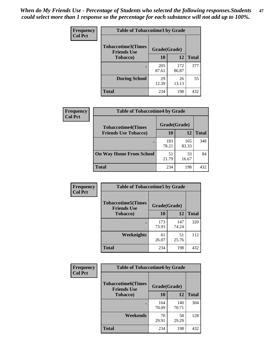*When do My Friends Use - Percentage of Students who selected the following responses.Students could select more than 1 response so the percentage for each substance will not add up to 100%.* **47**

| <b>Frequency</b> | <b>Table of Tobaccotime3 by Grade</b>           |              |              |              |  |
|------------------|-------------------------------------------------|--------------|--------------|--------------|--|
| <b>Col Pct</b>   | <b>Tobaccotime3(Times</b><br><b>Friends Use</b> | Grade(Grade) |              |              |  |
|                  | <b>Tobacco</b> )                                | 10           | 12           | <b>Total</b> |  |
|                  |                                                 | 205<br>87.61 | 172<br>86.87 | 377          |  |
|                  | <b>During School</b>                            | 29<br>12.39  | 26<br>13.13  | 55           |  |
|                  | <b>Total</b>                                    | 234          | 198          | 432          |  |

| <b>Frequency</b><br><b>Col Pct</b> | <b>Table of Tobaccotime4 by Grade</b> |              |              |              |
|------------------------------------|---------------------------------------|--------------|--------------|--------------|
|                                    | <b>Tobaccotime4(Times</b>             | Grade(Grade) |              |              |
|                                    | <b>Friends Use Tobacco)</b>           | 10           | 12           | <b>Total</b> |
|                                    |                                       | 183<br>78.21 | 165<br>83.33 | 348          |
|                                    | <b>On Way Home From School</b>        | 51<br>21.79  | 33<br>16.67  | 84           |
|                                    | <b>Total</b>                          | 234          | 198          | 432          |

| <b>Frequency</b> | <b>Table of Tobaccotime5 by Grade</b>           |              |              |              |
|------------------|-------------------------------------------------|--------------|--------------|--------------|
| <b>Col Pct</b>   | <b>Tobaccotime5(Times</b><br><b>Friends Use</b> | Grade(Grade) |              |              |
|                  | <b>Tobacco</b> )                                | 10           | 12           | <b>Total</b> |
|                  |                                                 | 173<br>73.93 | 147<br>74.24 | 320          |
|                  | Weeknights                                      | 61<br>26.07  | 51<br>25.76  | 112          |
|                  | <b>Total</b>                                    | 234          | 198          | 432          |

| Frequency<br><b>Col Pct</b> | <b>Table of Tobaccotime6 by Grade</b>           |              |              |              |  |
|-----------------------------|-------------------------------------------------|--------------|--------------|--------------|--|
|                             | <b>Tobaccotime6(Times</b><br><b>Friends Use</b> | Grade(Grade) |              |              |  |
|                             | <b>Tobacco</b> )                                | 10           | 12           | <b>Total</b> |  |
|                             |                                                 | 164<br>70.09 | 140<br>70.71 | 304          |  |
|                             | Weekends                                        | 70<br>29.91  | 58<br>29.29  | 128          |  |
|                             | Total                                           | 234          | 198          | 432          |  |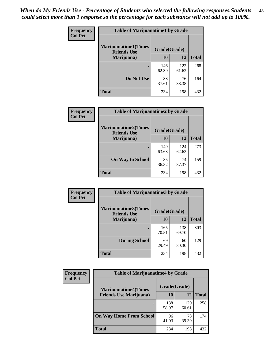| Frequency      | <b>Table of Marijuanatime1 by Grade</b>           |              |              |              |
|----------------|---------------------------------------------------|--------------|--------------|--------------|
| <b>Col Pct</b> | <b>Marijuanatime1(Times</b><br><b>Friends Use</b> | Grade(Grade) |              |              |
|                | Marijuana)                                        | 10           | 12           | <b>Total</b> |
|                |                                                   | 146<br>62.39 | 122<br>61.62 | 268          |
|                | Do Not Use                                        | 88<br>37.61  | 76<br>38.38  | 164          |
|                | <b>Total</b>                                      | 234          | 198          | 432          |

| <b>Frequency</b> | <b>Table of Marijuanatime2 by Grade</b>           |              |              |              |
|------------------|---------------------------------------------------|--------------|--------------|--------------|
| <b>Col Pct</b>   | <b>Marijuanatime2(Times</b><br><b>Friends Use</b> | Grade(Grade) |              |              |
|                  | Marijuana)                                        | 10           | 12           | <b>Total</b> |
|                  | ٠                                                 | 149<br>63.68 | 124<br>62.63 | 273          |
|                  | <b>On Way to School</b>                           | 85<br>36.32  | 74<br>37.37  | 159          |
|                  | <b>Total</b>                                      | 234          | 198          | 432          |

| Frequency      | <b>Table of Marijuanatime3 by Grade</b>    |              |              |              |
|----------------|--------------------------------------------|--------------|--------------|--------------|
| <b>Col Pct</b> | Marijuanatime3(Times<br><b>Friends Use</b> | Grade(Grade) |              |              |
|                | Marijuana)                                 | 10           | 12           | <b>Total</b> |
|                |                                            | 165<br>70.51 | 138<br>69.70 | 303          |
|                | <b>During School</b>                       | 69<br>29.49  | 60<br>30.30  | 129          |
|                | <b>Total</b>                               | 234          | 198          | 432          |

| <b>Frequency</b> | <b>Table of Marijuanatime4 by Grade</b> |              |              |              |
|------------------|-----------------------------------------|--------------|--------------|--------------|
| <b>Col Pct</b>   | <b>Marijuanatime4(Times</b>             | Grade(Grade) |              |              |
|                  | <b>Friends Use Marijuana</b> )          | 10           | 12           | <b>Total</b> |
|                  |                                         | 138<br>58.97 | 120<br>60.61 | 258          |
|                  | <b>On Way Home From School</b>          | 96<br>41.03  | 78<br>39.39  | 174          |
|                  | <b>Total</b>                            | 234          | 198          | 432          |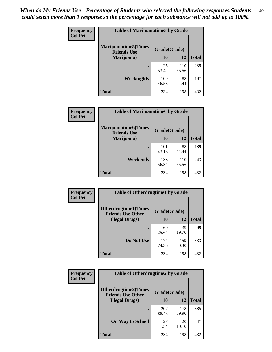| Frequency      | <b>Table of Marijuanatime5 by Grade</b>            |              |              |              |
|----------------|----------------------------------------------------|--------------|--------------|--------------|
| <b>Col Pct</b> | <b>Marijuanatime5</b> (Times<br><b>Friends Use</b> | Grade(Grade) |              |              |
|                | Marijuana)                                         | 10           | 12           | <b>Total</b> |
|                |                                                    | 125<br>53.42 | 110<br>55.56 | 235          |
|                | Weeknights                                         | 109<br>46.58 | 88<br>44.44  | 197          |
|                | <b>Total</b>                                       | 234          | 198          | 432          |

| <b>Frequency</b> | <b>Table of Marijuanatime6 by Grade</b>            |              |              |              |  |
|------------------|----------------------------------------------------|--------------|--------------|--------------|--|
| <b>Col Pct</b>   | <b>Marijuanatime6</b> (Times<br><b>Friends Use</b> | Grade(Grade) |              |              |  |
|                  | Marijuana)                                         | 10           | 12           | <b>Total</b> |  |
|                  |                                                    | 101<br>43.16 | 88<br>44.44  | 189          |  |
|                  | Weekends                                           | 133<br>56.84 | 110<br>55.56 | 243          |  |
|                  | <b>Total</b>                                       | 234          | 198          | 432          |  |

| <b>Frequency</b> | <b>Table of Otherdrugtime1 by Grade</b>                  |              |              |              |  |
|------------------|----------------------------------------------------------|--------------|--------------|--------------|--|
| <b>Col Pct</b>   | <b>Otherdrugtime1</b> (Times<br><b>Friends Use Other</b> | Grade(Grade) |              |              |  |
|                  | <b>Illegal Drugs</b> )                                   | 10           | 12           | <b>Total</b> |  |
|                  |                                                          | 60<br>25.64  | 39<br>19.70  | 99           |  |
|                  | Do Not Use                                               | 174<br>74.36 | 159<br>80.30 | 333          |  |
|                  | <b>Total</b>                                             | 234          | 198          | 432          |  |

| Frequency      | <b>Table of Otherdrugtime2 by Grade</b>                                 |              |              |              |  |  |
|----------------|-------------------------------------------------------------------------|--------------|--------------|--------------|--|--|
| <b>Col Pct</b> | <b>Otherdrugtime2(Times</b><br>Grade(Grade)<br><b>Friends Use Other</b> |              |              |              |  |  |
|                | <b>Illegal Drugs</b> )                                                  | 10           | 12           | <b>Total</b> |  |  |
|                |                                                                         | 207<br>88.46 | 178<br>89.90 | 385          |  |  |
|                | <b>On Way to School</b>                                                 | 27<br>11.54  | 20<br>10.10  | 47           |  |  |
|                | Total                                                                   | 234          | 198          | 432          |  |  |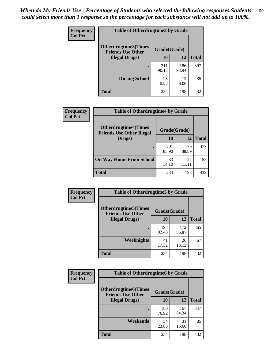| <b>Frequency</b> | <b>Table of Otherdrugtime3 by Grade</b>          |              |              |              |  |  |
|------------------|--------------------------------------------------|--------------|--------------|--------------|--|--|
| <b>Col Pct</b>   | Otherdrugtime3(Times<br><b>Friends Use Other</b> | Grade(Grade) |              |              |  |  |
|                  | <b>Illegal Drugs</b> )                           | 10           | 12           | <b>Total</b> |  |  |
|                  |                                                  | 211<br>90.17 | 186<br>93.94 | 397          |  |  |
|                  | <b>During School</b>                             | 23<br>9.83   | 12<br>6.06   | 35           |  |  |
|                  | Total                                            | 234          | 198          | 432          |  |  |

| Frequency      | <b>Table of Otherdrugtime4 by Grade</b>                         |              |              |              |  |  |
|----------------|-----------------------------------------------------------------|--------------|--------------|--------------|--|--|
| <b>Col Pct</b> | <b>Otherdrugtime4(Times</b><br><b>Friends Use Other Illegal</b> | Grade(Grade) |              |              |  |  |
|                | Drugs)                                                          | 10           | 12           | <b>Total</b> |  |  |
|                |                                                                 | 201<br>85.90 | 176<br>88.89 | 377          |  |  |
|                | <b>On Way Home From School</b>                                  | 33<br>14.10  | 22<br>11.11  | 55           |  |  |
|                | <b>Total</b>                                                    | 234          | 198          | 432          |  |  |

| Frequency      | <b>Table of Otherdrugtime5 by Grade</b>                 |              |              |              |  |  |
|----------------|---------------------------------------------------------|--------------|--------------|--------------|--|--|
| <b>Col Pct</b> | <b>Otherdrugtime5(Times</b><br><b>Friends Use Other</b> | Grade(Grade) |              |              |  |  |
|                | <b>Illegal Drugs</b> )                                  | 10           | 12           | <b>Total</b> |  |  |
|                |                                                         | 193<br>82.48 | 172<br>86.87 | 365          |  |  |
|                | Weeknights                                              | 41<br>17.52  | 26<br>13.13  | 67           |  |  |
|                | Total                                                   | 234          | 198          | 432          |  |  |

| <b>Frequency</b> | <b>Table of Otherdrugtime6 by Grade</b>                                 |              |              |              |  |  |
|------------------|-------------------------------------------------------------------------|--------------|--------------|--------------|--|--|
| <b>Col Pct</b>   | <b>Otherdrugtime6(Times</b><br>Grade(Grade)<br><b>Friends Use Other</b> |              |              |              |  |  |
|                  | <b>Illegal Drugs</b> )                                                  | 10           | 12           | <b>Total</b> |  |  |
|                  |                                                                         | 180<br>76.92 | 167<br>84.34 | 347          |  |  |
|                  | Weekends                                                                | 54<br>23.08  | 31<br>15.66  | 85           |  |  |
|                  | Total                                                                   | 234          | 198          | 432          |  |  |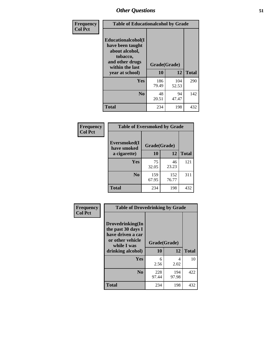| Frequency      | <b>Table of Educationalcohol by Grade</b>                                                                  |              |              |              |  |
|----------------|------------------------------------------------------------------------------------------------------------|--------------|--------------|--------------|--|
| <b>Col Pct</b> | Educationalcohol(I<br>have been taught<br>about alcohol,<br>tobacco,<br>and other drugs<br>within the last | Grade(Grade) |              |              |  |
|                | year at school)                                                                                            | 10           | 12           | <b>Total</b> |  |
|                | <b>Yes</b>                                                                                                 | 186<br>79.49 | 104<br>52.53 | 290          |  |
|                | N <sub>0</sub>                                                                                             | 48<br>20.51  | 94<br>47.47  | 142          |  |
|                | <b>Total</b>                                                                                               | 234          | 198          | 432          |  |

| Frequency      | <b>Table of Eversmoked by Grade</b>         |              |              |              |  |  |  |
|----------------|---------------------------------------------|--------------|--------------|--------------|--|--|--|
| <b>Col Pct</b> | Eversmoked(I<br>Grade(Grade)<br>have smoked |              |              |              |  |  |  |
|                | a cigarette)                                | 10           | 12           | <b>Total</b> |  |  |  |
|                | <b>Yes</b>                                  | 75<br>32.05  | 46<br>23.23  | 121          |  |  |  |
|                | N <sub>0</sub>                              | 159<br>67.95 | 152<br>76.77 | 311          |  |  |  |
|                | <b>Total</b>                                | 234          | 198          | 432          |  |  |  |

| Frequency      | <b>Table of Drovedrinking by Grade</b>                                                                              |                    |              |              |  |  |
|----------------|---------------------------------------------------------------------------------------------------------------------|--------------------|--------------|--------------|--|--|
| <b>Col Pct</b> | Drovedrinking(In<br>the past 30 days I<br>have driven a car<br>or other vehicle<br>while I was<br>drinking alcohol) | Grade(Grade)<br>10 | 12           | <b>Total</b> |  |  |
|                | <b>Yes</b>                                                                                                          | 6<br>2.56          | 4<br>2.02    | 10           |  |  |
|                | N <sub>0</sub>                                                                                                      | 228<br>97.44       | 194<br>97.98 | 422          |  |  |
|                | <b>Total</b>                                                                                                        | 234                | 198          | 432          |  |  |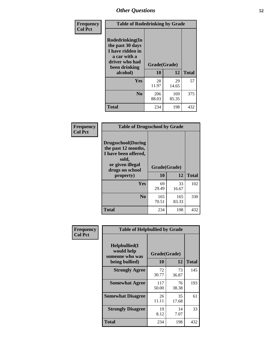| Frequency<br><b>Col Pct</b> | <b>Table of Rodedrinking by Grade</b>                                                                                  |                    |              |     |  |  |
|-----------------------------|------------------------------------------------------------------------------------------------------------------------|--------------------|--------------|-----|--|--|
|                             | Rodedrinking(In<br>the past 30 days<br>I have ridden in<br>a car with a<br>driver who had<br>been drinking<br>alcohol) | Grade(Grade)<br>10 | <b>Total</b> |     |  |  |
|                             | <b>Yes</b>                                                                                                             | 28<br>11.97        | 29<br>14.65  | 57  |  |  |
|                             | N <sub>0</sub>                                                                                                         | 206<br>88.03       | 169<br>85.35 | 375 |  |  |
|                             | <b>Total</b>                                                                                                           | 234                | 198          | 432 |  |  |

#### **Frequency Col Pct**

| <b>Table of Drugsschool by Grade</b>                                                                                                   |                    |              |              |  |  |  |
|----------------------------------------------------------------------------------------------------------------------------------------|--------------------|--------------|--------------|--|--|--|
| <b>Drugsschool</b> (During<br>the past 12 months,<br>I have been offered,<br>sold,<br>or given illegal<br>drugs on school<br>property) | Grade(Grade)<br>10 | 12           | <b>Total</b> |  |  |  |
|                                                                                                                                        |                    |              |              |  |  |  |
| Yes                                                                                                                                    | 69<br>29.49        | 33<br>16.67  | 102          |  |  |  |
|                                                                                                                                        |                    |              |              |  |  |  |
| N <sub>0</sub>                                                                                                                         | 165<br>70.51       | 165<br>83.33 | 330          |  |  |  |

| Frequency      | <b>Table of Helpbullied by Grade</b>           |              |             |              |  |  |  |
|----------------|------------------------------------------------|--------------|-------------|--------------|--|--|--|
| <b>Col Pct</b> | Helpbullied(I<br>would help<br>someone who was | Grade(Grade) |             |              |  |  |  |
|                | being bullied)                                 | 10           | 12          | <b>Total</b> |  |  |  |
|                | <b>Strongly Agree</b>                          | 72<br>30.77  | 73<br>36.87 | 145          |  |  |  |
|                | <b>Somewhat Agree</b>                          | 117<br>50.00 | 76<br>38.38 | 193          |  |  |  |
|                | <b>Somewhat Disagree</b>                       | 26<br>11.11  | 35<br>17.68 | 61           |  |  |  |
|                | <b>Strongly Disagree</b>                       | 19<br>8.12   | 14<br>7.07  | 33           |  |  |  |
|                | <b>Total</b>                                   | 234          | 198         | 432          |  |  |  |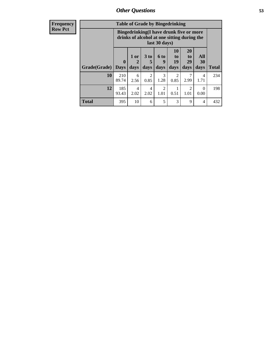| Frequency      | <b>Table of Grade by Bingedrinking</b> |                                                                                                         |              |                         |                        |                        |                               |                   |              |
|----------------|----------------------------------------|---------------------------------------------------------------------------------------------------------|--------------|-------------------------|------------------------|------------------------|-------------------------------|-------------------|--------------|
| <b>Row Pct</b> |                                        | Bingedrinking(I have drunk five or more<br>drinks of alcohol at one sitting during the<br>last 30 days) |              |                         |                        |                        |                               |                   |              |
|                | Grade(Grade)                           | $\bf{0}$<br><b>Days</b>                                                                                 | 1 or<br>days | 3 <sub>to</sub><br>days | 6 to<br>9<br>days      | 10<br>to<br>19<br>days | <b>20</b><br>to<br>29<br>days | All<br>30<br>days | <b>Total</b> |
|                | <b>10</b>                              | 210<br>89.74                                                                                            | 6<br>2.56    | $\mathfrak{D}$<br>0.85  | 3<br>1.28              | $\mathfrak{D}$<br>0.85 | 7<br>2.99                     | 4<br>1.71         | 234          |
|                | 12                                     | 185<br>93.43                                                                                            | 4<br>2.02    | 4<br>2.02               | $\overline{2}$<br>1.01 | 0.51                   | $\mathfrak{D}$<br>1.01        | $\Omega$<br>0.00  | 198          |
|                | <b>Total</b>                           | 395                                                                                                     | 10           | 6                       | 5                      | 3                      | 9                             | $\overline{4}$    | 432          |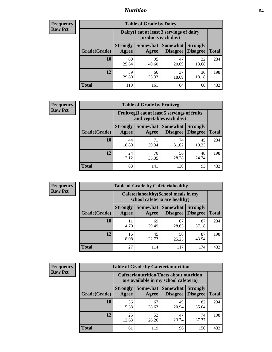### *Nutrition* **54**

| <b>Frequency</b><br>Row Pct |
|-----------------------------|
|                             |

| <b>Table of Grade by Dairy</b> |                          |                                                                 |                                    |                                    |              |
|--------------------------------|--------------------------|-----------------------------------------------------------------|------------------------------------|------------------------------------|--------------|
|                                |                          | Dairy (I eat at least 3 servings of dairy<br>products each day) |                                    |                                    |              |
| Grade(Grade)                   | <b>Strongly</b><br>Agree | <b>Somewhat</b><br>Agree                                        | <b>Somewhat</b><br><b>Disagree</b> | <b>Strongly</b><br><b>Disagree</b> | <b>Total</b> |
| 10                             | 60<br>25.64              | 95<br>40.60                                                     | 47<br>20.09                        | 32<br>13.68                        | 234          |
| 12                             | 59<br>29.80              | 66<br>33.33                                                     | 37<br>18.69                        | 36<br>18.18                        | 198          |
| <b>Total</b>                   | 119                      | 161                                                             | 84                                 | 68                                 | 432          |

| <b>Frequency</b> |  |
|------------------|--|
| <b>Row Pct</b>   |  |

| <b>Table of Grade by Fruitveg</b> |                          |                                                                          |                               |                                    |              |
|-----------------------------------|--------------------------|--------------------------------------------------------------------------|-------------------------------|------------------------------------|--------------|
|                                   |                          | Fruitveg(I eat at least 5 servings of fruits<br>and vegetables each day) |                               |                                    |              |
| Grade(Grade)                      | <b>Strongly</b><br>Agree | Agree                                                                    | Somewhat Somewhat<br>Disagree | <b>Strongly</b><br><b>Disagree</b> | <b>Total</b> |
| 10                                | 44<br>18.80              | 71<br>30.34                                                              | 74<br>31.62                   | 45<br>19.23                        | 234          |
| 12                                | 24<br>12.12              | 70<br>35.35                                                              | 56<br>28.28                   | 48<br>24.24                        | 198          |
| <b>Total</b>                      | 68                       | 141                                                                      | 130                           | 93                                 | 432          |

| <b>Frequency</b> |              | <b>Table of Grade by Cafeteriahealthy</b> |                                                                       |                 |                                    |              |
|------------------|--------------|-------------------------------------------|-----------------------------------------------------------------------|-----------------|------------------------------------|--------------|
| <b>Row Pct</b>   |              |                                           | Cafeteriahealthy (School meals in my<br>school cafeteria are healthy) |                 |                                    |              |
|                  | Grade(Grade) | <b>Strongly</b><br>Agree                  | Somewhat Somewhat<br>Agree                                            | <b>Disagree</b> | <b>Strongly</b><br><b>Disagree</b> | <b>Total</b> |
|                  | 10           | 11<br>4.70                                | 69<br>29.49                                                           | 67<br>28.63     | 87<br>37.18                        | 234          |
|                  | 12           | 16<br>8.08                                | 45<br>22.73                                                           | 50<br>25.25     | 87<br>43.94                        | 198          |
|                  | <b>Total</b> | 27                                        | 114                                                                   | 117             | 174                                | 432          |

| <b>Frequency</b> |
|------------------|
| <b>Row Pct</b>   |

| <b>Table of Grade by Cafeterianutrition</b> |                          |                                                                                           |                                    |                                    |              |
|---------------------------------------------|--------------------------|-------------------------------------------------------------------------------------------|------------------------------------|------------------------------------|--------------|
|                                             |                          | <b>Cafeterianutrition</b> (Facts about nutrition<br>are available in my school cafeteria) |                                    |                                    |              |
| Grade(Grade)                                | <b>Strongly</b><br>Agree | Somewhat  <br>Agree                                                                       | <b>Somewhat</b><br><b>Disagree</b> | <b>Strongly</b><br><b>Disagree</b> | <b>Total</b> |
| 10                                          | 36<br>15.38              | 67<br>28.63                                                                               | 49<br>20.94                        | 82<br>35.04                        | 234          |
| 12                                          | 25<br>12.63              | 52<br>26.26                                                                               | 47<br>23.74                        | 74<br>37.37                        | 198          |
| <b>Total</b>                                | 61                       | 119                                                                                       | 96                                 | 156                                | 432          |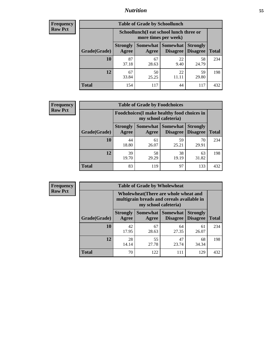### *Nutrition* **55**

| Frequency      |
|----------------|
| <b>Row Pct</b> |

| <b>Table of Grade by Schoollunch</b> |                          |                                                                 |                             |                                    |              |  |
|--------------------------------------|--------------------------|-----------------------------------------------------------------|-----------------------------|------------------------------------|--------------|--|
|                                      |                          | Schoollunch(I eat school lunch three or<br>more times per week) |                             |                                    |              |  |
| Grade(Grade)                         | <b>Strongly</b><br>Agree | Somewhat<br>Agree                                               | <b>Somewhat</b><br>Disagree | <b>Strongly</b><br><b>Disagree</b> | <b>Total</b> |  |
| 10                                   | 87<br>37.18              | 67<br>28.63                                                     | 22<br>9.40                  | 58<br>24.79                        | 234          |  |
| 12                                   | 67<br>33.84              | 50<br>25.25                                                     | 22<br>11.11                 | 59<br>29.80                        | 198          |  |
| <b>Total</b>                         | 154                      | 117                                                             | 44                          | 117                                | 432          |  |

| <b>Frequency</b> |  |
|------------------|--|
| <b>Row Pct</b>   |  |

| <b>Table of Grade by Foodchoices</b> |                          |                                                                     |                                      |                                    |              |
|--------------------------------------|--------------------------|---------------------------------------------------------------------|--------------------------------------|------------------------------------|--------------|
|                                      |                          | Foodchoices (I make healthy food choices in<br>my school cafeteria) |                                      |                                    |              |
| Grade(Grade)                         | <b>Strongly</b><br>Agree | Agree                                                               | Somewhat Somewhat<br><b>Disagree</b> | <b>Strongly</b><br><b>Disagree</b> | <b>Total</b> |
| 10                                   | 44<br>18.80              | 61<br>26.07                                                         | 59<br>25.21                          | 70<br>29.91                        | 234          |
| 12                                   | 39<br>19.70              | 58<br>29.29                                                         | 38<br>19.19                          | 63<br>31.82                        | 198          |
| <b>Total</b>                         | 83                       | 119                                                                 | 97                                   | 133                                | 432          |

| <b>Frequency</b> |
|------------------|
| <b>Row Pct</b>   |

| y | <b>Table of Grade by Wholewheat</b> |                                                                                                             |             |                                               |                                    |              |
|---|-------------------------------------|-------------------------------------------------------------------------------------------------------------|-------------|-----------------------------------------------|------------------------------------|--------------|
|   |                                     | Wholewheat (There are whole wheat and<br>multigrain breads and cereals available in<br>my school cafeteria) |             |                                               |                                    |              |
|   | Grade(Grade)                        | <b>Strongly</b><br>Agree                                                                                    | Agree       | <b>Somewhat   Somewhat</b><br><b>Disagree</b> | <b>Strongly</b><br><b>Disagree</b> | <b>Total</b> |
|   | 10                                  | 42<br>17.95                                                                                                 | 67<br>28.63 | 64<br>27.35                                   | 61<br>26.07                        | 234          |
|   | 12                                  | 28<br>14.14                                                                                                 | 55<br>27.78 | 47<br>23.74                                   | 68<br>34.34                        | 198          |
|   | <b>Total</b>                        | 70                                                                                                          | 122         | 111                                           | 129                                | 432          |

E.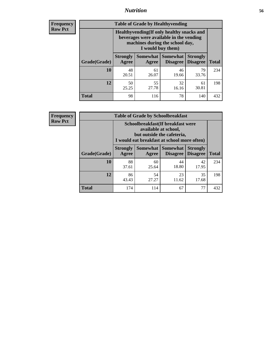### *Nutrition* **56**

**Frequency Row Pct**

| <b>Table of Grade by Healthyvending</b> |                                                                                                                                               |                          |                                    |                                    |              |  |  |
|-----------------------------------------|-----------------------------------------------------------------------------------------------------------------------------------------------|--------------------------|------------------------------------|------------------------------------|--------------|--|--|
|                                         | Healthyvending (If only healthy snacks and<br>beverages were available in the vending<br>machines during the school day,<br>I would buy them) |                          |                                    |                                    |              |  |  |
| Grade(Grade)                            | <b>Strongly</b><br>Agree                                                                                                                      | <b>Somewhat</b><br>Agree | <b>Somewhat</b><br><b>Disagree</b> | <b>Strongly</b><br><b>Disagree</b> | <b>Total</b> |  |  |
| 10                                      | 48<br>20.51                                                                                                                                   | 61<br>26.07              | 46<br>19.66                        | 79<br>33.76                        | 234          |  |  |
| 12                                      | 50<br>25.25                                                                                                                                   | 55<br>27.78              | 32<br>16.16                        | 61<br>30.81                        | 198          |  |  |
| <b>Total</b>                            | 98                                                                                                                                            | 116                      | 78                                 | 140                                | 432          |  |  |

**Frequency Row Pct**

| <b>Table of Grade by Schoolbreakfast</b> |                                                                                                                                         |                     |                                    |                                    |              |  |  |
|------------------------------------------|-----------------------------------------------------------------------------------------------------------------------------------------|---------------------|------------------------------------|------------------------------------|--------------|--|--|
|                                          | Schoolbreakfast (If breakfast were<br>available at school,<br>but outside the cafeteria,<br>I would eat breakfast at school more often) |                     |                                    |                                    |              |  |  |
| Grade(Grade)                             | <b>Strongly</b><br>Agree                                                                                                                | Somewhat  <br>Agree | <b>Somewhat</b><br><b>Disagree</b> | <b>Strongly</b><br><b>Disagree</b> | <b>Total</b> |  |  |
| 10                                       | 88<br>37.61                                                                                                                             | 60<br>25.64         | 44<br>18.80                        | 42<br>17.95                        | 234          |  |  |
| 12                                       | 86<br>43.43                                                                                                                             | 54<br>27.27         | 23<br>11.62                        | 35<br>17.68                        | 198          |  |  |
| <b>Total</b>                             | 174                                                                                                                                     | 114                 | 67                                 | 77                                 | 432          |  |  |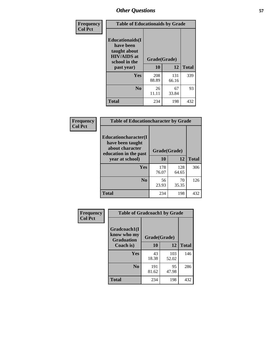| Frequency<br><b>Col Pct</b> | <b>Table of Educationaids by Grade</b>                                                                    |                    |              |              |
|-----------------------------|-----------------------------------------------------------------------------------------------------------|--------------------|--------------|--------------|
|                             | <b>Educationaids</b> (I<br>have been<br>taught about<br><b>HIV/AIDS</b> at<br>school in the<br>past year) | Grade(Grade)<br>10 | 12           | <b>Total</b> |
|                             | Yes                                                                                                       | 208<br>88.89       | 131<br>66.16 | 339          |
|                             | N <sub>0</sub>                                                                                            | 26<br>11.11        | 67<br>33.84  | 93           |
|                             | <b>Total</b>                                                                                              | 234                | 198          | 432          |

| Frequency      | <b>Table of Educationcharacter by Grade</b>      |              |              |              |  |
|----------------|--------------------------------------------------|--------------|--------------|--------------|--|
| <b>Col Pct</b> | <b>Educationcharacter(I)</b><br>have been taught |              |              |              |  |
|                | about character<br>education in the past         | Grade(Grade) |              |              |  |
|                | year at school)                                  | 10           | 12           | <b>Total</b> |  |
|                | Yes                                              | 178<br>76.07 | 128<br>64.65 | 306          |  |
|                | N <sub>0</sub>                                   | 56<br>23.93  | 70<br>35.35  | 126          |  |
|                | <b>Total</b>                                     | 234          | 198          | 432          |  |

| Frequency      | <b>Table of Gradcoach1 by Grade</b>              |              |              |              |  |
|----------------|--------------------------------------------------|--------------|--------------|--------------|--|
| <b>Col Pct</b> | Gradcoach1(I<br>know who my<br><b>Graduation</b> | Grade(Grade) |              |              |  |
|                | Coach is)                                        | 10           | 12           | <b>Total</b> |  |
|                | Yes                                              | 43<br>18.38  | 103<br>52.02 | 146          |  |
|                | N <sub>0</sub>                                   | 191<br>81.62 | 95<br>47.98  | 286          |  |
|                | <b>Total</b>                                     | 234          | 198          | 432          |  |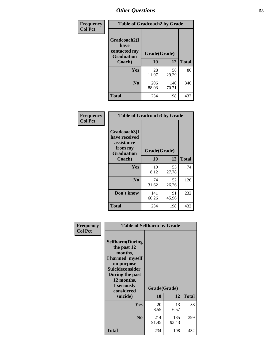| Frequency                         | <b>Table of Gradcoach2 by Grade</b> |              |              |              |
|-----------------------------------|-------------------------------------|--------------|--------------|--------------|
| <b>Col Pct</b>                    | Gradcoach2(I<br>have                |              |              |              |
| contacted my<br><b>Graduation</b> |                                     | Grade(Grade) |              |              |
|                                   | Coach)                              | 10           | 12           | <b>Total</b> |
|                                   | Yes                                 | 28<br>11.97  | 58<br>29.29  | 86           |
|                                   | N <sub>0</sub>                      | 206<br>88.03 | 140<br>70.71 | 346          |
|                                   | <b>Total</b>                        | 234          | 198          | 432          |

| Frequency<br><b>Col Pct</b> | <b>Table of Gradcoach3 by Grade</b>                                         |              |             |              |
|-----------------------------|-----------------------------------------------------------------------------|--------------|-------------|--------------|
|                             | Gradcoach3(I<br>have received<br>assistance<br>from my<br><b>Graduation</b> | Grade(Grade) |             |              |
|                             | Coach)                                                                      | 10           | 12          | <b>Total</b> |
|                             | Yes                                                                         | 19<br>8.12   | 55<br>27.78 | 74           |
|                             | N <sub>0</sub>                                                              | 74<br>31.62  | 52<br>26.26 | 126          |
|                             | Don't know                                                                  | 141<br>60.26 | 91<br>45.96 | 232          |
|                             | <b>Total</b>                                                                | 234          | 198         | 432          |

| Frequency<br><b>Col Pct</b> | <b>Table of Selfharm by Grade</b>                                                                                                                                                      |              |                    |              |
|-----------------------------|----------------------------------------------------------------------------------------------------------------------------------------------------------------------------------------|--------------|--------------------|--------------|
|                             | <b>Selfharm</b> (During<br>the past 12<br>months,<br>I harmed myself<br>on purpose<br><b>Suicideconsider</b><br>During the past<br>12 months,<br>I seriously<br>considered<br>suicide) | 10           | Grade(Grade)<br>12 | <b>Total</b> |
|                             | Yes                                                                                                                                                                                    | 20<br>8.55   | 13<br>6.57         | 33           |
|                             | N <sub>0</sub>                                                                                                                                                                         | 214<br>91.45 | 185<br>93.43       | 399          |
|                             | Total                                                                                                                                                                                  | 234          | 198                | 432          |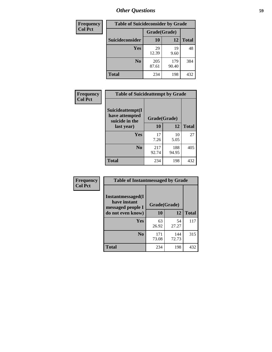| <b>Frequency</b> |                 |              | <b>Table of Suicideconsider by Grade</b> |              |  |
|------------------|-----------------|--------------|------------------------------------------|--------------|--|
| <b>Col Pct</b>   |                 | Grade(Grade) |                                          |              |  |
|                  | Suicideconsider | <b>10</b>    | 12                                       | <b>Total</b> |  |
|                  | Yes             | 29<br>12.39  | 19<br>9.60                               | 48           |  |
|                  | N <sub>0</sub>  | 205<br>87.61 | 179<br>90.40                             | 384          |  |
|                  | Total           | 234          | 198                                      | 432          |  |

| Frequency      | <b>Table of Suicideattempt by Grade</b>              |              |              |              |
|----------------|------------------------------------------------------|--------------|--------------|--------------|
| <b>Col Pct</b> | Suicideattempt(I<br>have attempted<br>suicide in the | Grade(Grade) |              |              |
|                | last year)                                           | 10           | 12           | <b>Total</b> |
|                | Yes                                                  | 17<br>7.26   | 10<br>5.05   | 27           |
|                | N <sub>0</sub>                                       | 217<br>92.74 | 188<br>94.95 | 405          |
|                | <b>Total</b>                                         | 234          | 198          | 432          |

| Frequency      | <b>Table of Instantmessaged by Grade</b>                       |              |              |              |
|----------------|----------------------------------------------------------------|--------------|--------------|--------------|
| <b>Col Pct</b> | <b>Instantmessaged</b> (I<br>have instant<br>messaged people I | Grade(Grade) |              |              |
|                | do not even know)                                              | 10           | 12           | <b>Total</b> |
|                | Yes                                                            | 63<br>26.92  | 54<br>27.27  | 117          |
|                | N <sub>0</sub>                                                 | 171<br>73.08 | 144<br>72.73 | 315          |
|                | <b>Total</b>                                                   | 234          | 198          | 432          |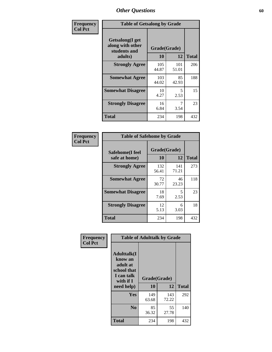| Frequency      | <b>Table of Getsalong by Grade</b>                          |              |              |              |  |  |  |  |
|----------------|-------------------------------------------------------------|--------------|--------------|--------------|--|--|--|--|
| <b>Col Pct</b> | <b>Getsalong</b> (I get<br>along with other<br>students and | Grade(Grade) |              |              |  |  |  |  |
|                | adults)                                                     | 10           | 12           | <b>Total</b> |  |  |  |  |
|                | <b>Strongly Agree</b>                                       | 105<br>44.87 | 101<br>51.01 | 206          |  |  |  |  |
|                | <b>Somewhat Agree</b>                                       | 103<br>44.02 | 85<br>42.93  | 188          |  |  |  |  |
|                | <b>Somewhat Disagree</b>                                    | 10<br>4.27   | 5<br>2.53    | 15           |  |  |  |  |
|                | <b>Strongly Disagree</b>                                    | 16<br>6.84   | 7<br>3.54    | 23           |  |  |  |  |
|                | Total                                                       | 234          | 198          | 432          |  |  |  |  |

| <b>Frequency</b> |
|------------------|
| Col Pct          |

| <b>Table of Safehome by Grade</b>        |                    |              |     |  |  |  |  |  |  |
|------------------------------------------|--------------------|--------------|-----|--|--|--|--|--|--|
| <b>Safehome</b> (I feel<br>safe at home) | Grade(Grade)<br>10 | <b>Total</b> |     |  |  |  |  |  |  |
| <b>Strongly Agree</b>                    | 132<br>56.41       | 141<br>71.21 | 273 |  |  |  |  |  |  |
| <b>Somewhat Agree</b>                    | 72<br>30.77        | 46<br>23.23  | 118 |  |  |  |  |  |  |
| <b>Somewhat Disagree</b>                 | 18<br>7.69         | 5<br>2.53    | 23  |  |  |  |  |  |  |
| <b>Strongly Disagree</b>                 | 12<br>5.13         | 6<br>3.03    | 18  |  |  |  |  |  |  |
| <b>Total</b>                             | 234                | 198          | 432 |  |  |  |  |  |  |

| Frequency      | <b>Table of Adulttalk by Grade</b>                                                   |              |              |              |  |  |  |  |  |
|----------------|--------------------------------------------------------------------------------------|--------------|--------------|--------------|--|--|--|--|--|
| <b>Col Pct</b> | <b>Adulttalk</b> (I<br>know an<br>adult at<br>school that<br>I can talk<br>with if I | Grade(Grade) |              |              |  |  |  |  |  |
|                | need help)                                                                           | 10           | 12           | <b>Total</b> |  |  |  |  |  |
|                | <b>Yes</b>                                                                           | 149<br>63.68 | 143<br>72.22 | 292          |  |  |  |  |  |
|                | N <sub>0</sub>                                                                       | 85<br>36.32  | 55<br>27.78  | 140          |  |  |  |  |  |
|                | Total                                                                                | 234          | 198          | 432          |  |  |  |  |  |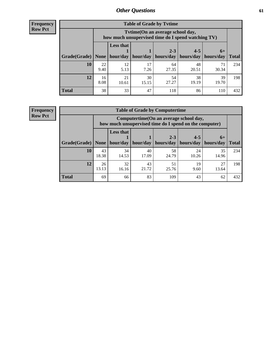**Frequency Row Pct**

| <b>Table of Grade by Tvtime</b>                                               |            |                                                                                         |             |             |             |             |              |  |  |  |
|-------------------------------------------------------------------------------|------------|-----------------------------------------------------------------------------------------|-------------|-------------|-------------|-------------|--------------|--|--|--|
|                                                                               |            | Tytime (On an average school day,<br>how much unsupervised time do I spend watching TV) |             |             |             |             |              |  |  |  |
|                                                                               |            | <b>Less that</b>                                                                        |             | $2 - 3$     | $4 - 5$     | $6+$        |              |  |  |  |
| Grade(Grade)   None   hour/day   hour/day   hours/day   hours/day   hours/day |            |                                                                                         |             |             |             |             | <b>Total</b> |  |  |  |
| 10                                                                            | 22<br>9.40 | 12<br>5.13                                                                              | 17<br>7.26  | 64<br>27.35 | 48<br>20.51 | 71<br>30.34 | 234          |  |  |  |
| 12                                                                            | 16<br>8.08 | 21<br>10.61                                                                             | 30<br>15.15 | 54<br>27.27 | 38<br>19.19 | 39<br>19.70 | 198          |  |  |  |
| <b>Total</b>                                                                  | 38         | 33                                                                                      | 47          | 118         | 86          | 110         | 432          |  |  |  |

**Frequency Row Pct**

| <b>Table of Grade by Computertime</b> |             |                                                                                                   |                     |                      |                      |                   |              |  |  |  |
|---------------------------------------|-------------|---------------------------------------------------------------------------------------------------|---------------------|----------------------|----------------------|-------------------|--------------|--|--|--|
|                                       |             | Computertime (On an average school day,<br>how much unsupervised time do I spend on the computer) |                     |                      |                      |                   |              |  |  |  |
| Grade(Grade)                          | None $ $    | <b>Less that</b>                                                                                  | hour/day   hour/day | $2 - 3$<br>hours/day | $4 - 5$<br>hours/day | $6+$<br>hours/day | <b>Total</b> |  |  |  |
| 10                                    | 43<br>18.38 | 34<br>14.53                                                                                       | 40<br>17.09         | 58<br>24.79          | 24<br>10.26          | 35<br>14.96       | 234          |  |  |  |
| 12                                    | 26<br>13.13 | 32<br>16.16                                                                                       | 43<br>21.72         | 51<br>25.76          | 19<br>9.60           | 27<br>13.64       | 198          |  |  |  |
| <b>Total</b>                          | 69          | 66                                                                                                | 83                  | 109                  | 43                   | 62                | 432          |  |  |  |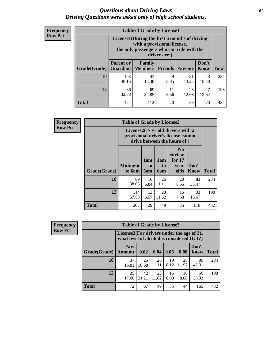#### *Questions about Driving Laws* **62** *Driving Questions were asked only of high school students.*

| <b>Frequency</b> |
|------------------|
| <b>Row Pct</b>   |

| <b>Table of Grade by License1</b> |                                     |                                                                                                                                           |            |             |               |              |  |  |  |  |
|-----------------------------------|-------------------------------------|-------------------------------------------------------------------------------------------------------------------------------------------|------------|-------------|---------------|--------------|--|--|--|--|
|                                   |                                     | License1(During the first 6 months of driving<br>with a provisional license,<br>the only passengers who can ride with the<br>driver are:) |            |             |               |              |  |  |  |  |
| Grade(Grade)                      | <b>Parent or</b><br><b>Guardian</b> | Family<br><b>Members</b>                                                                                                                  | Friends    | Anyone      | Don't<br>Know | <b>Total</b> |  |  |  |  |
| 10                                | 108<br>46.15                        | 43<br>18.38                                                                                                                               | 9<br>3.85  | 31<br>13.25 | 43<br>18.38   | 234          |  |  |  |  |
| 12                                | 66<br>33.33                         | 69<br>34.85                                                                                                                               | 11<br>5.56 | 25<br>12.63 | 27<br>13.64   | 198          |  |  |  |  |
| <b>Total</b>                      | 174                                 | 112                                                                                                                                       | 20         | 56          | 70            | 432          |  |  |  |  |

| Frequency      | <b>Table of Grade by License2</b> |                                                                                                          |                  |                  |                                                      |               |              |  |
|----------------|-----------------------------------|----------------------------------------------------------------------------------------------------------|------------------|------------------|------------------------------------------------------|---------------|--------------|--|
| <b>Row Pct</b> |                                   | License2(17 yr old drivers with a<br>provisional driver's license cannot<br>drive between the hours of:) |                  |                  |                                                      |               |              |  |
|                | Grade(Grade)                      | <b>Midnight</b><br>to 6am                                                                                | 1am<br>to<br>5am | 1am<br>to<br>6am | N <sub>0</sub><br>curfew<br>for $17$<br>vear<br>olds | Don't<br>Know | <b>Total</b> |  |
|                | 10                                | 89<br>38.03                                                                                              | 16<br>6.84       | 26<br>11.11      | 20<br>8.55                                           | 83<br>35.47   | 234          |  |
|                | 12                                | 114<br>57.58                                                                                             | 13<br>6.57       | 23<br>11.62      | 15<br>7.58                                           | 33<br>16.67   | 198          |  |
|                | <b>Total</b>                      | 203                                                                                                      | 29               | 49               | 35                                                   | 116           | 432          |  |

| Frequency      | <b>Table of Grade by License3</b> |                      |                                                                                        |             |            |             |               |              |  |  |
|----------------|-----------------------------------|----------------------|----------------------------------------------------------------------------------------|-------------|------------|-------------|---------------|--------------|--|--|
| <b>Row Pct</b> |                                   |                      | License3(For drivers under the age of 21,<br>what level of alcohol is considered DUI?) |             |            |             |               |              |  |  |
|                | Grade(Grade)                      | Any<br><b>Amount</b> | 0.02                                                                                   | 0.04        | 0.06       | 0.08        | Don't<br>know | <b>Total</b> |  |  |
|                | <b>10</b>                         | 37<br>15.81          | 25<br>10.68                                                                            | 26<br>11.11 | 19<br>8.12 | 28<br>11.97 | 99<br>42.31   | 234          |  |  |
|                | 12                                | 35<br>17.68          | 42<br>21.21                                                                            | 23<br>11.62 | 16<br>8.08 | 16<br>8.08  | 66<br>33.33   | 198          |  |  |
|                | <b>Total</b>                      | 72                   | 67                                                                                     | 49          | 35         | 44          | 165           | 432          |  |  |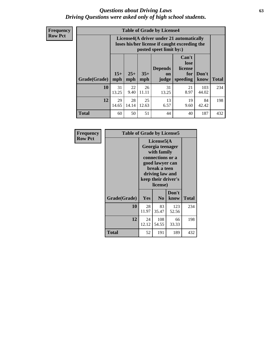#### *Questions about Driving Laws* **63** *Driving Questions were asked only of high school students.*

**Frequency Row Pct**

| <b>Table of Grade by License4</b> |              |                                                                                                                      |              |                               |                                             |               |              |  |  |
|-----------------------------------|--------------|----------------------------------------------------------------------------------------------------------------------|--------------|-------------------------------|---------------------------------------------|---------------|--------------|--|--|
|                                   |              | License4(A driver under 21 automatically<br>loses his/her license if caught exceeding the<br>posted speet limit by:) |              |                               |                                             |               |              |  |  |
| Grade(Grade)                      | $15+$<br>mph | $25+$<br>mph                                                                                                         | $35+$<br>mph | <b>Depends</b><br>on<br>judge | Can't<br>lose<br>license<br>for<br>speeding | Don't<br>know | <b>Total</b> |  |  |
| 10                                | 31<br>13.25  | 22<br>9.40                                                                                                           | 26<br>11.11  | 31<br>13.25                   | 21<br>8.97                                  | 103<br>44.02  | 234          |  |  |
| 12                                | 29<br>14.65  | 28<br>14.14                                                                                                          | 25<br>12.63  | 13<br>6.57                    | 19<br>9.60                                  | 84<br>42.42   | 198          |  |  |
| <b>Total</b>                      | 60           | 50                                                                                                                   | 51           | 44                            | 40                                          | 187           | 432          |  |  |

| Frequency      | <b>Table of Grade by License5</b> |             |                                                                                                                                                             |               |       |  |  |  |
|----------------|-----------------------------------|-------------|-------------------------------------------------------------------------------------------------------------------------------------------------------------|---------------|-------|--|--|--|
| <b>Row Pct</b> |                                   |             | License5(A)<br>Georgia teenager<br>with family<br>connections or a<br>good lawyer can<br>break a teen<br>driving law and<br>keep their driver's<br>license) |               |       |  |  |  |
|                | Grade(Grade)                      | Yes         | N <sub>0</sub>                                                                                                                                              | Don't<br>know | Total |  |  |  |
|                | 10                                | 28<br>11.97 | 83<br>35.47                                                                                                                                                 | 123<br>52.56  | 234   |  |  |  |
|                | 12                                | 24<br>12.12 | 108<br>54.55                                                                                                                                                | 66<br>33.33   | 198   |  |  |  |
|                | Total                             | 52          | 191                                                                                                                                                         | 189           | 432   |  |  |  |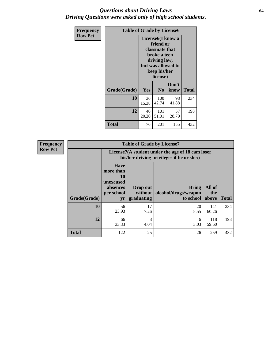#### *Questions about Driving Laws* **64** *Driving Questions were asked only of high school students.*

| <b>Frequency</b> | <b>Table of Grade by License6</b> |                                                                                                                                                 |                |               |              |
|------------------|-----------------------------------|-------------------------------------------------------------------------------------------------------------------------------------------------|----------------|---------------|--------------|
| <b>Row Pct</b>   |                                   | License <sub>6</sub> (I know a<br>friend or<br>classmate that<br>broke a teen<br>driving law,<br>but was allowed to<br>keep his/her<br>license) |                |               |              |
|                  | Grade(Grade)                      | <b>Yes</b>                                                                                                                                      | N <sub>0</sub> | Don't<br>know | <b>Total</b> |
|                  | 10                                | 36<br>15.38                                                                                                                                     | 100<br>42.74   | 98<br>41.88   | 234          |
|                  | 12                                | 40<br>20.20                                                                                                                                     | 101<br>51.01   | 57<br>28.79   | 198          |
|                  | <b>Total</b>                      | 76                                                                                                                                              | 201            | 155           | 432          |

| <b>Frequency</b> |              |                                                                             | <b>Table of Grade by License7</b>                                                             |                                                   |                        |              |  |
|------------------|--------------|-----------------------------------------------------------------------------|-----------------------------------------------------------------------------------------------|---------------------------------------------------|------------------------|--------------|--|
| <b>Row Pct</b>   |              |                                                                             | License7(A student under the age of 18 cam loser<br>his/her driving privileges if he or she:) |                                                   |                        |              |  |
|                  | Grade(Grade) | <b>Have</b><br>more than<br>10<br>unexcused<br>absences<br>per school<br>yr | Drop out<br>without  <br>graduating                                                           | <b>Bring</b><br>alcohol/drugs/weapon<br>to school | All of<br>the<br>above | <b>Total</b> |  |
|                  | 10           | 56<br>23.93                                                                 | 17<br>7.26                                                                                    | 20<br>8.55                                        | 141<br>60.26           | 234          |  |
|                  | 12           | 66<br>33.33                                                                 | 8<br>4.04                                                                                     | 6<br>3.03                                         | 118<br>59.60           | 198          |  |
|                  | <b>Total</b> | 122                                                                         | 25                                                                                            | 26                                                | 259                    | 432          |  |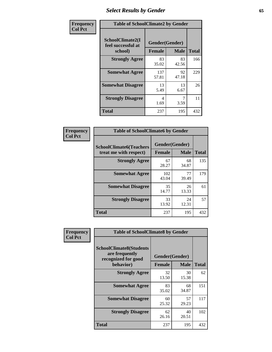# *Select Results by Gender* **65**

| Frequency      | <b>Table of SchoolClimate2 by Gender</b>          |                                 |             |              |  |
|----------------|---------------------------------------------------|---------------------------------|-------------|--------------|--|
| <b>Col Pct</b> | SchoolClimate2(I<br>feel successful at<br>school) | Gender(Gender)<br><b>Female</b> | <b>Male</b> | <b>Total</b> |  |
|                | <b>Strongly Agree</b>                             | 83<br>35.02                     | 83<br>42.56 | 166          |  |
|                | <b>Somewhat Agree</b>                             | 137<br>57.81                    | 92<br>47.18 | 229          |  |
|                | <b>Somewhat Disagree</b>                          | 13<br>5.49                      | 13<br>6.67  | 26           |  |
|                | <b>Strongly Disagree</b>                          | 4<br>1.69                       | 7<br>3.59   | 11           |  |
|                | <b>Total</b>                                      | 237                             | 195         | 432          |  |

| <b>Frequency</b> | <b>Table of SchoolClimate6 by Gender</b>                 |               |                               |              |
|------------------|----------------------------------------------------------|---------------|-------------------------------|--------------|
| <b>Col Pct</b>   | <b>SchoolClimate6(Teachers</b><br>treat me with respect) | <b>Female</b> | Gender(Gender)<br><b>Male</b> | <b>Total</b> |
|                  | <b>Strongly Agree</b>                                    | 67<br>28.27   | 68<br>34.87                   | 135          |
|                  | <b>Somewhat Agree</b>                                    | 102<br>43.04  | 77<br>39.49                   | 179          |
|                  | <b>Somewhat Disagree</b>                                 | 35<br>14.77   | 26<br>13.33                   | 61           |
|                  | <b>Strongly Disagree</b>                                 | 33<br>13.92   | 24<br>12.31                   | 57           |
|                  | <b>Total</b>                                             | 237           | 195                           | 432          |

| Frequency      | <b>Table of SchoolClimate8 by Gender</b>                                             |                                 |             |              |  |
|----------------|--------------------------------------------------------------------------------------|---------------------------------|-------------|--------------|--|
| <b>Col Pct</b> | <b>SchoolClimate8(Students</b><br>are frequently<br>recognized for good<br>behavior) | Gender(Gender)<br><b>Female</b> | <b>Male</b> | <b>Total</b> |  |
|                | <b>Strongly Agree</b>                                                                | 32<br>13.50                     | 30<br>15.38 | 62           |  |
|                | <b>Somewhat Agree</b>                                                                | 83<br>35.02                     | 68<br>34.87 | 151          |  |
|                | <b>Somewhat Disagree</b>                                                             | 60<br>25.32                     | 57<br>29.23 | 117          |  |
|                | <b>Strongly Disagree</b>                                                             | 62<br>26.16                     | 40<br>20.51 | 102          |  |
|                | Total                                                                                | 237                             | 195         | 432          |  |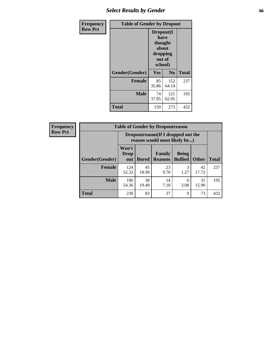# *Select Results by Gender* **66**

| Frequency      | <b>Table of Gender by Dropout</b> |                                                                        |                |              |
|----------------|-----------------------------------|------------------------------------------------------------------------|----------------|--------------|
| <b>Row Pct</b> |                                   | Dropout(I<br>have<br>thought<br>about<br>dropping<br>out of<br>school) |                |              |
|                | Gender(Gender)                    | Yes                                                                    | N <sub>0</sub> | <b>Total</b> |
|                | <b>Female</b>                     | 85<br>35.86                                                            | 152<br>64.14   | 237          |
|                | <b>Male</b>                       | 74<br>37.95                                                            | 121<br>62.05   | 195          |
|                | <b>Total</b>                      | 159                                                                    | 273            | 432          |

| <b>Frequency</b> | <b>Table of Gender by Dropoutreason</b> |                             |                                                                    |                          |                                |              |              |
|------------------|-----------------------------------------|-----------------------------|--------------------------------------------------------------------|--------------------------|--------------------------------|--------------|--------------|
| <b>Row Pct</b>   |                                         |                             | Dropoutreason(If I dropped out the<br>reason would most likely be) |                          |                                |              |              |
|                  | Gender(Gender)                          | Won't<br><b>Drop</b><br>out | <b>Bored</b>                                                       | Family<br><b>Reasons</b> | <b>Being</b><br><b>Bullied</b> | <b>Other</b> | <b>Total</b> |
|                  | <b>Female</b>                           | 124<br>52.32                | 45<br>18.99                                                        | 23<br>9.70               | 3<br>1.27                      | 42<br>17.72  | 237          |
|                  | <b>Male</b>                             | 106<br>54.36                | 38<br>19.49                                                        | 14<br>7.18               | 6<br>3.08                      | 31<br>15.90  | 195          |
|                  | <b>Total</b>                            | 230                         | 83                                                                 | 37                       | 9                              | 73           | 432          |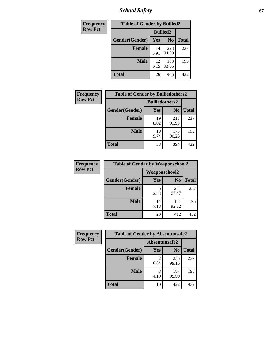*School Safety* **67**

| Frequency      | <b>Table of Gender by Bullied2</b> |                 |                |              |  |
|----------------|------------------------------------|-----------------|----------------|--------------|--|
| <b>Row Pct</b> |                                    | <b>Bullied2</b> |                |              |  |
|                | Gender(Gender)                     | Yes             | N <sub>0</sub> | <b>Total</b> |  |
|                | <b>Female</b>                      | 14<br>5.91      | 223<br>94.09   | 237          |  |
|                | <b>Male</b>                        | 12<br>6.15      | 183<br>93.85   | 195          |  |
|                | <b>Total</b>                       | 26              | 406            | 432          |  |

| Frequency      | <b>Table of Gender by Bulliedothers2</b> |                       |                |       |
|----------------|------------------------------------------|-----------------------|----------------|-------|
| <b>Row Pct</b> |                                          | <b>Bulliedothers2</b> |                |       |
|                | Gender(Gender)                           | <b>Yes</b>            | N <sub>0</sub> | Total |
|                | <b>Female</b>                            | 19<br>8.02            | 218<br>91.98   | 237   |
|                | <b>Male</b>                              | 19<br>9.74            | 176<br>90.26   | 195   |
|                | <b>Total</b>                             | 38                    | 394            | 432   |

| Frequency      | <b>Table of Gender by Weaponschool2</b> |                      |                |              |  |
|----------------|-----------------------------------------|----------------------|----------------|--------------|--|
| <b>Row Pct</b> |                                         | <b>Weaponschool2</b> |                |              |  |
|                | Gender(Gender)                          | Yes                  | N <sub>0</sub> | <b>Total</b> |  |
|                | <b>Female</b>                           | 6<br>2.53            | 231<br>97.47   | 237          |  |
|                | <b>Male</b>                             | 14<br>7.18           | 181<br>92.82   | 195          |  |
|                | <b>Total</b>                            | 20                   | 412            | 432          |  |

| Frequency      | <b>Table of Gender by Absentunsafe2</b> |               |                |              |  |  |
|----------------|-----------------------------------------|---------------|----------------|--------------|--|--|
| <b>Row Pct</b> |                                         | Absentunsafe2 |                |              |  |  |
|                | Gender(Gender)                          | Yes           | N <sub>0</sub> | <b>Total</b> |  |  |
|                | <b>Female</b>                           | 0.84          | 235<br>99.16   | 237          |  |  |
|                | <b>Male</b>                             | 8<br>4.10     | 187<br>95.90   | 195          |  |  |
|                | <b>Total</b>                            | 10            | 422            | 432          |  |  |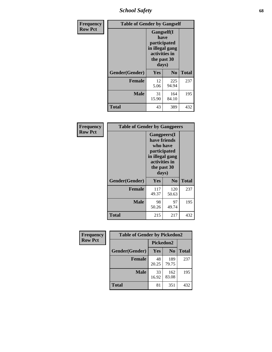*School Safety* **68**

| Frequency      | <b>Table of Gender by Gangself</b> |                                                                                                |              |              |  |
|----------------|------------------------------------|------------------------------------------------------------------------------------------------|--------------|--------------|--|
| <b>Row Pct</b> |                                    | Gangself(I<br>have<br>participated<br>in illegal gang<br>activities in<br>the past 30<br>days) |              |              |  |
|                | Gender(Gender)                     | Yes                                                                                            | $\bf No$     | <b>Total</b> |  |
|                | <b>Female</b>                      | 12<br>5.06                                                                                     | 225<br>94.94 | 237          |  |
|                | <b>Male</b>                        | 31<br>15.90                                                                                    | 164<br>84.10 | 195          |  |
|                | <b>Total</b>                       | 43                                                                                             | 389          | 432          |  |

| Frequency      | <b>Table of Gender by Gangpeers</b> |                                                                                                                             |                |              |
|----------------|-------------------------------------|-----------------------------------------------------------------------------------------------------------------------------|----------------|--------------|
| <b>Row Pct</b> |                                     | <b>Gangpeers</b> (I<br>have friends<br>who have<br>participated<br>in illegal gang<br>activities in<br>the past 30<br>days) |                |              |
|                | Gender(Gender)                      | <b>Yes</b>                                                                                                                  | N <sub>0</sub> | <b>Total</b> |
|                | <b>Female</b>                       | 117<br>49.37                                                                                                                | 120<br>50.63   | 237          |
|                | <b>Male</b>                         | 98<br>50.26                                                                                                                 | 97<br>49.74    | 195          |
|                | Total                               | 215                                                                                                                         | 217            | 432          |

| <b>Frequency</b> | <b>Table of Gender by Pickedon2</b> |             |                |              |
|------------------|-------------------------------------|-------------|----------------|--------------|
| <b>Row Pct</b>   |                                     |             | Pickedon2      |              |
|                  | Gender(Gender)                      | Yes         | N <sub>0</sub> | <b>Total</b> |
|                  | <b>Female</b>                       | 48<br>20.25 | 189<br>79.75   | 237          |
|                  | <b>Male</b>                         | 33<br>16.92 | 162<br>83.08   | 195          |
|                  | <b>Total</b>                        | 81          | 351            | 432          |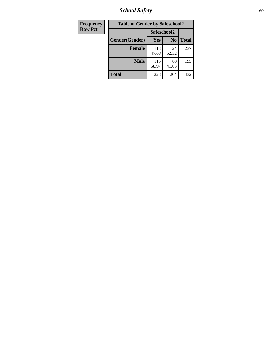*School Safety* **69**

| Frequency      | <b>Table of Gender by Safeschool2</b> |              |                |              |
|----------------|---------------------------------------|--------------|----------------|--------------|
| <b>Row Pct</b> |                                       | Safeschool2  |                |              |
|                | Gender(Gender)                        | <b>Yes</b>   | N <sub>0</sub> | <b>Total</b> |
|                | <b>Female</b>                         | 113<br>47.68 | 124<br>52.32   | 237          |
|                | <b>Male</b>                           | 115<br>58.97 | 80<br>41.03    | 195          |
|                | <b>Total</b>                          | 228          | 204            | 432          |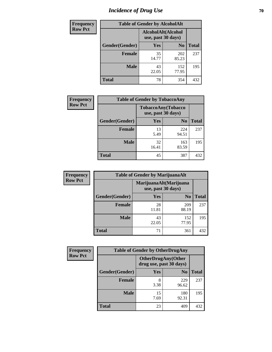# *Incidence of Drug Use* **70**

| <b>Frequency</b> | <b>Table of Gender by AlcoholAlt</b> |                                          |                |              |  |
|------------------|--------------------------------------|------------------------------------------|----------------|--------------|--|
| <b>Row Pct</b>   |                                      | AlcoholAlt(Alcohol<br>use, past 30 days) |                |              |  |
|                  | Gender(Gender)                       | Yes                                      | N <sub>0</sub> | <b>Total</b> |  |
|                  | <b>Female</b>                        | 35<br>14.77                              | 202<br>85.23   | 237          |  |
|                  | <b>Male</b>                          | 43<br>22.05                              | 152<br>77.95   | 195          |  |
|                  | <b>Total</b>                         | 78                                       | 354            | 432          |  |

| Frequency      | <b>Table of Gender by TobaccoAny</b> |                                          |                |              |  |
|----------------|--------------------------------------|------------------------------------------|----------------|--------------|--|
| <b>Row Pct</b> |                                      | TobaccoAny(Tobacco<br>use, past 30 days) |                |              |  |
|                | Gender(Gender)                       | Yes                                      | N <sub>0</sub> | <b>Total</b> |  |
|                | <b>Female</b>                        | 13<br>5.49                               | 224<br>94.51   | 237          |  |
|                | <b>Male</b>                          | 32<br>16.41                              | 163<br>83.59   | 195          |  |
|                | Total                                | 45                                       | 387            | 432          |  |

| <b>Frequency</b> | <b>Table of Gender by MarijuanaAlt</b> |                                              |                |              |
|------------------|----------------------------------------|----------------------------------------------|----------------|--------------|
| <b>Row Pct</b>   |                                        | MarijuanaAlt(Marijuana<br>use, past 30 days) |                |              |
|                  | Gender(Gender)                         | <b>Yes</b>                                   | N <sub>0</sub> | <b>Total</b> |
|                  | Female                                 | 28<br>11.81                                  | 209<br>88.19   | 237          |
|                  | <b>Male</b>                            | 43<br>22.05                                  | 152<br>77.95   | 195          |
|                  | <b>Total</b>                           | 71                                           | 361            | 432          |

| <b>Frequency</b> | <b>Table of Gender by OtherDrugAny</b> |                                                      |                |              |
|------------------|----------------------------------------|------------------------------------------------------|----------------|--------------|
| <b>Row Pct</b>   |                                        | <b>OtherDrugAny(Other</b><br>drug use, past 30 days) |                |              |
|                  | Gender(Gender)                         | <b>Yes</b>                                           | N <sub>0</sub> | <b>Total</b> |
|                  | <b>Female</b>                          | 8<br>3.38                                            | 229<br>96.62   | 237          |
|                  | <b>Male</b>                            | 15<br>7.69                                           | 180<br>92.31   | 195          |
|                  | <b>Total</b>                           | 23                                                   | 409            | 432          |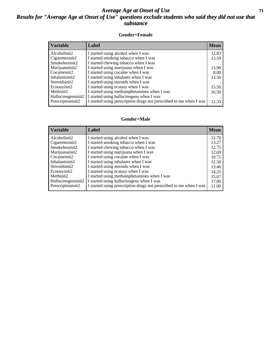#### *Average Age at Onset of Use* **71** *Results for "Average Age at Onset of Use" questions exclude students who said they did not use that substance*

#### **Gender=Female**

| <b>Variable</b>                 | <b>Label</b>                                                       | <b>Mean</b> |
|---------------------------------|--------------------------------------------------------------------|-------------|
| Alcoholinit2                    | I started using alcohol when I was                                 | 12.83       |
| Cigarettesinit2                 | I started smoking tobacco when I was                               | 13.59       |
| Smokelessinit2                  | I started chewing tobacco when I was                               |             |
| Marijuanainit2                  | I started using marijuana when I was                               | 13.90       |
| Cocaineinit2                    | I started using cocaine when I was                                 | 8.00        |
| Inhalantsinit2                  | I started using inhalants when I was                               | 13.50       |
| Steroidsinit2                   | I started using steroids when I was                                |             |
| Ecstasyinit2                    | I started using ecstasy when I was                                 | 15.50       |
| Methinit2                       | I started using methamphetamines when I was                        | 16.50       |
| Hallucinogensinit2              | I started using hallucinogens when I was                           |             |
| Prescription in it <sub>2</sub> | I started using prescription drugs not prescribed to me when I was | 12.33       |

#### **Gender=Male**

| <b>Variable</b>                   | Label                                                                             | <b>Mean</b>    |
|-----------------------------------|-----------------------------------------------------------------------------------|----------------|
| Alcoholinit2                      | I started using alcohol when I was                                                | 12.76          |
| Cigarettesinit2<br>Smokelessinit2 | I started smoking tobacco when I was<br>I started chewing tobacco when I was      | 13.27<br>12.75 |
| Marijuanainit2                    | I started using marijuana when I was                                              | 12.69          |
| Cocaineinit2<br>Inhalantsinit2    | I started using cocaine when I was<br>I started using inhalants when I was        | 10.71<br>12.50 |
| Steroidsinit2                     | I started using steroids when I was                                               | 13.40          |
| Ecstasyinit2<br>Methinit2         | I started using ecstasy when I was<br>I started using methamphetamines when I was | 14.25<br>15.67 |
| Hallucinogensinit2                | I started using hallucinogens when I was                                          | 17.00          |
| Prescriptioninit2                 | I started using prescription drugs not prescribed to me when I was                | 11.00          |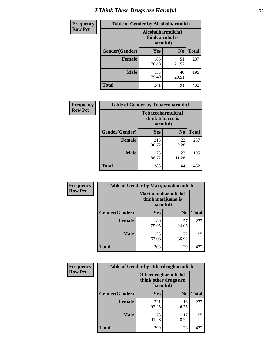# *I Think These Drugs are Harmful* **72**

| <b>Frequency</b> | <b>Table of Gender by Alcoholharmdich</b> |                                                   |                |              |
|------------------|-------------------------------------------|---------------------------------------------------|----------------|--------------|
| <b>Row Pct</b>   |                                           | Alcoholharmdich(I<br>think alcohol is<br>harmful) |                |              |
|                  | Gender(Gender)                            | Yes                                               | N <sub>0</sub> | <b>Total</b> |
|                  | <b>Female</b>                             | 186<br>78.48                                      | 51<br>21.52    | 237          |
|                  | <b>Male</b>                               | 155<br>79.49                                      | 40<br>20.51    | 195          |
|                  | Total                                     | 341                                               | 91             | 432          |

| Frequency      | <b>Table of Gender by Tobaccoharmdich</b> |                                                   |                |              |
|----------------|-------------------------------------------|---------------------------------------------------|----------------|--------------|
| <b>Row Pct</b> |                                           | Tobaccoharmdich(I<br>think tobacco is<br>harmful) |                |              |
|                | Gender(Gender)                            | Yes                                               | N <sub>0</sub> | <b>Total</b> |
|                | <b>Female</b>                             | 215<br>90.72                                      | 22<br>9.28     | 237          |
|                | <b>Male</b>                               | 173<br>88.72                                      | 22<br>11.28    | 195          |
|                | <b>Total</b>                              | 388                                               | 44             | 432          |

| Frequency      | <b>Table of Gender by Marijuanaharmdich</b> |                                                       |                |              |  |
|----------------|---------------------------------------------|-------------------------------------------------------|----------------|--------------|--|
| <b>Row Pct</b> |                                             | Marijuanaharmdich(I<br>think marijuana is<br>harmful) |                |              |  |
|                | Gender(Gender)                              | <b>Yes</b>                                            | N <sub>0</sub> | <b>Total</b> |  |
|                | <b>Female</b>                               | 180<br>75.95                                          | 57<br>24.05    | 237          |  |
|                | <b>Male</b>                                 | 123<br>63.08                                          | 72<br>36.92    | 195          |  |
|                | <b>Total</b>                                | 303                                                   | 129            | 432          |  |

| Frequency      | <b>Table of Gender by Otherdrugharmdich</b> |                                                          |                |              |
|----------------|---------------------------------------------|----------------------------------------------------------|----------------|--------------|
| <b>Row Pct</b> |                                             | Otherdrugharmdich(I<br>think other drugs are<br>harmful) |                |              |
|                | Gender(Gender)                              | <b>Yes</b>                                               | N <sub>0</sub> | <b>Total</b> |
|                | <b>Female</b>                               | 221<br>93.25                                             | 16<br>6.75     | 237          |
|                | <b>Male</b>                                 | 178<br>91.28                                             | 17<br>8.72     | 195          |
|                | <b>Total</b>                                | 399                                                      | 33             | 432          |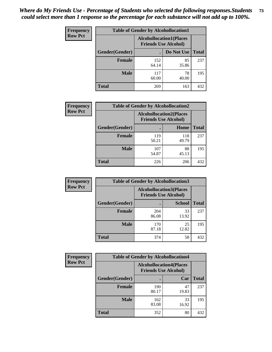| <b>Frequency</b> | <b>Table of Gender by Alcohollocation1</b> |                                                               |             |              |
|------------------|--------------------------------------------|---------------------------------------------------------------|-------------|--------------|
| <b>Row Pct</b>   |                                            | <b>Alcohollocation1(Places</b><br><b>Friends Use Alcohol)</b> |             |              |
|                  | Gender(Gender)                             |                                                               | Do Not Use  | <b>Total</b> |
|                  | <b>Female</b>                              | 152<br>64.14                                                  | 85<br>35.86 | 237          |
|                  | <b>Male</b>                                | 117<br>60.00                                                  | 78<br>40.00 | 195          |
|                  | <b>Total</b>                               | 269                                                           | 163         | 432          |

| <b>Frequency</b> | <b>Table of Gender by Alcohollocation2</b> |              |                                                               |              |
|------------------|--------------------------------------------|--------------|---------------------------------------------------------------|--------------|
| <b>Row Pct</b>   |                                            |              | <b>Alcohollocation2(Places</b><br><b>Friends Use Alcohol)</b> |              |
|                  | Gender(Gender)                             |              | Home                                                          | <b>Total</b> |
|                  | <b>Female</b>                              | 119<br>50.21 | 118<br>49.79                                                  | 237          |
|                  | <b>Male</b>                                | 107<br>54.87 | 88<br>45.13                                                   | 195          |
|                  | <b>Total</b>                               | 226          | 206                                                           | 432          |

| Frequency      | <b>Table of Gender by Alcohollocation3</b> |              |                                                               |              |
|----------------|--------------------------------------------|--------------|---------------------------------------------------------------|--------------|
| <b>Row Pct</b> |                                            |              | <b>Alcohollocation3(Places</b><br><b>Friends Use Alcohol)</b> |              |
|                | Gender(Gender)                             |              | <b>School</b>                                                 | <b>Total</b> |
|                | <b>Female</b>                              | 204<br>86.08 | 33<br>13.92                                                   | 237          |
|                | <b>Male</b>                                | 170<br>87.18 | 25<br>12.82                                                   | 195          |
|                | <b>Total</b>                               | 374          | 58                                                            | 432          |

| <b>Frequency</b> | <b>Table of Gender by Alcohollocation4</b> |              |                                                               |              |
|------------------|--------------------------------------------|--------------|---------------------------------------------------------------|--------------|
| <b>Row Pct</b>   |                                            |              | <b>Alcohollocation4(Places</b><br><b>Friends Use Alcohol)</b> |              |
|                  | Gender(Gender)                             |              | Car                                                           | <b>Total</b> |
|                  | <b>Female</b>                              | 190<br>80.17 | 47<br>19.83                                                   | 237          |
|                  | <b>Male</b>                                | 162<br>83.08 | 33<br>16.92                                                   | 195          |
|                  | <b>Total</b>                               | 352          | 80                                                            | 432          |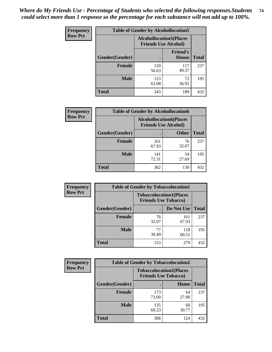| <b>Frequency</b> | <b>Table of Gender by Alcohollocation5</b> |                                                               |                                 |              |
|------------------|--------------------------------------------|---------------------------------------------------------------|---------------------------------|--------------|
| <b>Row Pct</b>   |                                            | <b>Alcohollocation5(Places</b><br><b>Friends Use Alcohol)</b> |                                 |              |
|                  | Gender(Gender)                             |                                                               | <b>Friend's</b><br><b>House</b> | <b>Total</b> |
|                  | <b>Female</b>                              | 120<br>50.63                                                  | 117<br>49.37                    | 237          |
|                  | <b>Male</b>                                | 123<br>63.08                                                  | 72<br>36.92                     | 195          |
|                  | <b>Total</b>                               | 243                                                           | 189                             | 432          |

| Frequency      |                        | <b>Table of Gender by Alcohollocation6</b>                    |              |              |
|----------------|------------------------|---------------------------------------------------------------|--------------|--------------|
| <b>Row Pct</b> |                        | <b>Alcohollocation6(Places</b><br><b>Friends Use Alcohol)</b> |              |              |
|                | <b>Gender</b> (Gender) |                                                               | <b>Other</b> | <b>Total</b> |
|                | Female                 | 161<br>67.93                                                  | 76<br>32.07  | 237          |
|                | <b>Male</b>            | 141<br>72.31                                                  | 54<br>27.69  | 195          |
|                | <b>Total</b>           | 302                                                           | 130          | 432          |

| Frequency      | <b>Table of Gender by Tobaccolocation1</b> |                                                               |              |              |  |
|----------------|--------------------------------------------|---------------------------------------------------------------|--------------|--------------|--|
| <b>Row Pct</b> |                                            | <b>Tobaccolocation1(Places</b><br><b>Friends Use Tobacco)</b> |              |              |  |
|                | Gender(Gender)                             |                                                               | Do Not Use   | <b>Total</b> |  |
|                | Female                                     | 76<br>32.07                                                   | 161<br>67.93 | 237          |  |
|                | <b>Male</b>                                | 77<br>39.49                                                   | 118<br>60.51 | 195          |  |
|                | <b>Total</b>                               | 153                                                           | 279          | 432          |  |

| <b>Frequency</b> | <b>Table of Gender by Tobaccolocation2</b> |                                                               |             |              |
|------------------|--------------------------------------------|---------------------------------------------------------------|-------------|--------------|
| <b>Row Pct</b>   |                                            | <b>Tobaccolocation2(Places</b><br><b>Friends Use Tobacco)</b> |             |              |
|                  | Gender(Gender)                             |                                                               | Home        | <b>Total</b> |
|                  | Female                                     | 173<br>73.00                                                  | 64<br>27.00 | 237          |
|                  | <b>Male</b>                                | 135<br>69.23                                                  | 60<br>30.77 | 195          |
|                  | <b>Total</b>                               | 308                                                           | 124         | 432          |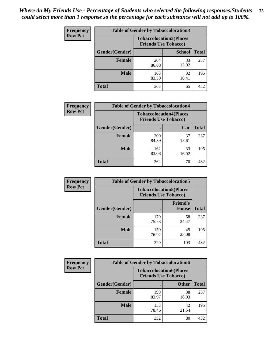| <b>Frequency</b> | <b>Table of Gender by Tobaccolocation3</b> |              |                                                               |              |
|------------------|--------------------------------------------|--------------|---------------------------------------------------------------|--------------|
| <b>Row Pct</b>   |                                            |              | <b>Tobaccolocation3(Places</b><br><b>Friends Use Tobacco)</b> |              |
|                  | Gender(Gender)                             |              | <b>School</b>                                                 | <b>Total</b> |
|                  | <b>Female</b>                              | 204<br>86.08 | 33<br>13.92                                                   | 237          |
|                  | <b>Male</b>                                | 163<br>83.59 | 32<br>16.41                                                   | 195          |
|                  | Total                                      | 367          | 65                                                            | 432          |

| <b>Frequency</b> | <b>Table of Gender by Tobaccolocation4</b> |              |                                                               |              |
|------------------|--------------------------------------------|--------------|---------------------------------------------------------------|--------------|
| <b>Row Pct</b>   |                                            |              | <b>Tobaccolocation4(Places</b><br><b>Friends Use Tobacco)</b> |              |
|                  | Gender(Gender)                             |              | Car                                                           | <b>Total</b> |
|                  | <b>Female</b>                              | 200<br>84.39 | 37<br>15.61                                                   | 237          |
|                  | <b>Male</b>                                | 162<br>83.08 | 33<br>16.92                                                   | 195          |
|                  | <b>Total</b>                               | 362          | 70                                                            | 432          |

| <b>Frequency</b> | <b>Table of Gender by Tobaccolocation5</b> |                             |                                 |              |
|------------------|--------------------------------------------|-----------------------------|---------------------------------|--------------|
| <b>Row Pct</b>   |                                            | <b>Friends Use Tobacco)</b> | <b>Tobaccolocation5(Places</b>  |              |
|                  | <b>Gender</b> (Gender)                     |                             | <b>Friend's</b><br><b>House</b> | <b>Total</b> |
|                  | <b>Female</b>                              | 179<br>75.53                | 58<br>24.47                     | 237          |
|                  | <b>Male</b>                                | 150<br>76.92                | 45<br>23.08                     | 195          |
|                  | <b>Total</b>                               | 329                         | 103                             | 432          |

| <b>Frequency</b> | <b>Table of Gender by Tobaccolocation6</b> |                                                               |              |              |
|------------------|--------------------------------------------|---------------------------------------------------------------|--------------|--------------|
| <b>Row Pct</b>   |                                            | <b>Tobaccolocation6(Places</b><br><b>Friends Use Tobacco)</b> |              |              |
|                  | Gender(Gender)                             |                                                               | <b>Other</b> | <b>Total</b> |
|                  | Female                                     | 199<br>83.97                                                  | 38<br>16.03  | 237          |
|                  | <b>Male</b>                                | 153<br>78.46                                                  | 42<br>21.54  | 195          |
|                  | <b>Total</b>                               | 352                                                           | 80           | 432          |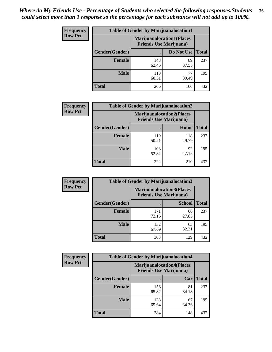| <b>Frequency</b> | <b>Table of Gender by Marijuanalocation1</b> |                                                                    |             |              |
|------------------|----------------------------------------------|--------------------------------------------------------------------|-------------|--------------|
| <b>Row Pct</b>   |                                              | <b>Marijuanalocation1(Places</b><br><b>Friends Use Marijuana</b> ) |             |              |
|                  | <b>Gender</b> (Gender)                       |                                                                    | Do Not Use  | <b>Total</b> |
|                  | <b>Female</b>                                | 148<br>62.45                                                       | 89<br>37.55 | 237          |
|                  | <b>Male</b>                                  | 118<br>60.51                                                       | 77<br>39.49 | 195          |
|                  | <b>Total</b>                                 | 266                                                                | 166         | 432          |

| <b>Frequency</b> | <b>Table of Gender by Marijuanalocation2</b> |                                                                    |              |              |
|------------------|----------------------------------------------|--------------------------------------------------------------------|--------------|--------------|
| <b>Row Pct</b>   |                                              | <b>Marijuanalocation2(Places</b><br><b>Friends Use Marijuana</b> ) |              |              |
|                  | Gender(Gender)                               |                                                                    | Home         | <b>Total</b> |
|                  | <b>Female</b>                                | 119<br>50.21                                                       | 118<br>49.79 | 237          |
|                  | <b>Male</b>                                  | 103<br>52.82                                                       | 92<br>47.18  | 195          |
|                  | <b>Total</b>                                 | 222                                                                | 210          | 432          |

| <b>Frequency</b> | <b>Table of Gender by Marijuanalocation3</b> |                                |                                  |              |  |
|------------------|----------------------------------------------|--------------------------------|----------------------------------|--------------|--|
| <b>Row Pct</b>   |                                              | <b>Friends Use Marijuana</b> ) | <b>Marijuanalocation3(Places</b> |              |  |
|                  | Gender(Gender)                               |                                | <b>School</b>                    | <b>Total</b> |  |
|                  | Female                                       | 171<br>72.15                   | 66<br>27.85                      | 237          |  |
|                  | <b>Male</b>                                  | 132<br>67.69                   | 63<br>32.31                      | 195          |  |
|                  | <b>Total</b>                                 | 303                            | 129                              | 432          |  |

| Frequency      | <b>Table of Gender by Marijuanalocation4</b> |                                                                    |             |              |
|----------------|----------------------------------------------|--------------------------------------------------------------------|-------------|--------------|
| <b>Row Pct</b> |                                              | <b>Marijuanalocation4(Places</b><br><b>Friends Use Marijuana</b> ) |             |              |
|                | Gender(Gender)                               |                                                                    | Car         | <b>Total</b> |
|                | <b>Female</b>                                | 156<br>65.82                                                       | 81<br>34.18 | 237          |
|                | <b>Male</b>                                  | 128<br>65.64                                                       | 67<br>34.36 | 195          |
|                | <b>Total</b>                                 | 284                                                                | 148         | 432          |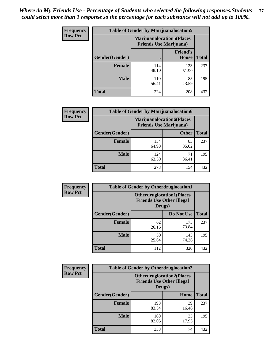| <b>Frequency</b> | <b>Table of Gender by Marijuanalocation5</b> |                                                                    |                          |              |
|------------------|----------------------------------------------|--------------------------------------------------------------------|--------------------------|--------------|
| <b>Row Pct</b>   |                                              | <b>Marijuanalocation5(Places</b><br><b>Friends Use Marijuana</b> ) |                          |              |
|                  | Gender(Gender)                               |                                                                    | <b>Friend's</b><br>House | <b>Total</b> |
|                  | <b>Female</b>                                | 114<br>48.10                                                       | 123<br>51.90             | 237          |
|                  | <b>Male</b>                                  | 110<br>56.41                                                       | 85<br>43.59              | 195          |
|                  | <b>Total</b>                                 | 224                                                                | 208                      | 432          |

| <b>Frequency</b> | <b>Table of Gender by Marijuanalocation6</b> |                                |                                  |              |  |
|------------------|----------------------------------------------|--------------------------------|----------------------------------|--------------|--|
| <b>Row Pct</b>   |                                              | <b>Friends Use Marijuana</b> ) | <b>Marijuanalocation6(Places</b> |              |  |
|                  | <b>Gender</b> (Gender)                       |                                | <b>Other</b>                     | <b>Total</b> |  |
|                  | Female                                       | 154<br>64.98                   | 83<br>35.02                      | 237          |  |
|                  | <b>Male</b>                                  | 124<br>63.59                   | 71<br>36.41                      | 195          |  |
|                  | Total                                        | 278                            | 154                              | 432          |  |

| Frequency      | <b>Table of Gender by Otherdruglocation1</b> |                                                                                |              |              |
|----------------|----------------------------------------------|--------------------------------------------------------------------------------|--------------|--------------|
| <b>Row Pct</b> |                                              | <b>Otherdruglocation1(Places</b><br><b>Friends Use Other Illegal</b><br>Drugs) |              |              |
|                | Gender(Gender)                               |                                                                                | Do Not Use   | <b>Total</b> |
|                | <b>Female</b>                                | 62<br>26.16                                                                    | 175<br>73.84 | 237          |
|                | <b>Male</b>                                  | 50<br>25.64                                                                    | 145<br>74.36 | 195          |
|                | <b>Total</b>                                 | 112                                                                            | 320          | 432          |

| <b>Frequency</b> | <b>Table of Gender by Otherdruglocation2</b> |                                                                                |             |              |
|------------------|----------------------------------------------|--------------------------------------------------------------------------------|-------------|--------------|
| <b>Row Pct</b>   |                                              | <b>Otherdruglocation2(Places</b><br><b>Friends Use Other Illegal</b><br>Drugs) |             |              |
|                  | Gender(Gender)                               |                                                                                | Home        | <b>Total</b> |
|                  | Female                                       | 198<br>83.54                                                                   | 39<br>16.46 | 237          |
|                  | <b>Male</b>                                  | 160<br>82.05                                                                   | 35<br>17.95 | 195          |
|                  | <b>Total</b>                                 | 358                                                                            | 74          | 432          |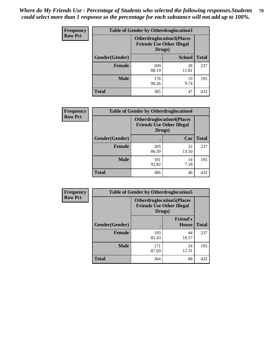| Frequency      | <b>Table of Gender by Otherdruglocation3</b> |                                                                                |               |              |
|----------------|----------------------------------------------|--------------------------------------------------------------------------------|---------------|--------------|
| <b>Row Pct</b> |                                              | <b>Otherdruglocation3(Places</b><br><b>Friends Use Other Illegal</b><br>Drugs) |               |              |
|                | Gender(Gender)                               |                                                                                | <b>School</b> | <b>Total</b> |
|                | Female                                       | 209<br>88.19                                                                   | 28<br>11.81   | 237          |
|                | <b>Male</b>                                  | 176<br>90.26                                                                   | 19<br>9.74    | 195          |
|                | <b>Total</b>                                 | 385                                                                            | 47            | 432          |

| <b>Frequency</b> | <b>Table of Gender by Otherdruglocation4</b> |                                                                                |             |              |
|------------------|----------------------------------------------|--------------------------------------------------------------------------------|-------------|--------------|
| <b>Row Pct</b>   |                                              | <b>Otherdruglocation4(Places</b><br><b>Friends Use Other Illegal</b><br>Drugs) |             |              |
|                  | Gender(Gender)                               |                                                                                | Car         | <b>Total</b> |
|                  | <b>Female</b>                                | 205<br>86.50                                                                   | 32<br>13.50 | 237          |
|                  | <b>Male</b>                                  | 181<br>92.82                                                                   | 14<br>7.18  | 195          |
|                  | <b>Total</b>                                 | 386                                                                            | 46          | 432          |

| Frequency      | <b>Table of Gender by Otherdruglocation5</b> |                                                                                |                                 |              |
|----------------|----------------------------------------------|--------------------------------------------------------------------------------|---------------------------------|--------------|
| <b>Row Pct</b> |                                              | <b>Otherdruglocation5(Places</b><br><b>Friends Use Other Illegal</b><br>Drugs) |                                 |              |
|                | Gender(Gender)                               |                                                                                | <b>Friend's</b><br><b>House</b> | <b>Total</b> |
|                | <b>Female</b>                                | 193<br>81.43                                                                   | 44<br>18.57                     | 237          |
|                | <b>Male</b>                                  | 171<br>87.69                                                                   | 24<br>12.31                     | 195          |
|                | <b>Total</b>                                 | 364                                                                            | 68                              | 432          |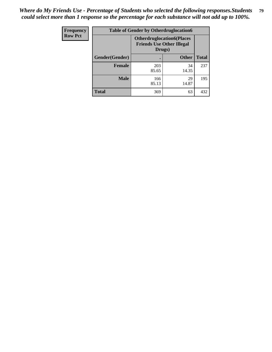| <b>Frequency</b> | <b>Table of Gender by Otherdruglocation6</b> |                                            |                                  |              |
|------------------|----------------------------------------------|--------------------------------------------|----------------------------------|--------------|
| <b>Row Pct</b>   |                                              | <b>Friends Use Other Illegal</b><br>Drugs) | <b>Otherdruglocation6(Places</b> |              |
|                  | Gender(Gender)                               |                                            | <b>Other</b>                     | <b>Total</b> |
|                  | Female                                       | 203<br>85.65                               | 34<br>14.35                      | 237          |
|                  | <b>Male</b>                                  | 166<br>85.13                               | 29<br>14.87                      | 195          |
|                  | <b>Total</b>                                 | 369                                        | 63                               | 432          |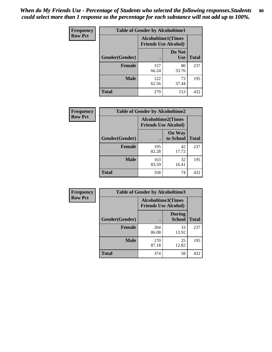| <b>Frequency</b> | <b>Table of Gender by Alcoholtime1</b> |                                                          |                      |              |
|------------------|----------------------------------------|----------------------------------------------------------|----------------------|--------------|
| <b>Row Pct</b>   |                                        | <b>Alcoholtime1(Times</b><br><b>Friends Use Alcohol)</b> |                      |              |
|                  | Gender(Gender)                         | ٠                                                        | Do Not<br><b>Use</b> | <b>Total</b> |
|                  | <b>Female</b>                          | 157<br>66.24                                             | 80<br>33.76          | 237          |
|                  | <b>Male</b>                            | 122<br>62.56                                             | 73<br>37.44          | 195          |
|                  | <b>Total</b>                           | 279                                                      | 153                  | 432          |

| Frequency      | <b>Table of Gender by Alcoholtime2</b> |                                                          |                            |              |
|----------------|----------------------------------------|----------------------------------------------------------|----------------------------|--------------|
| <b>Row Pct</b> |                                        | <b>Alcoholtime2(Times</b><br><b>Friends Use Alcohol)</b> |                            |              |
|                | Gender(Gender)                         |                                                          | <b>On Way</b><br>to School | <b>Total</b> |
|                | <b>Female</b>                          | 195<br>82.28                                             | 42<br>17.72                | 237          |
|                | <b>Male</b>                            | 163<br>83.59                                             | 32<br>16.41                | 195          |
|                | <b>Total</b>                           | 358                                                      | 74                         | 432          |

| Frequency      | <b>Table of Gender by Alcoholtime3</b> |                                                          |                                |              |  |
|----------------|----------------------------------------|----------------------------------------------------------|--------------------------------|--------------|--|
| <b>Row Pct</b> |                                        | <b>Alcoholtime3(Times</b><br><b>Friends Use Alcohol)</b> |                                |              |  |
|                | Gender(Gender)                         |                                                          | <b>During</b><br><b>School</b> | <b>Total</b> |  |
|                | <b>Female</b>                          | 204<br>86.08                                             | 33<br>13.92                    | 237          |  |
|                | <b>Male</b>                            | 170<br>87.18                                             | 25<br>12.82                    | 195          |  |
|                | <b>Total</b>                           | 374                                                      | 58                             | 432          |  |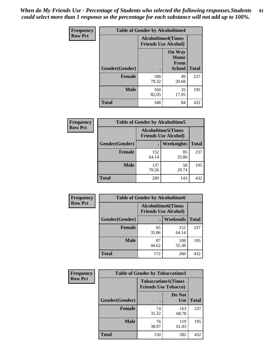*When do My Friends Use - Percentage of Students who selected the following responses.Students could select more than 1 response so the percentage for each substance will not add up to 100%.* **81**

| <b>Frequency</b> | <b>Table of Gender by Alcoholtime4</b> |                                                          |                                                       |              |
|------------------|----------------------------------------|----------------------------------------------------------|-------------------------------------------------------|--------------|
| <b>Row Pct</b>   |                                        | <b>Alcoholtime4(Times</b><br><b>Friends Use Alcohol)</b> |                                                       |              |
|                  | Gender(Gender)                         |                                                          | <b>On Way</b><br>Home<br><b>From</b><br><b>School</b> | <b>Total</b> |
|                  | <b>Female</b>                          | 188<br>79.32                                             | 49<br>20.68                                           | 237          |
|                  | <b>Male</b>                            | 160<br>82.05                                             | 35<br>17.95                                           | 195          |
|                  | <b>Total</b>                           | 348                                                      | 84                                                    | 432          |

| <b>Frequency</b> | <b>Table of Gender by Alcoholtime5</b> |                                                           |             |              |
|------------------|----------------------------------------|-----------------------------------------------------------|-------------|--------------|
| <b>Row Pct</b>   |                                        | <b>Alcoholtime5</b> (Times<br><b>Friends Use Alcohol)</b> |             |              |
|                  | Gender(Gender)                         |                                                           | Weeknights  | <b>Total</b> |
|                  | <b>Female</b>                          | 152<br>64.14                                              | 85<br>35.86 | 237          |
|                  | <b>Male</b>                            | 137<br>70.26                                              | 58<br>29.74 | 195          |
|                  | <b>Total</b>                           | 289                                                       | 143         | 432          |

| <b>Frequency</b> | <b>Table of Gender by Alcoholtime6</b> |             |                                                          |              |  |
|------------------|----------------------------------------|-------------|----------------------------------------------------------|--------------|--|
| <b>Row Pct</b>   |                                        |             | <b>Alcoholtime6(Times</b><br><b>Friends Use Alcohol)</b> |              |  |
|                  | Gender(Gender)                         |             | <b>Weekends</b>                                          | <b>Total</b> |  |
|                  | <b>Female</b>                          | 85<br>35.86 | 152<br>64.14                                             | 237          |  |
|                  | <b>Male</b>                            | 87<br>44.62 | 108<br>55.38                                             | 195          |  |
|                  | Total                                  | 172         | 260                                                      | 432          |  |

| Frequency      | <b>Table of Gender by Tobaccotime1</b> |                             |                           |              |  |
|----------------|----------------------------------------|-----------------------------|---------------------------|--------------|--|
| <b>Row Pct</b> |                                        | <b>Friends Use Tobacco)</b> | <b>Tobaccotime1(Times</b> |              |  |
|                | Gender(Gender)                         |                             | Do Not<br><b>Use</b>      | <b>Total</b> |  |
|                | <b>Female</b>                          | 74<br>31.22                 | 163<br>68.78              | 237          |  |
|                | <b>Male</b>                            | 76<br>38.97                 | 119<br>61.03              | 195          |  |
|                | <b>Total</b>                           | 150                         | 282                       | 432          |  |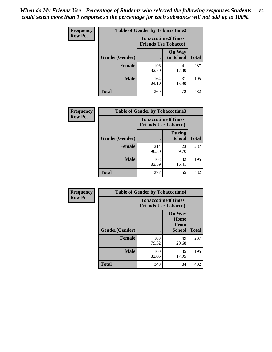| Frequency      | <b>Table of Gender by Tobaccotime2</b> |                                                          |                            |              |
|----------------|----------------------------------------|----------------------------------------------------------|----------------------------|--------------|
| <b>Row Pct</b> |                                        | <b>Tobaccotime2(Times</b><br><b>Friends Use Tobacco)</b> |                            |              |
|                | Gender(Gender)                         | $\bullet$                                                | <b>On Way</b><br>to School | <b>Total</b> |
|                | <b>Female</b>                          | 196<br>82.70                                             | 41<br>17.30                | 237          |
|                | <b>Male</b>                            | 164<br>84.10                                             | 31<br>15.90                | 195          |
|                | <b>Total</b>                           | 360                                                      | 72                         | 432          |

| Frequency      | <b>Table of Gender by Tobaccotime3</b> |                             |                                |              |
|----------------|----------------------------------------|-----------------------------|--------------------------------|--------------|
| <b>Row Pct</b> |                                        | <b>Friends Use Tobacco)</b> | <b>Tobaccotime3(Times</b>      |              |
|                | Gender(Gender)                         |                             | <b>During</b><br><b>School</b> | <b>Total</b> |
|                | <b>Female</b>                          | 214<br>90.30                | 23<br>9.70                     | 237          |
|                | <b>Male</b>                            | 163<br>83.59                | 32<br>16.41                    | 195          |
|                | <b>Total</b>                           | 377                         | 55                             | 432          |

| Frequency      | <b>Table of Gender by Tobaccotime4</b> |                                                          |                                                |              |
|----------------|----------------------------------------|----------------------------------------------------------|------------------------------------------------|--------------|
| <b>Row Pct</b> |                                        | <b>Tobaccotime4(Times</b><br><b>Friends Use Tobacco)</b> |                                                |              |
|                | Gender(Gender)                         |                                                          | <b>On Way</b><br>Home<br>From<br><b>School</b> | <b>Total</b> |
|                | <b>Female</b>                          | 188<br>79.32                                             | 49<br>20.68                                    | 237          |
|                | <b>Male</b>                            | 160<br>82.05                                             | 35<br>17.95                                    | 195          |
|                | <b>Total</b>                           | 348                                                      | 84                                             | 432          |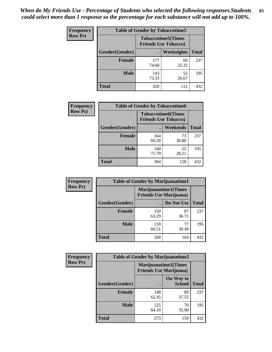*When do My Friends Use - Percentage of Students who selected the following responses.Students could select more than 1 response so the percentage for each substance will not add up to 100%.* **83**

| <b>Frequency</b> |                        | <b>Table of Gender by Tobaccotime5</b> |                                                          |              |
|------------------|------------------------|----------------------------------------|----------------------------------------------------------|--------------|
| <b>Row Pct</b>   |                        |                                        | <b>Tobaccotime5(Times</b><br><b>Friends Use Tobacco)</b> |              |
|                  | <b>Gender</b> (Gender) |                                        | <b>Weeknights</b>                                        | <b>Total</b> |
|                  | Female                 | 177<br>74.68                           | 60<br>25.32                                              | 237          |
|                  | <b>Male</b>            | 143<br>73.33                           | 52<br>26.67                                              | 195          |
|                  | Total                  | 320                                    | 112                                                      | 432          |

| Frequency      | <b>Table of Gender by Tobaccotime6</b> |                                                          |             |              |
|----------------|----------------------------------------|----------------------------------------------------------|-------------|--------------|
| <b>Row Pct</b> |                                        | <b>Tobaccotime6(Times</b><br><b>Friends Use Tobacco)</b> |             |              |
|                | Gender(Gender)                         |                                                          | Weekends    | <b>Total</b> |
|                | Female                                 | 164<br>69.20                                             | 73<br>30.80 | 237          |
|                | <b>Male</b>                            | 140<br>71.79                                             | 55<br>28.21 | 195          |
|                | <b>Total</b>                           | 304                                                      | 128         | 432          |

| Frequency      | <b>Table of Gender by Marijuanatime1</b> |                                                                |             |              |  |
|----------------|------------------------------------------|----------------------------------------------------------------|-------------|--------------|--|
| <b>Row Pct</b> |                                          | <b>Marijuanatime1</b> (Times<br><b>Friends Use Marijuana</b> ) |             |              |  |
|                | Gender(Gender)                           |                                                                | Do Not Use  | <b>Total</b> |  |
|                | <b>Female</b>                            | 150<br>63.29                                                   | 87<br>36.71 | 237          |  |
|                | <b>Male</b>                              | 118<br>60.51                                                   | 77<br>39.49 | 195          |  |
|                | <b>Total</b>                             | 268                                                            | 164         | 432          |  |

| Frequency      | <b>Table of Gender by Marijuanatime2</b> |                                                               |                            |              |
|----------------|------------------------------------------|---------------------------------------------------------------|----------------------------|--------------|
| <b>Row Pct</b> |                                          | <b>Marijuanatime2(Times</b><br><b>Friends Use Marijuana</b> ) |                            |              |
|                | <b>Gender</b> (Gender)                   |                                                               | On Way to<br><b>School</b> | <b>Total</b> |
|                | <b>Female</b>                            | 148<br>62.45                                                  | 89<br>37.55                | 237          |
|                | <b>Male</b>                              | 125<br>64.10                                                  | 70<br>35.90                | 195          |
|                | <b>Total</b>                             | 273                                                           | 159                        | 432          |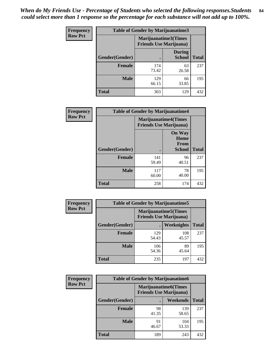*When do My Friends Use - Percentage of Students who selected the following responses.Students could select more than 1 response so the percentage for each substance will not add up to 100%.* **84**

| <b>Frequency</b> | Table of Gender by Marijuanatime3 |                                                        |                                |              |
|------------------|-----------------------------------|--------------------------------------------------------|--------------------------------|--------------|
| <b>Row Pct</b>   |                                   | Marijuanatime3(Times<br><b>Friends Use Marijuana</b> ) |                                |              |
|                  | Gender(Gender)                    |                                                        | <b>During</b><br><b>School</b> | <b>Total</b> |
|                  | <b>Female</b>                     | 174<br>73.42                                           | 63<br>26.58                    | 237          |
|                  | <b>Male</b>                       | 129<br>66.15                                           | 66<br>33.85                    | 195          |
|                  | <b>Total</b>                      | 303                                                    | 129                            | 432          |

| Frequency      | <b>Table of Gender by Marijuanatime4</b> |              |                                                                |              |
|----------------|------------------------------------------|--------------|----------------------------------------------------------------|--------------|
| <b>Row Pct</b> |                                          |              | <b>Marijuanatime4</b> (Times<br><b>Friends Use Marijuana</b> ) |              |
|                | <b>Gender</b> (Gender)                   |              | <b>On Way</b><br>Home<br><b>From</b><br><b>School</b>          | <b>Total</b> |
|                | <b>Female</b>                            | 141<br>59.49 | 96<br>40.51                                                    | 237          |
|                | <b>Male</b>                              | 117<br>60.00 | 78<br>40.00                                                    | 195          |
|                | <b>Total</b>                             | 258          | 174                                                            | 432          |

| <b>Frequency</b> | <b>Table of Gender by Marijuanatime5</b> |              |                                                                |              |  |
|------------------|------------------------------------------|--------------|----------------------------------------------------------------|--------------|--|
| <b>Row Pct</b>   |                                          |              | <b>Marijuanatime5</b> (Times<br><b>Friends Use Marijuana</b> ) |              |  |
|                  | Gender(Gender)                           |              | <b>Weeknights</b>                                              | <b>Total</b> |  |
|                  | <b>Female</b>                            | 129<br>54.43 | 108<br>45.57                                                   | 237          |  |
|                  | <b>Male</b>                              | 106<br>54.36 | 89<br>45.64                                                    | 195          |  |
|                  | <b>Total</b>                             | 235          | 197                                                            | 432          |  |

| <b>Frequency</b> | <b>Table of Gender by Marijuanatime6</b> |                                                               |                 |              |  |
|------------------|------------------------------------------|---------------------------------------------------------------|-----------------|--------------|--|
| <b>Row Pct</b>   |                                          | <b>Marijuanatime6(Times</b><br><b>Friends Use Marijuana</b> ) |                 |              |  |
|                  | Gender(Gender)                           |                                                               | <b>Weekends</b> | <b>Total</b> |  |
|                  | <b>Female</b>                            | 98<br>41.35                                                   | 139<br>58.65    | 237          |  |
|                  | <b>Male</b>                              | 91<br>46.67                                                   | 104<br>53.33    | 195          |  |
|                  | <b>Total</b>                             | 189                                                           | 243             | 432          |  |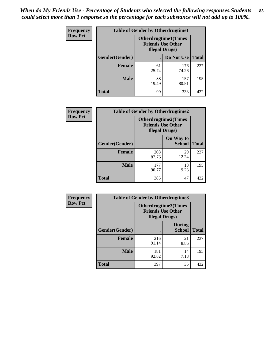*When do My Friends Use - Percentage of Students who selected the following responses.Students could select more than 1 response so the percentage for each substance will not add up to 100%.* **85**

| <b>Frequency</b> | <b>Table of Gender by Otherdrugtime1</b> |                                                    |                             |              |  |
|------------------|------------------------------------------|----------------------------------------------------|-----------------------------|--------------|--|
| <b>Row Pct</b>   |                                          | <b>Friends Use Other</b><br><b>Illegal Drugs</b> ) | <b>Otherdrugtime1(Times</b> |              |  |
|                  | Gender(Gender)                           |                                                    | Do Not Use                  | <b>Total</b> |  |
|                  | <b>Female</b>                            | 61<br>25.74                                        | 176<br>74.26                | 237          |  |
|                  | <b>Male</b>                              | 38<br>19.49                                        | 157<br>80.51                | 195          |  |
|                  | <b>Total</b>                             | 99                                                 | 333                         | 432          |  |

| Frequency      | <b>Table of Gender by Otherdrugtime2</b> |                                                                                   |                            |              |
|----------------|------------------------------------------|-----------------------------------------------------------------------------------|----------------------------|--------------|
| <b>Row Pct</b> |                                          | <b>Otherdrugtime2(Times</b><br><b>Friends Use Other</b><br><b>Illegal Drugs</b> ) |                            |              |
|                | Gender(Gender)                           |                                                                                   | On Way to<br><b>School</b> | <b>Total</b> |
|                | <b>Female</b>                            | 208<br>87.76                                                                      | 29<br>12.24                | 237          |
|                | <b>Male</b>                              | 177<br>90.77                                                                      | 18<br>9.23                 | 195          |
|                | <b>Total</b>                             | 385                                                                               | 47                         | 432          |

| Frequency      | <b>Table of Gender by Otherdrugtime3</b> |                        |                                                  |              |  |
|----------------|------------------------------------------|------------------------|--------------------------------------------------|--------------|--|
| <b>Row Pct</b> |                                          | <b>Illegal Drugs</b> ) | Otherdrugtime3(Times<br><b>Friends Use Other</b> |              |  |
|                | Gender(Gender)                           |                        | <b>During</b><br><b>School</b>                   | <b>Total</b> |  |
|                | <b>Female</b>                            | 216<br>91.14           | 21<br>8.86                                       | 237          |  |
|                | <b>Male</b>                              | 181<br>92.82           | 14<br>7.18                                       | 195          |  |
|                | <b>Total</b>                             | 397                    | 35                                               | 432          |  |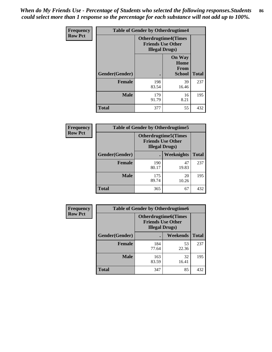*When do My Friends Use - Percentage of Students who selected the following responses.Students could select more than 1 response so the percentage for each substance will not add up to 100%.* **86**

| <b>Frequency</b> | <b>Table of Gender by Otherdrugtime4</b> |                                                    |                                                       |              |
|------------------|------------------------------------------|----------------------------------------------------|-------------------------------------------------------|--------------|
| <b>Row Pct</b>   |                                          | <b>Friends Use Other</b><br><b>Illegal Drugs</b> ) | <b>Otherdrugtime4(Times</b>                           |              |
|                  | Gender(Gender)                           |                                                    | <b>On Way</b><br>Home<br><b>From</b><br><b>School</b> | <b>Total</b> |
|                  | <b>Female</b>                            | 198<br>83.54                                       | 39<br>16.46                                           | 237          |
|                  | <b>Male</b>                              | 179<br>91.79                                       | 16<br>8.21                                            | 195          |
|                  | Total                                    | 377                                                | 55                                                    | 432          |

| Frequency      | <b>Table of Gender by Otherdrugtime5</b> |                                                                                    |             |              |
|----------------|------------------------------------------|------------------------------------------------------------------------------------|-------------|--------------|
| <b>Row Pct</b> |                                          | <b>Otherdrugtime5</b> (Times<br><b>Friends Use Other</b><br><b>Illegal Drugs</b> ) |             |              |
|                | Gender(Gender)                           |                                                                                    | Weeknights  | <b>Total</b> |
|                | <b>Female</b>                            | 190<br>80.17                                                                       | 47<br>19.83 | 237          |
|                | <b>Male</b>                              | 175<br>89.74                                                                       | 20<br>10.26 | 195          |
|                | <b>Total</b>                             | 365                                                                                | 67          | 432          |

| <b>Frequency</b> | <b>Table of Gender by Otherdrugtime6</b> |                                                                                   |             |              |
|------------------|------------------------------------------|-----------------------------------------------------------------------------------|-------------|--------------|
| <b>Row Pct</b>   |                                          | <b>Otherdrugtime6(Times</b><br><b>Friends Use Other</b><br><b>Illegal Drugs</b> ) |             |              |
|                  | Gender(Gender)                           |                                                                                   | Weekends    | <b>Total</b> |
|                  | <b>Female</b>                            | 184<br>77.64                                                                      | 53<br>22.36 | 237          |
|                  | <b>Male</b>                              | 163<br>83.59                                                                      | 32<br>16.41 | 195          |
|                  | <b>Total</b>                             | 347                                                                               | 85          | 432          |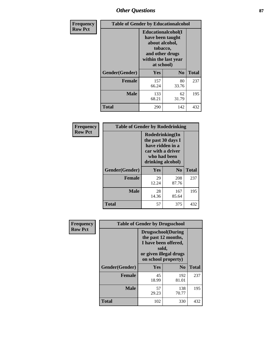## *Other Questions* **87**

| <b>Frequency</b> | <b>Table of Gender by Educationalcohol</b> |                                                                                                                                       |                |              |  |
|------------------|--------------------------------------------|---------------------------------------------------------------------------------------------------------------------------------------|----------------|--------------|--|
| <b>Row Pct</b>   |                                            | <b>Educationalcohol</b> (I<br>have been taught<br>about alcohol,<br>tobacco,<br>and other drugs<br>within the last year<br>at school) |                |              |  |
|                  | Gender(Gender)                             | <b>Yes</b>                                                                                                                            | N <sub>0</sub> | <b>Total</b> |  |
|                  | <b>Female</b>                              | 157<br>66.24                                                                                                                          | 80<br>33.76    | 237          |  |
|                  | <b>Male</b>                                | 133<br>68.21                                                                                                                          | 62<br>31.79    | 195          |  |
|                  | <b>Total</b>                               | 290                                                                                                                                   | 142            | 432          |  |

| Frequency      |                | <b>Table of Gender by Rodedrinking</b>                                                                              |                |              |  |
|----------------|----------------|---------------------------------------------------------------------------------------------------------------------|----------------|--------------|--|
| <b>Row Pct</b> |                | Rodedrinking(In<br>the past 30 days I<br>have ridden in a<br>car with a driver<br>who had been<br>drinking alcohol) |                |              |  |
|                | Gender(Gender) | Yes                                                                                                                 | N <sub>0</sub> | <b>Total</b> |  |
|                | <b>Female</b>  | 29<br>12.24                                                                                                         | 208<br>87.76   | 237          |  |
|                | <b>Male</b>    | 28<br>14.36                                                                                                         | 167<br>85.64   | 195          |  |
|                | <b>Total</b>   | 57                                                                                                                  | 375            | 432          |  |

| Frequency      | <b>Table of Gender by Drugsschool</b> |                                                                                                                                     |                |              |  |
|----------------|---------------------------------------|-------------------------------------------------------------------------------------------------------------------------------------|----------------|--------------|--|
| <b>Row Pct</b> |                                       | <b>Drugsschool</b> (During<br>the past 12 months,<br>I have been offered,<br>sold,<br>or given illegal drugs<br>on school property) |                |              |  |
|                | Gender(Gender)                        | Yes                                                                                                                                 | N <sub>0</sub> | <b>Total</b> |  |
|                | <b>Female</b>                         | 45<br>18.99                                                                                                                         | 192<br>81.01   | 237          |  |
|                | <b>Male</b>                           | 57<br>29.23                                                                                                                         | 138<br>70.77   | 195          |  |
|                | <b>Total</b>                          | 102                                                                                                                                 | 330            | 432          |  |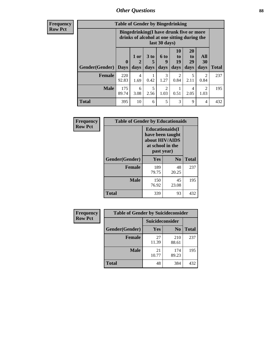### *Other Questions* **88**

**Frequency Row Pct**

| <b>Table of Gender by Bingedrinking</b> |                         |                                                                                                         |                   |                          |                        |                               |                        |              |
|-----------------------------------------|-------------------------|---------------------------------------------------------------------------------------------------------|-------------------|--------------------------|------------------------|-------------------------------|------------------------|--------------|
|                                         |                         | Bingedrinking(I have drunk five or more<br>drinks of alcohol at one sitting during the<br>last 30 days) |                   |                          |                        |                               |                        |              |
| <b>Gender</b> (Gender)                  | $\bf{0}$<br><b>Days</b> | 1 or<br>days                                                                                            | 3 to<br>5<br>days | <b>6 to</b><br>9<br>days | 10<br>to<br>19<br>days | <b>20</b><br>to<br>29<br>days | All<br>30<br>days      | <b>Total</b> |
| <b>Female</b>                           | 220<br>92.83            | 4<br>1.69                                                                                               | 0.42              | 3<br>1.27                | $\mathfrak{D}$<br>0.84 | 5<br>2.11                     | 2<br>0.84              | 237          |
| <b>Male</b>                             | 175<br>89.74            | 6<br>3.08                                                                                               | 5<br>2.56         | $\mathfrak{D}$<br>1.03   | 0.51                   | 4<br>2.05                     | $\mathfrak{D}$<br>1.03 | 195          |
| <b>Total</b>                            |                         |                                                                                                         |                   |                          |                        |                               |                        |              |

| Frequency      | <b>Table of Gender by Educationaids</b> |                                                                                                 |                |              |  |
|----------------|-----------------------------------------|-------------------------------------------------------------------------------------------------|----------------|--------------|--|
| <b>Row Pct</b> |                                         | <b>Educationaids</b> (I<br>have been taught<br>about HIV/AIDS<br>at school in the<br>past year) |                |              |  |
|                | Gender(Gender)                          | Yes                                                                                             | N <sub>0</sub> | <b>Total</b> |  |
|                | <b>Female</b>                           | 189<br>79.75                                                                                    | 48<br>20.25    | 237          |  |
|                | <b>Male</b>                             | 150<br>76.92                                                                                    | 45<br>23.08    | 195          |  |
|                | <b>Total</b>                            | 339                                                                                             | 93             | 432          |  |

| <b>Frequency</b> | <b>Table of Gender by Suicideconsider</b> |                 |                |              |  |
|------------------|-------------------------------------------|-----------------|----------------|--------------|--|
| <b>Row Pct</b>   |                                           | Suicideconsider |                |              |  |
|                  | Gender(Gender)                            | <b>Yes</b>      | N <sub>0</sub> | <b>Total</b> |  |
|                  | <b>Female</b>                             | 27<br>11.39     | 210<br>88.61   | 237          |  |
|                  | <b>Male</b>                               | 21<br>10.77     | 174<br>89.23   | 195          |  |
|                  | Total                                     | 48              | 384            | 432          |  |